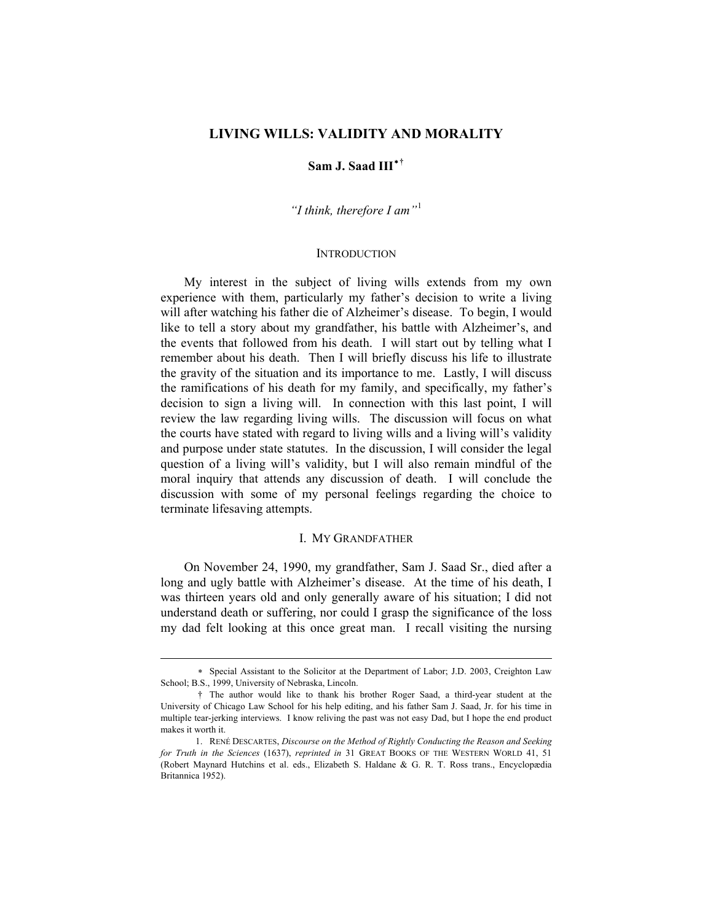# **LIVING WILLS: VALIDITY AND MORALITY**

### **Sam J. Saad III**[∗](#page-0-0) **[†](#page-0-1)**

*"I think, therefore I am"*[1](#page-0-2)

#### **INTRODUCTION**

 My interest in the subject of living wills extends from my own experience with them, particularly my father's decision to write a living will after watching his father die of Alzheimer's disease. To begin, I would like to tell a story about my grandfather, his battle with Alzheimer's, and the events that followed from his death. I will start out by telling what I remember about his death. Then I will briefly discuss his life to illustrate the gravity of the situation and its importance to me. Lastly, I will discuss the ramifications of his death for my family, and specifically, my father's decision to sign a living will. In connection with this last point, I will review the law regarding living wills. The discussion will focus on what the courts have stated with regard to living wills and a living will's validity and purpose under state statutes. In the discussion, I will consider the legal question of a living will's validity, but I will also remain mindful of the moral inquiry that attends any discussion of death. I will conclude the discussion with some of my personal feelings regarding the choice to terminate lifesaving attempts.

### I. MY GRANDFATHER

 On November 24, 1990, my grandfather, Sam J. Saad Sr., died after a long and ugly battle with Alzheimer's disease. At the time of his death, I was thirteen years old and only generally aware of his situation; I did not understand death or suffering, nor could I grasp the significance of the loss my dad felt looking at this once great man. I recall visiting the nursing

<span id="page-0-0"></span><sup>∗</sup> Special Assistant to the Solicitor at the Department of Labor; J.D. 2003, Creighton Law School; B.S., 1999, University of Nebraska, Lincoln.

<span id="page-0-1"></span><sup>†</sup> The author would like to thank his brother Roger Saad, a third-year student at the University of Chicago Law School for his help editing, and his father Sam J. Saad, Jr. for his time in multiple tear-jerking interviews. I know reliving the past was not easy Dad, but I hope the end product makes it worth it.

<span id="page-0-2"></span><sup>1.</sup> RENÉ DESCARTES, *Discourse on the Method of Rightly Conducting the Reason and Seeking for Truth in the Sciences* (1637), *reprinted in* 31 GREAT BOOKS OF THE WESTERN WORLD 41, 51 (Robert Maynard Hutchins et al. eds., Elizabeth S. Haldane & G. R. T. Ross trans., Encyclopædia Britannica 1952).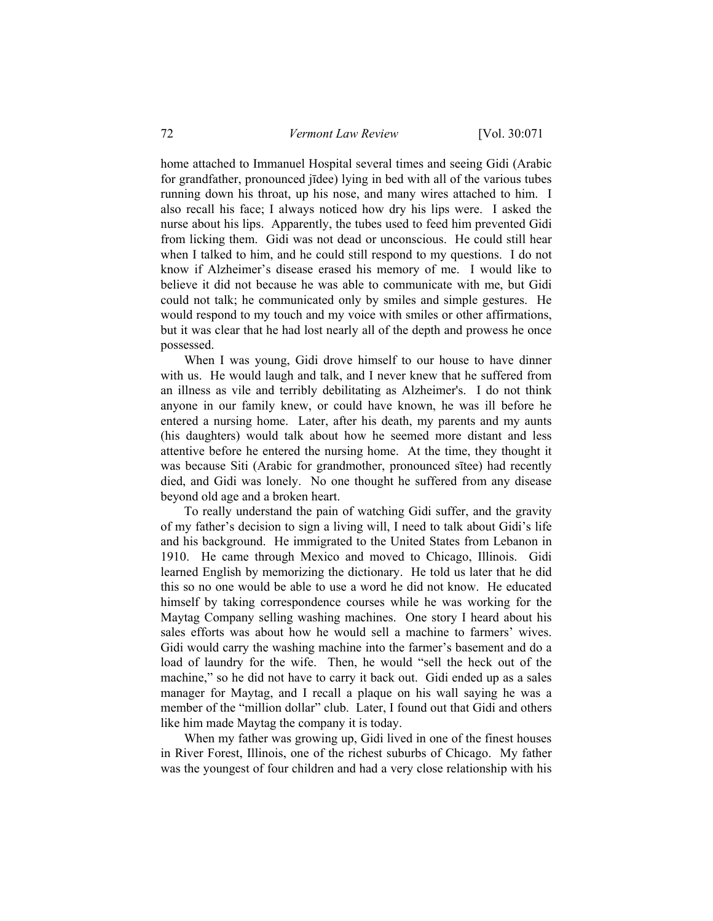home attached to Immanuel Hospital several times and seeing Gidi (Arabic for grandfather, pronounced jīdee) lying in bed with all of the various tubes running down his throat, up his nose, and many wires attached to him. I also recall his face; I always noticed how dry his lips were. I asked the nurse about his lips. Apparently, the tubes used to feed him prevented Gidi from licking them. Gidi was not dead or unconscious. He could still hear when I talked to him, and he could still respond to my questions. I do not know if Alzheimer's disease erased his memory of me. I would like to believe it did not because he was able to communicate with me, but Gidi could not talk; he communicated only by smiles and simple gestures. He would respond to my touch and my voice with smiles or other affirmations, but it was clear that he had lost nearly all of the depth and prowess he once possessed.

 When I was young, Gidi drove himself to our house to have dinner with us. He would laugh and talk, and I never knew that he suffered from an illness as vile and terribly debilitating as Alzheimer's. I do not think anyone in our family knew, or could have known, he was ill before he entered a nursing home. Later, after his death, my parents and my aunts (his daughters) would talk about how he seemed more distant and less attentive before he entered the nursing home. At the time, they thought it was because Siti (Arabic for grandmother, pronounced sītee) had recently died, and Gidi was lonely. No one thought he suffered from any disease beyond old age and a broken heart.

 To really understand the pain of watching Gidi suffer, and the gravity of my father's decision to sign a living will, I need to talk about Gidi's life and his background. He immigrated to the United States from Lebanon in 1910. He came through Mexico and moved to Chicago, Illinois. Gidi learned English by memorizing the dictionary. He told us later that he did this so no one would be able to use a word he did not know. He educated himself by taking correspondence courses while he was working for the Maytag Company selling washing machines. One story I heard about his sales efforts was about how he would sell a machine to farmers' wives. Gidi would carry the washing machine into the farmer's basement and do a load of laundry for the wife. Then, he would "sell the heck out of the machine," so he did not have to carry it back out. Gidi ended up as a sales manager for Maytag, and I recall a plaque on his wall saying he was a member of the "million dollar" club. Later, I found out that Gidi and others like him made Maytag the company it is today.

 When my father was growing up, Gidi lived in one of the finest houses in River Forest, Illinois, one of the richest suburbs of Chicago. My father was the youngest of four children and had a very close relationship with his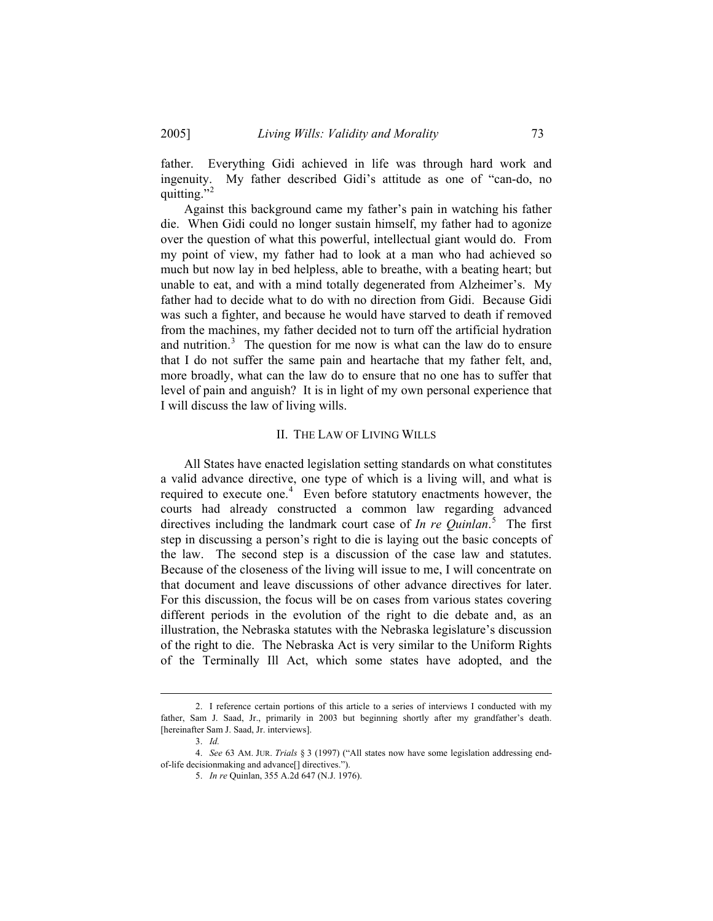father. Everything Gidi achieved in life was through hard work and ingenuity. My father described Gidi's attitude as one of "can-do, no quitting."<sup>[2](#page-2-0)</sup>

 Against this background came my father's pain in watching his father die. When Gidi could no longer sustain himself, my father had to agonize over the question of what this powerful, intellectual giant would do. From my point of view, my father had to look at a man who had achieved so much but now lay in bed helpless, able to breathe, with a beating heart; but unable to eat, and with a mind totally degenerated from Alzheimer's. My father had to decide what to do with no direction from Gidi. Because Gidi was such a fighter, and because he would have starved to death if removed from the machines, my father decided not to turn off the artificial hydration and nutrition.<sup>[3](#page-2-1)</sup> The question for me now is what can the law do to ensure that I do not suffer the same pain and heartache that my father felt, and, more broadly, what can the law do to ensure that no one has to suffer that level of pain and anguish? It is in light of my own personal experience that I will discuss the law of living wills.

## II. THE LAW OF LIVING WILLS

 All States have enacted legislation setting standards on what constitutes a valid advance directive, one type of which is a living will, and what is required to execute one.<sup>[4](#page-2-2)</sup> Even before statutory enactments however, the courts had already constructed a common law regarding advanced directives including the landmark court case of *In re Quinlan*. [5](#page-2-3) The first step in discussing a person's right to die is laying out the basic concepts of the law. The second step is a discussion of the case law and statutes. Because of the closeness of the living will issue to me, I will concentrate on that document and leave discussions of other advance directives for later. For this discussion, the focus will be on cases from various states covering different periods in the evolution of the right to die debate and, as an illustration, the Nebraska statutes with the Nebraska legislature's discussion of the right to die. The Nebraska Act is very similar to the Uniform Rights of the Terminally Ill Act, which some states have adopted, and the

<span id="page-2-0"></span><sup>2.</sup> I reference certain portions of this article to a series of interviews I conducted with my father, Sam J. Saad, Jr., primarily in 2003 but beginning shortly after my grandfather's death. [hereinafter Sam J. Saad, Jr. interviews].

<sup>3.</sup> *Id.*

<span id="page-2-3"></span><span id="page-2-2"></span><span id="page-2-1"></span><sup>4.</sup> *See* 63 AM. JUR. *Trials* § 3 (1997) ("All states now have some legislation addressing endof-life decisionmaking and advance[] directives.").

<sup>5.</sup> *In re* Quinlan, 355 A.2d 647 (N.J. 1976).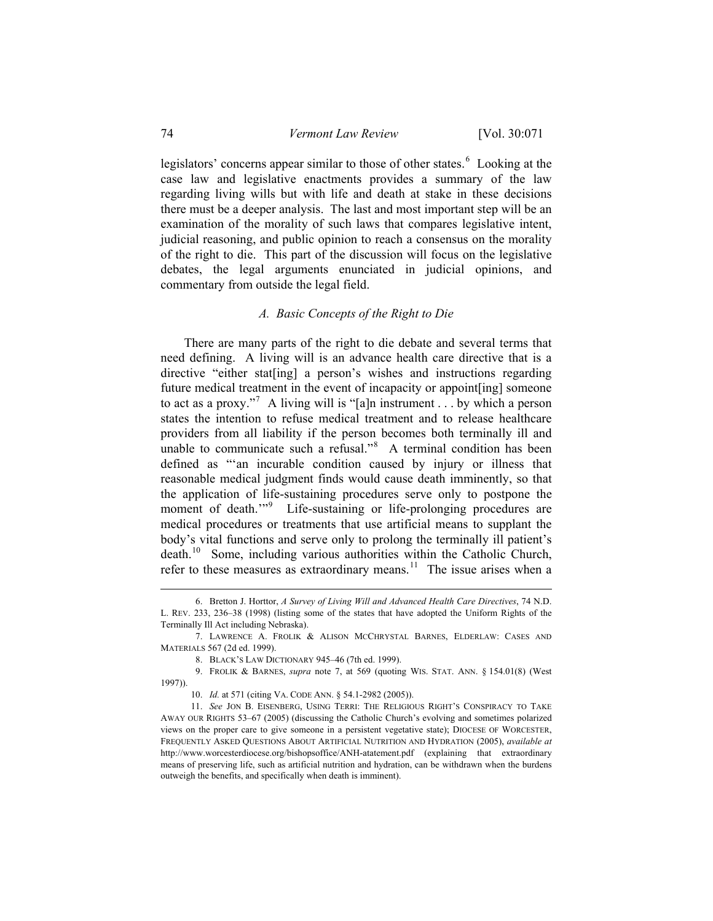legislators' concerns appear similar to those of other states.<sup>[6](#page-3-0)</sup> Looking at the case law and legislative enactments provides a summary of the law regarding living wills but with life and death at stake in these decisions there must be a deeper analysis. The last and most important step will be an examination of the morality of such laws that compares legislative intent, judicial reasoning, and public opinion to reach a consensus on the morality of the right to die. This part of the discussion will focus on the legislative debates, the legal arguments enunciated in judicial opinions, and commentary from outside the legal field.

# *A. Basic Concepts of the Right to Die*

 There are many parts of the right to die debate and several terms that need defining. A living will is an advance health care directive that is a directive "either states and instructions regarding directive "either states and instructions regarding future medical treatment in the event of incapacity or appoint[ing] someone to act as a proxy."<sup>[7](#page-3-1)</sup> A living will is "[a]n instrument . . . by which a person states the intention to refuse medical treatment and to release healthcare providers from all liability if the person becomes both terminally ill and unable to communicate such a refusal."<sup>[8](#page-3-2)</sup> A terminal condition has been defined as "'an incurable condition caused by injury or illness that reasonable medical judgment finds would cause death imminently, so that the application of life-sustaining procedures serve only to postpone the moment of death."<sup>[9](#page-3-3)</sup> Life-sustaining or life-prolonging procedures are medical procedures or treatments that use artificial means to supplant the body's vital functions and serve only to prolong the terminally ill patient's death.[10](#page-3-4) Some, including various authorities within the Catholic Church, refer to these measures as extraordinary means.<sup>[11](#page-3-5)</sup> The issue arises when a

<span id="page-3-0"></span><sup>6.</sup> Bretton J. Horttor, *A Survey of Living Will and Advanced Health Care Directives*, 74 N.D. L. REV. 233, 236–38 (1998) (listing some of the states that have adopted the Uniform Rights of the Terminally Ill Act including Nebraska).

<span id="page-3-1"></span><sup>7.</sup> LAWRENCE A. FROLIK & ALISON MCCHRYSTAL BARNES, ELDERLAW: CASES AND MATERIALS 567 (2d ed. 1999).

<sup>8.</sup> BLACK'S LAW DICTIONARY 945–46 (7th ed. 1999).

<span id="page-3-3"></span><span id="page-3-2"></span><sup>9.</sup> FROLIK & BARNES, *supra* note 7, at 569 (quoting WIS. STAT. ANN. § 154.01(8) (West 1997)).

<sup>10.</sup> *Id.* at 571 (citing VA. CODE ANN. § 54.1-2982 (2005)).

<span id="page-3-5"></span><span id="page-3-4"></span><sup>11.</sup> *See* JON B. EISENBERG, USING TERRI: THE RELIGIOUS RIGHT'S CONSPIRACY TO TAKE AWAY OUR RIGHTS 53–67 (2005) (discussing the Catholic Church's evolving and sometimes polarized views on the proper care to give someone in a persistent vegetative state); DIOCESE OF WORCESTER, FREQUENTLY ASKED QUESTIONS ABOUT ARTIFICIAL NUTRITION AND HYDRATION (2005), *available at* http://www.worcesterdiocese.org/bishopsoffice/ANH-atatement.pdf (explaining that extraordinary means of preserving life, such as artificial nutrition and hydration, can be withdrawn when the burdens outweigh the benefits, and specifically when death is imminent).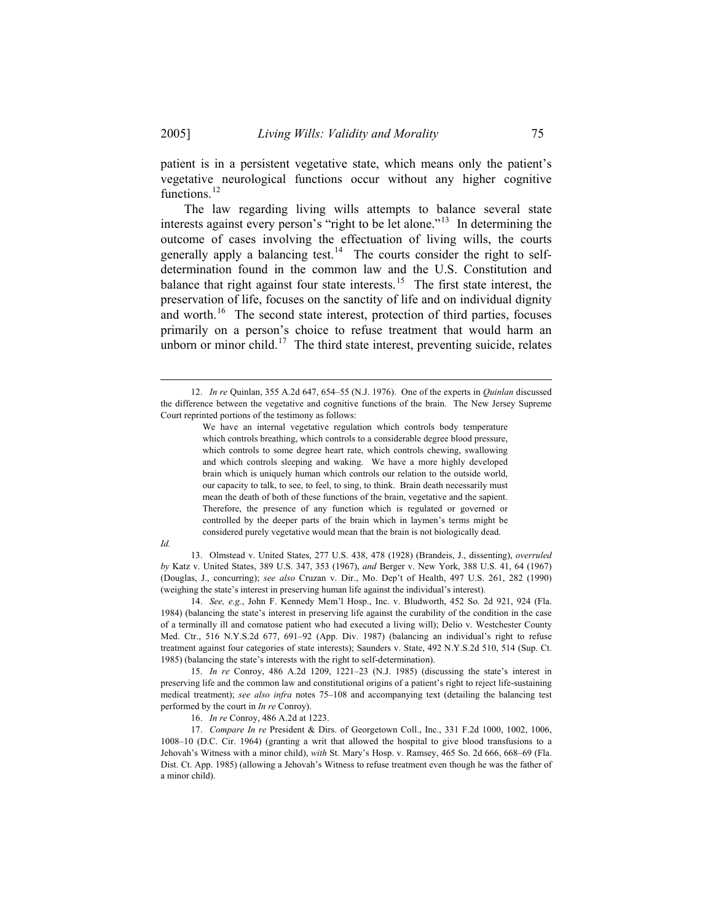patient is in a persistent vegetative state, which means only the patient's vegetative neurological functions occur without any higher cognitive functions.<sup>[12](#page-4-0)</sup>

 The law regarding living wills attempts to balance several state interests against every person's "right to be let alone."<sup>[13](#page-4-1)</sup> In determining the outcome of cases involving the effectuation of living wills, the courts generally apply a balancing test.<sup>[14](#page-4-2)</sup> The courts consider the right to selfdetermination found in the common law and the U.S. Constitution and balance that right against four state interests.<sup>[15](#page-4-3)</sup> The first state interest, the preservation of life, focuses on the sanctity of life and on individual dignity and worth.<sup>[16](#page-4-4)</sup> The second state interest, protection of third parties, focuses primarily on a person's choice to refuse treatment that would harm an unborn or minor child.<sup>[17](#page-4-5)</sup> The third state interest, preventing suicide, relates

 $\overline{a}$ 

13. Olmstead v. United States, 277 U.S. 438, 478 (1928) (Brandeis, J., dissenting), *overruled by* Katz v. United States, 389 U.S. 347, 353 (1967), *and* Berger v. New York, 388 U.S. 41, 64 (1967) (Douglas, J., concurring); *see also* Cruzan v. Dir., Mo. Dep't of Health, 497 U.S. 261, 282 (1990) (weighing the state's interest in preserving human life against the individual's interest).

<span id="page-4-2"></span>14. *See, e.g.*, John F. Kennedy Mem'l Hosp., Inc. v. Bludworth, 452 So. 2d 921, 924 (Fla. 1984) (balancing the state's interest in preserving life against the curability of the condition in the case of a terminally ill and comatose patient who had executed a living will); Delio v. Westchester County Med. Ctr., 516 N.Y.S.2d 677, 691–92 (App. Div. 1987) (balancing an individual's right to refuse treatment against four categories of state interests); Saunders v. State, 492 N.Y.S.2d 510, 514 (Sup. Ct. 1985) (balancing the state's interests with the right to self-determination).

<span id="page-4-3"></span>15. *In re* Conroy, 486 A.2d 1209, 1221–23 (N.J. 1985) (discussing the state's interest in preserving life and the common law and constitutional origins of a patient's right to reject life-sustaining medical treatment); *see also infra* notes 75–108 and accompanying text (detailing the balancing test performed by the court in *In re* Conroy).

16. *In re* Conroy, 486 A.2d at 1223.

<span id="page-4-5"></span><span id="page-4-4"></span>17. *Compare In re* President & Dirs. of Georgetown Coll., Inc., 331 F.2d 1000, 1002, 1006, 1008–10 (D.C. Cir. 1964) (granting a writ that allowed the hospital to give blood transfusions to a Jehovah's Witness with a minor child), *with* St. Mary's Hosp. v. Ramsey, 465 So. 2d 666, 668–69 (Fla. Dist. Ct. App. 1985) (allowing a Jehovah's Witness to refuse treatment even though he was the father of a minor child).

<span id="page-4-0"></span><sup>12.</sup> *In re* Quinlan, 355 A.2d 647, 654–55 (N.J. 1976). One of the experts in *Quinlan* discussed the difference between the vegetative and cognitive functions of the brain. The New Jersey Supreme Court reprinted portions of the testimony as follows:

We have an internal vegetative regulation which controls body temperature which controls breathing, which controls to a considerable degree blood pressure, which controls to some degree heart rate, which controls chewing, swallowing and which controls sleeping and waking. We have a more highly developed brain which is uniquely human which controls our relation to the outside world, our capacity to talk, to see, to feel, to sing, to think. Brain death necessarily must mean the death of both of these functions of the brain, vegetative and the sapient. Therefore, the presence of any function which is regulated or governed or controlled by the deeper parts of the brain which in laymen's terms might be considered purely vegetative would mean that the brain is not biologically dead.

<span id="page-4-1"></span>*Id.*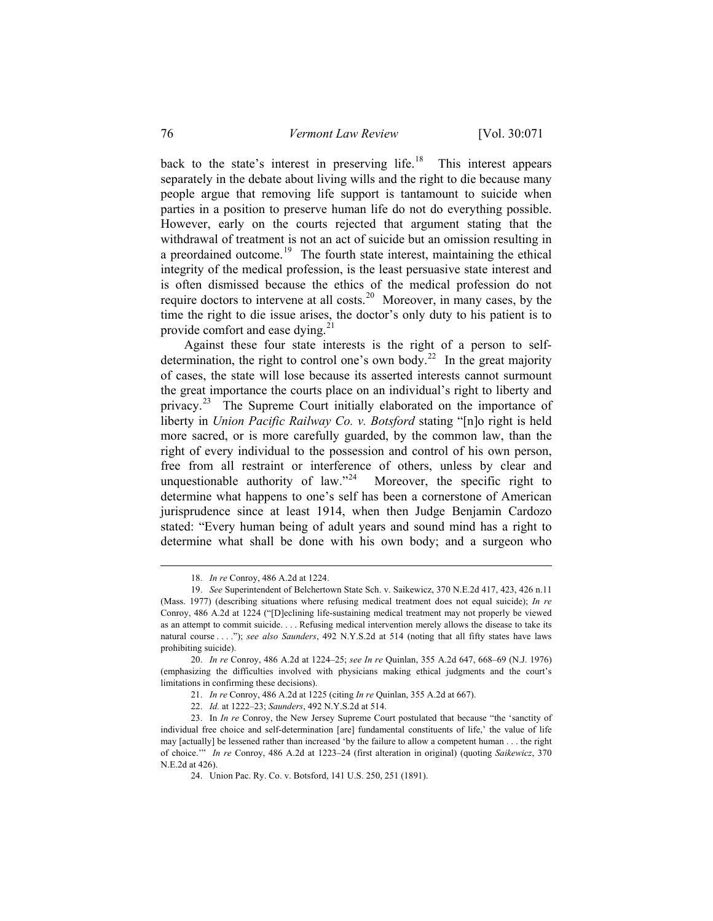back to the state's interest in preserving life.<sup>[18](#page-5-0)</sup> This interest appears separately in the debate about living wills and the right to die because many people argue that removing life support is tantamount to suicide when parties in a position to preserve human life do not do everything possible. However, early on the courts rejected that argument stating that the withdrawal of treatment is not an act of suicide but an omission resulting in a preordained outcome.<sup>[19](#page-5-1)</sup> The fourth state interest, maintaining the ethical integrity of the medical profession, is the least persuasive state interest and is often dismissed because the ethics of the medical profession do not require doctors to intervene at all costs.<sup>[20](#page-5-2)</sup> Moreover, in many cases, by the time the right to die issue arises, the doctor's only duty to his patient is to provide comfort and ease dying. $^{21}$  $^{21}$  $^{21}$ 

 Against these four state interests is the right of a person to self-determination, the right to control one's own body.<sup>[22](#page-5-4)</sup> In the great majority of cases, the state will lose because its asserted interests cannot surmount the great importance the courts place on an individual's right to liberty and privacy.<sup>[23](#page-5-5)</sup> The Supreme Court initially elaborated on the importance of liberty in *Union Pacific Railway Co. v. Botsford* stating "[n]o right is held more sacred, or is more carefully guarded, by the common law, than the right of every individual to the possession and control of his own person, free from all restraint or interference of others, unless by clear and unquestionable authority of law. $n^{24}$  $n^{24}$  $n^{24}$  Moreover, the specific right to determine what happens to one's self has been a cornerstone of American jurisprudence since at least 1914, when then Judge Benjamin Cardozo stated: "Every human being of adult years and sound mind has a right to determine what shall be done with his own body; and a surgeon who

<sup>18.</sup> *In re* Conroy, 486 A.2d at 1224.

<span id="page-5-1"></span><span id="page-5-0"></span><sup>19.</sup> *See* Superintendent of Belchertown State Sch. v. Saikewicz, 370 N.E.2d 417, 423, 426 n.11 (Mass. 1977) (describing situations where refusing medical treatment does not equal suicide); *In re*  Conroy, 486 A.2d at 1224 ("[D]eclining life-sustaining medical treatment may not properly be viewed as an attempt to commit suicide. . . . Refusing medical intervention merely allows the disease to take its natural course . . . ."); *see also Saunders*, 492 N.Y.S.2d at 514 (noting that all fifty states have laws prohibiting suicide).

<span id="page-5-2"></span><sup>20.</sup> *In re* Conroy, 486 A.2d at 1224–25; *see In re* Quinlan, 355 A.2d 647, 668–69 (N.J. 1976) (emphasizing the difficulties involved with physicians making ethical judgments and the court's limitations in confirming these decisions).

<sup>21.</sup> *In re* Conroy, 486 A.2d at 1225 (citing *In re* Quinlan, 355 A.2d at 667).

<sup>22.</sup> *Id.* at 1222–23; *Saunders*, 492 N.Y.S.2d at 514.

<span id="page-5-6"></span><span id="page-5-5"></span><span id="page-5-4"></span><span id="page-5-3"></span><sup>23.</sup> In *In re* Conroy, the New Jersey Supreme Court postulated that because "the 'sanctity of individual free choice and self-determination [are] fundamental constituents of life,' the value of life may [actually] be lessened rather than increased 'by the failure to allow a competent human . . . the right of choice.'" *In re* Conroy, 486 A.2d at 1223–24 (first alteration in original) (quoting *Saikewicz*, 370 N.E.2d at 426).

<sup>24.</sup> Union Pac. Ry. Co. v. Botsford, 141 U.S. 250, 251 (1891).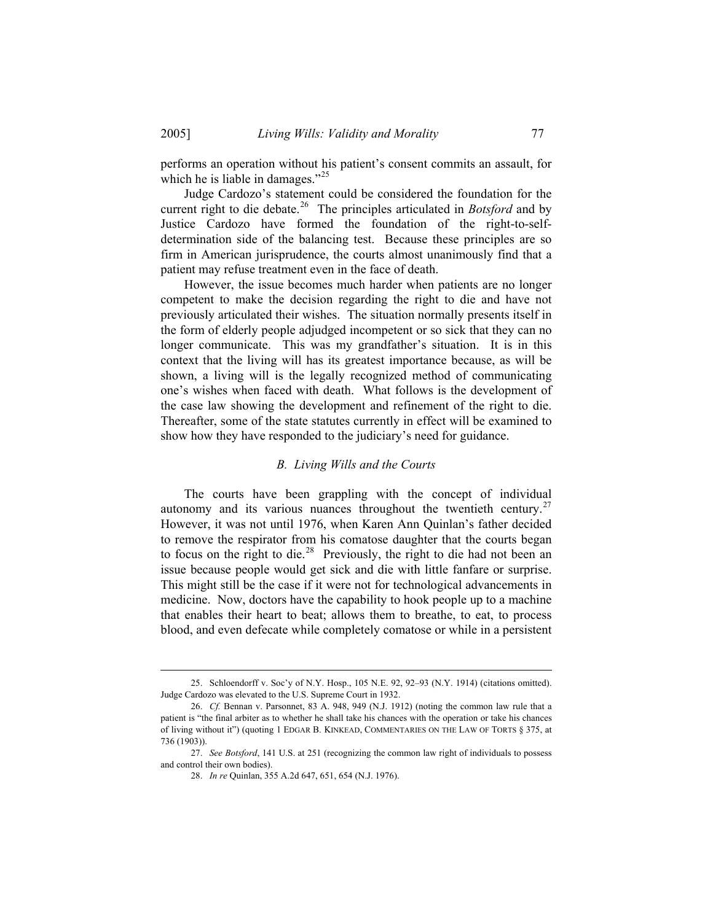performs an operation without his patient's consent commits an assault, for which he is liable in damages."<sup>[25](#page-6-0)</sup>

 Judge Cardozo's statement could be considered the foundation for the current right to die debate.<sup>[26](#page-6-1)</sup> The principles articulated in *Botsford* and by Justice Cardozo have formed the foundation of the right-to-selfdetermination side of the balancing test. Because these principles are so firm in American jurisprudence, the courts almost unanimously find that a patient may refuse treatment even in the face of death.

 However, the issue becomes much harder when patients are no longer competent to make the decision regarding the right to die and have not previously articulated their wishes. The situation normally presents itself in the form of elderly people adjudged incompetent or so sick that they can no longer communicate. This was my grandfather's situation. It is in this context that the living will has its greatest importance because, as will be shown, a living will is the legally recognized method of communicating one's wishes when faced with death. What follows is the development of the case law showing the development and refinement of the right to die. Thereafter, some of the state statutes currently in effect will be examined to show how they have responded to the judiciary's need for guidance.

#### *B. Living Wills and the Courts*

 The courts have been grappling with the concept of individual autonomy and its various nuances throughout the twentieth century.<sup>[27](#page-6-2)</sup> However, it was not until 1976, when Karen Ann Quinlan's father decided to remove the respirator from his comatose daughter that the courts began to focus on the right to die.<sup>[28](#page-6-3)</sup> Previously, the right to die had not been an issue because people would get sick and die with little fanfare or surprise. This might still be the case if it were not for technological advancements in medicine. Now, doctors have the capability to hook people up to a machine that enables their heart to beat; allows them to breathe, to eat, to process blood, and even defecate while completely comatose or while in a persistent

<span id="page-6-0"></span><sup>25.</sup> Schloendorff v. Soc'y of N.Y. Hosp., 105 N.E. 92, 92–93 (N.Y. 1914) (citations omitted). Judge Cardozo was elevated to the U.S. Supreme Court in 1932.

<span id="page-6-1"></span><sup>26.</sup> *Cf.* Bennan v. Parsonnet, 83 A. 948, 949 (N.J. 1912) (noting the common law rule that a patient is "the final arbiter as to whether he shall take his chances with the operation or take his chances of living without it") (quoting 1 EDGAR B. KINKEAD, COMMENTARIES ON THE LAW OF TORTS § 375, at 736 (1903)).

<span id="page-6-3"></span><span id="page-6-2"></span><sup>27.</sup> *See Botsford*, 141 U.S. at 251 (recognizing the common law right of individuals to possess and control their own bodies).

<sup>28.</sup> *In re* Quinlan, 355 A.2d 647, 651, 654 (N.J. 1976).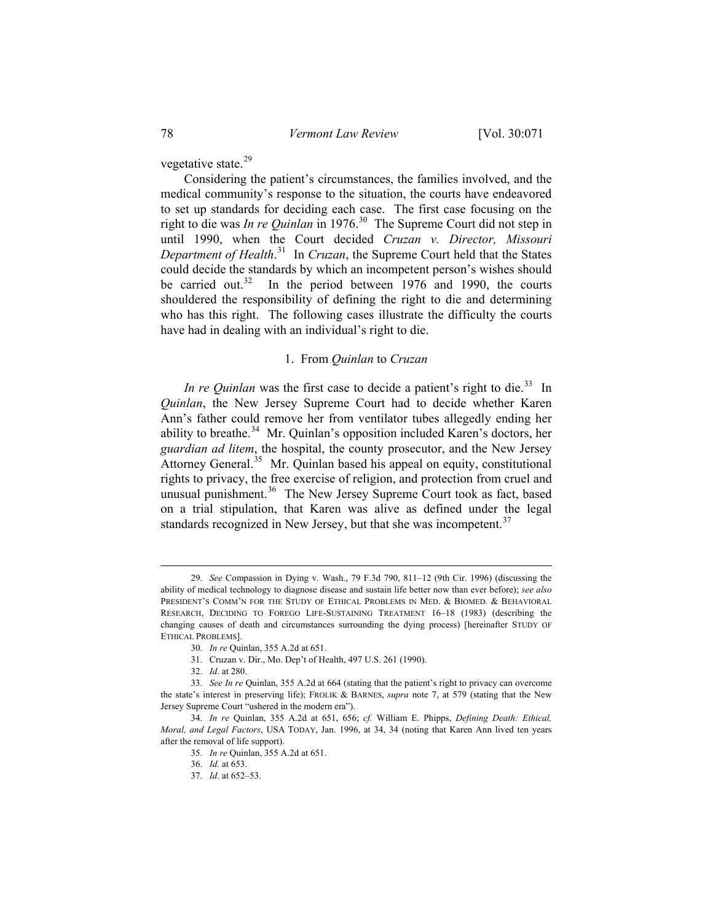vegetative state.<sup>[29](#page-7-0)</sup>

 Considering the patient's circumstances, the families involved, and the medical community's response to the situation, the courts have endeavored to set up standards for deciding each case. The first case focusing on the right to die was *In re Quinlan* in 1976.<sup>[30](#page-7-1)</sup> The Supreme Court did not step in until 1990, when the Court decided *Cruzan v. Director*, *Missouri Department of Health*. [31](#page-7-2) In *Cruzan*, the Supreme Court held that the States could decide the standards by which an incompetent person's wishes should be carried out.<sup>[32](#page-7-3)</sup> In the period between 1976 and 1990, the courts shouldered the responsibility of defining the right to die and determining who has this right. The following cases illustrate the difficulty the courts have had in dealing with an individual's right to die.

# 1. From *Quinlan* to *Cruzan*

*In re Quinlan* was the first case to decide a patient's right to die.<sup>[33](#page-7-4)</sup> In *Quinlan*, the New Jersey Supreme Court had to decide whether Karen Ann's father could remove her from ventilator tubes allegedly ending her ability to breathe.<sup>[34](#page-7-5)</sup> Mr. Quinlan's opposition included Karen's doctors, her *guardian ad litem*, the hospital, the county prosecutor, and the New Jersey Attorney General.<sup>[35](#page-7-6)</sup> Mr. Quinlan based his appeal on equity, constitutional rights to privacy, the free exercise of religion, and protection from cruel and unusual punishment.<sup>[36](#page-7-7)</sup> The New Jersey Supreme Court took as fact, based on a trial stipulation, that Karen was alive as defined under the legal standards recognized in New Jersey, but that she was incompetent. $37$ 

<span id="page-7-0"></span><sup>29.</sup> *See* Compassion in Dying v. Wash., 79 F.3d 790, 811–12 (9th Cir. 1996) (discussing the ability of medical technology to diagnose disease and sustain life better now than ever before); *see also*  PRESIDENT'S COMM'N FOR THE STUDY OF ETHICAL PROBLEMS IN MED. & BIOMED. & BEHAVIORAL RESEARCH, DECIDING TO FOREGO LIFE-SUSTAINING TREATMENT 16–18 (1983) (describing the changing causes of death and circumstances surrounding the dying process) [hereinafter STUDY OF ETHICAL PROBLEMS].

<sup>30.</sup> *In re* Quinlan, 355 A.2d at 651.

<sup>31.</sup> Cruzan v. Dir., Mo. Dep't of Health, 497 U.S. 261 (1990).

<sup>32.</sup> *Id.* at 280.

<span id="page-7-4"></span><span id="page-7-3"></span><span id="page-7-2"></span><span id="page-7-1"></span><sup>33.</sup> *See In re* Quinlan, 355 A.2d at 664 (stating that the patient's right to privacy can overcome the state's interest in preserving life); FROLIK & BARNES, *supra* note 7, at 579 (stating that the New Jersey Supreme Court "ushered in the modern era").

<span id="page-7-8"></span><span id="page-7-7"></span><span id="page-7-6"></span><span id="page-7-5"></span><sup>34.</sup> *In re* Quinlan, 355 A.2d at 651, 656; *cf.* William E. Phipps, *Defining Death: Ethical, Moral, and Legal Factors*, USA TODAY, Jan. 1996, at 34, 34 (noting that Karen Ann lived ten years after the removal of life support).

<sup>35.</sup> *In re* Quinlan, 355 A.2d at 651.

<sup>36.</sup> *Id.* at 653.

<sup>37.</sup> *Id.* at 652–53.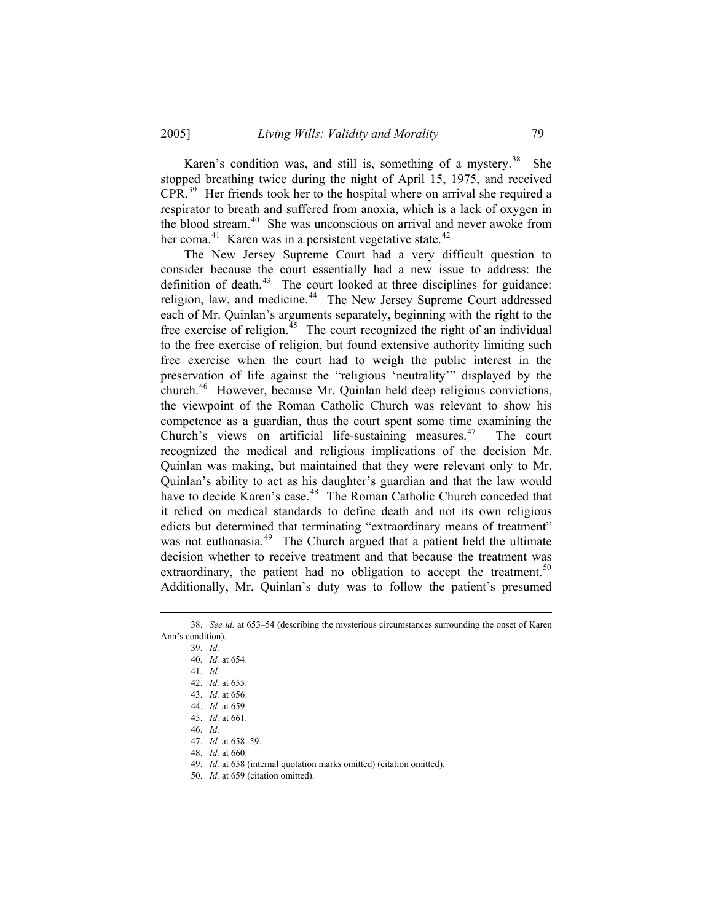Karen's condition was, and still is, something of a mystery.<sup>[38](#page-8-0)</sup> She stopped breathing twice during the night of April 15, 1975, and received CPR.[39](#page-8-1) Her friends took her to the hospital where on arrival she required a respirator to breath and suffered from anoxia, which is a lack of oxygen in the blood stream.<sup>[40](#page-8-2)</sup> She was unconscious on arrival and never awoke from her coma.<sup>[41](#page-8-3)</sup> Karen was in a persistent vegetative state.<sup>[42](#page-8-4)</sup>

 The New Jersey Supreme Court had a very difficult question to consider because the court essentially had a new issue to address: the definition of death. $43$  The court looked at three disciplines for guidance: religion, law, and medicine.<sup>[44](#page-8-6)</sup> The New Jersey Supreme Court addressed each of Mr. Quinlan's arguments separately, beginning with the right to the free exercise of religion.<sup> $45$ </sup> The court recognized the right of an individual to the free exercise of religion, but found extensive authority limiting such free exercise when the court had to weigh the public interest in the preservation of life against the "religious 'neutrality'" displayed by the church.[46](#page-8-8) However, because Mr. Quinlan held deep religious convictions, the viewpoint of the Roman Catholic Church was relevant to show his competence as a guardian, thus the court spent some time examining the Church's views on artificial life-sustaining measures.<sup>[47](#page-8-9)</sup> The court recognized the medical and religious implications of the decision Mr. Quinlan was making, but maintained that they were relevant only to Mr. Quinlan's ability to act as his daughter's guardian and that the law would have to decide Karen's case.<sup>[48](#page-8-10)</sup> The Roman Catholic Church conceded that it relied on medical standards to define death and not its own religious edicts but determined that terminating "extraordinary means of treatment" was not euthanasia.<sup>[49](#page-8-11)</sup> The Church argued that a patient held the ultimate decision whether to receive treatment and that because the treatment was extraordinary, the patient had no obligation to accept the treatment.<sup>[50](#page-8-12)</sup> Additionally, Mr. Quinlan's duty was to follow the patient's presumed

<span id="page-8-7"></span><span id="page-8-6"></span><span id="page-8-5"></span><span id="page-8-4"></span><span id="page-8-3"></span><span id="page-8-2"></span><span id="page-8-1"></span><span id="page-8-0"></span><sup>38.</sup> *See id.* at 653–54 (describing the mysterious circumstances surrounding the onset of Karen Ann's condition).

<sup>39.</sup> *Id.*

<sup>40.</sup> *Id.* at 654.

<sup>41.</sup> *Id.*

<sup>42.</sup> *Id.* at 655.

<sup>43.</sup> *Id.* at 656.

<sup>44.</sup> *Id.* at 659.

<span id="page-8-8"></span><sup>45.</sup> *Id.* at 661.

<sup>46.</sup> *Id.*

<span id="page-8-9"></span><sup>47.</sup> *Id.* at 658–59.

<span id="page-8-10"></span><sup>48.</sup> *Id.* at 660.

<span id="page-8-11"></span><sup>49.</sup> *Id.* at 658 (internal quotation marks omitted) (citation omitted).

<span id="page-8-12"></span><sup>50.</sup> *Id.* at 659 (citation omitted).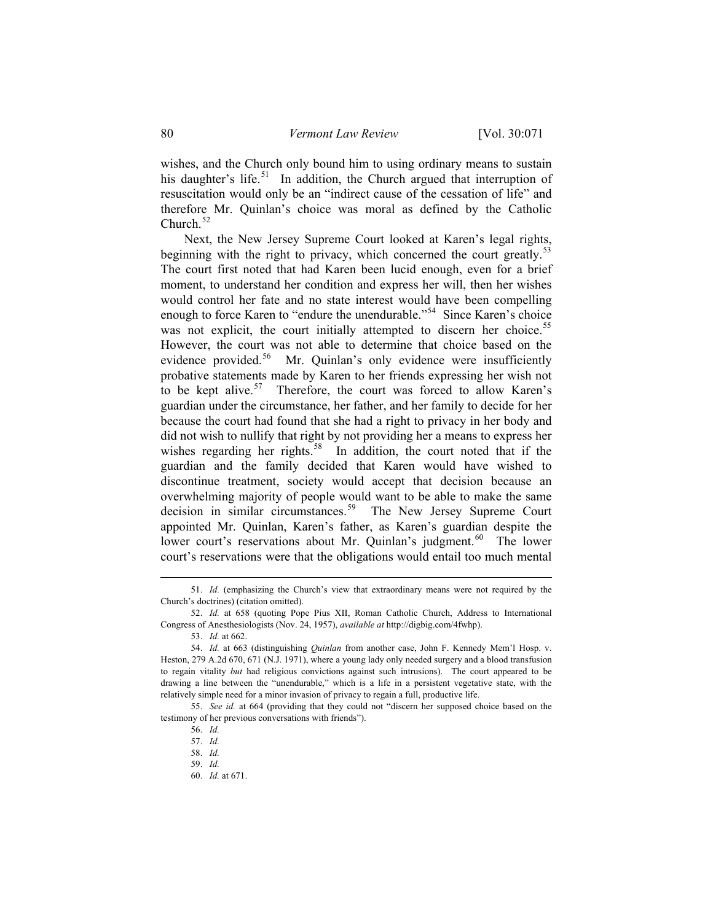wishes, and the Church only bound him to using ordinary means to sustain his daughter's life.<sup>[51](#page-9-0)</sup> In addition, the Church argued that interruption of resuscitation would only be an "indirect cause of the cessation of life" and therefore Mr. Quinlan's choice was moral as defined by the Catholic Church. $52$ 

 Next, the New Jersey Supreme Court looked at Karen's legal rights, beginning with the right to privacy, which concerned the court greatly.<sup>[53](#page-9-2)</sup> The court first noted that had Karen been lucid enough, even for a brief moment, to understand her condition and express her will, then her wishes would control her fate and no state interest would have been compelling enough to force Karen to "endure the unendurable."<sup>[54](#page-9-3)</sup> Since Karen's choice was not explicit, the court initially attempted to discern her choice.<sup>[55](#page-9-4)</sup> However, the court was not able to determine that choice based on the evidence provided.<sup>[56](#page-9-5)</sup> Mr. Quinlan's only evidence were insufficiently probative statements made by Karen to her friends expressing her wish not to be kept alive. $57$  Therefore, the court was forced to allow Karen's guardian under the circumstance, her father, and her family to decide for her because the court had found that she had a right to privacy in her body and did not wish to nullify that right by not providing her a means to express her wishes regarding her rights.<sup>[58](#page-9-7)</sup> In addition, the court noted that if the guardian and the family decided that Karen would have wished to discontinue treatment, society would accept that decision because an overwhelming majority of people would want to be able to make the same decision in similar circumstances.<sup>[59](#page-9-8)</sup> The New Jersey Supreme Court appointed Mr. Quinlan, Karen's father, as Karen's guardian despite the lower court's reservations about Mr. Quinlan's judgment.<sup>[60](#page-9-9)</sup> The lower court's reservations were that the obligations would entail too much mental

<span id="page-9-0"></span><sup>51.</sup> *Id.* (emphasizing the Church's view that extraordinary means were not required by the Church's doctrines) (citation omitted).

<span id="page-9-1"></span><sup>52.</sup> *Id.* at 658 (quoting Pope Pius XII, Roman Catholic Church, Address to International Congress of Anesthesiologists (Nov. 24, 1957), *available at* http://digbig.com/4fwhp).

<sup>53.</sup> *Id.* at 662.

<span id="page-9-3"></span><span id="page-9-2"></span><sup>54.</sup> *Id.* at 663 (distinguishing *Quinlan* from another case, John F. Kennedy Mem'l Hosp. v. Heston, 279 A.2d 670, 671 (N.J. 1971), where a young lady only needed surgery and a blood transfusion to regain vitality *but* had religious convictions against such intrusions). The court appeared to be drawing a line between the "unendurable," which is a life in a persistent vegetative state, with the relatively simple need for a minor invasion of privacy to regain a full, productive life.

<span id="page-9-9"></span><span id="page-9-8"></span><span id="page-9-7"></span><span id="page-9-6"></span><span id="page-9-5"></span><span id="page-9-4"></span><sup>55.</sup> *See id.* at 664 (providing that they could not "discern her supposed choice based on the testimony of her previous conversations with friends").

<sup>56.</sup> *Id.*

<sup>57.</sup> *Id.*

<sup>58.</sup> *Id.*

<sup>59.</sup> *Id.*

<sup>60.</sup> *Id.* at 671.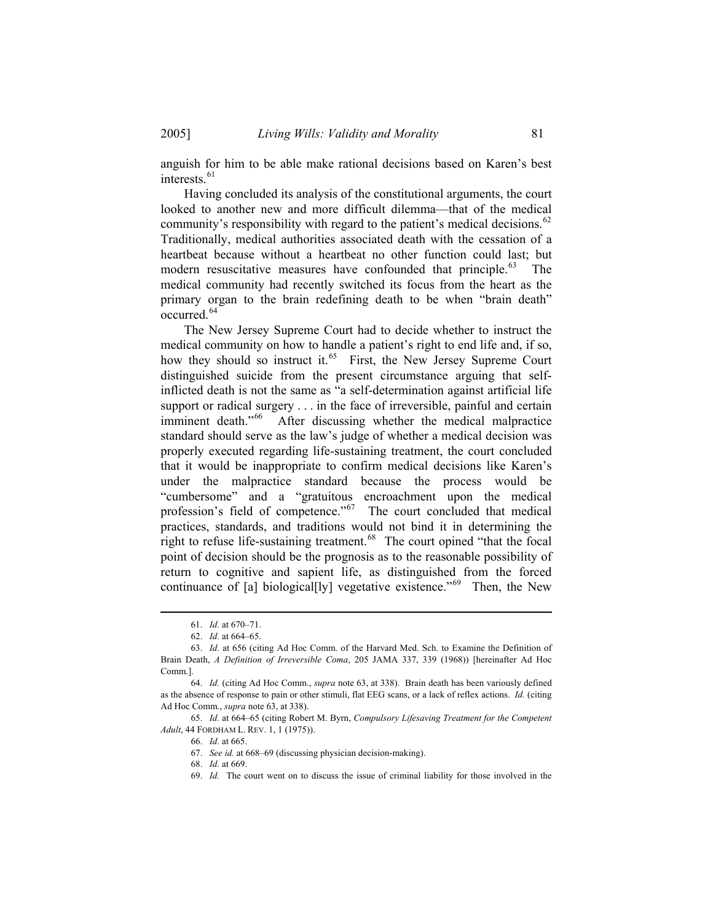anguish for him to be able make rational decisions based on Karen's best interests.<sup>[61](#page-10-0)</sup>

 Having concluded its analysis of the constitutional arguments, the court looked to another new and more difficult dilemma—that of the medical community's responsibility with regard to the patient's medical decisions.<sup>[62](#page-10-1)</sup> Traditionally, medical authorities associated death with the cessation of a heartbeat because without a heartbeat no other function could last; but modern resuscitative measures have confounded that principle. $63$  The medical community had recently switched its focus from the heart as the primary organ to the brain redefining death to be when "brain death" occurred.[64](#page-10-3)

 The New Jersey Supreme Court had to decide whether to instruct the medical community on how to handle a patient's right to end life and, if so, how they should so instruct it.<sup>[65](#page-10-4)</sup> First, the New Jersey Supreme Court distinguished suicide from the present circumstance arguing that selfinflicted death is not the same as "a self-determination against artificial life support or radical surgery . . . in the face of irreversible, painful and certain imminent death."<sup>[66](#page-10-5)</sup> After discussing whether the medical malpractice standard should serve as the law's judge of whether a medical decision was properly executed regarding life-sustaining treatment, the court concluded that it would be inappropriate to confirm medical decisions like Karen's under the malpractice standard because the process would be "cumbersome" and a "gratuitous encroachment upon the medical profession's field of competence."<sup>[67](#page-10-6)</sup> The court concluded that medical practices, standards, and traditions would not bind it in determining the right to refuse life-sustaining treatment.<sup>[68](#page-10-7)</sup> The court opined "that the focal point of decision should be the prognosis as to the reasonable possibility of return to cognitive and sapient life, as distinguished from the forced continuance of [a] biological[ly] vegetative existence."<sup>[69](#page-10-8)</sup> Then, the New

<sup>61.</sup> *Id.* at 670–71.

<sup>62.</sup> *Id.* at 664–65.

<span id="page-10-2"></span><span id="page-10-1"></span><span id="page-10-0"></span><sup>63.</sup> *Id.* at 656 (citing Ad Hoc Comm. of the Harvard Med. Sch. to Examine the Definition of Brain Death, *A Definition of Irreversible Coma*, 205 JAMA 337, 339 (1968)) [hereinafter Ad Hoc Comm.].

<span id="page-10-3"></span><sup>64.</sup> *Id.* (citing Ad Hoc Comm., *supra* note 63, at 338). Brain death has been variously defined as the absence of response to pain or other stimuli, flat EEG scans, or a lack of reflex actions. *Id.* (citing Ad Hoc Comm., *supra* note 63, at 338).

<span id="page-10-8"></span><span id="page-10-7"></span><span id="page-10-6"></span><span id="page-10-5"></span><span id="page-10-4"></span><sup>65.</sup> *Id.* at 664–65 (citing Robert M. Byrn, *Compulsory Lifesaving Treatment for the Competent Adult*, 44 FORDHAM L. REV. 1, 1 (1975)).

<sup>66.</sup> *Id.* at 665.

<sup>67.</sup> *See id.* at 668–69 (discussing physician decision-making).

<sup>68.</sup> *Id.* at 669.

<sup>69.</sup> *Id.* The court went on to discuss the issue of criminal liability for those involved in the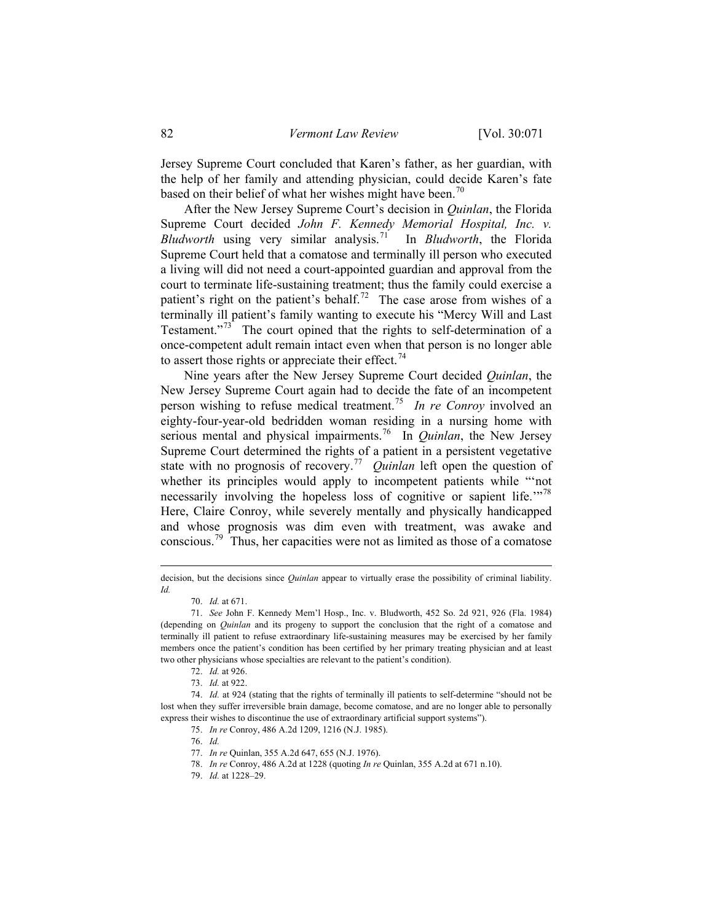Jersey Supreme Court concluded that Karen's father, as her guardian, with the help of her family and attending physician, could decide Karen's fate based on their belief of what her wishes might have been.<sup>[70](#page-11-0)</sup>

 After the New Jersey Supreme Court's decision in *Quinlan*, the Florida Supreme Court decided *John F. Kennedy Memorial Hospital, Inc. v. Bludworth* using very similar analysis.[71](#page-11-1) In *Bludworth*, the Florida Supreme Court held that a comatose and terminally ill person who executed a living will did not need a court-appointed guardian and approval from the court to terminate life-sustaining treatment; thus the family could exercise a patient's right on the patient's behalf.<sup>[72](#page-11-2)</sup> The case arose from wishes of a terminally ill patient's family wanting to execute his "Mercy Will and Last Testament. $173$  $173$  The court opined that the rights to self-determination of a once-competent adult remain intact even when that person is no longer able to assert those rights or appreciate their effect.<sup>[74](#page-11-4)</sup>

 Nine years after the New Jersey Supreme Court decided *Quinlan*, the New Jersey Supreme Court again had to decide the fate of an incompetent person wishing to refuse medical treatment.[75](#page-11-5) *In re Conroy* involved an eighty-four-year-old bedridden woman residing in a nursing home with serious mental and physical impairments.[76](#page-11-6) In *Quinlan*, the New Jersey Supreme Court determined the rights of a patient in a persistent vegetative state with no prognosis of recovery.<sup>[77](#page-11-7)</sup> *Quinlan* left open the question of whether its principles would apply to incompetent patients while "'not necessarily involving the hopeless loss of cognitive or sapient life.<sup>"[78](#page-11-8)</sup> Here, Claire Conroy, while severely mentally and physically handicapped and whose prognosis was dim even with treatment, was awake and conscious.[79](#page-11-9) Thus, her capacities were not as limited as those of a comatose

decision, but the decisions since *Quinlan* appear to virtually erase the possibility of criminal liability. *Id.*

<sup>70.</sup> *Id.* at 671.

<span id="page-11-1"></span><span id="page-11-0"></span><sup>71.</sup> *See* John F. Kennedy Mem'l Hosp., Inc. v. Bludworth, 452 So. 2d 921, 926 (Fla. 1984) (depending on *Quinlan* and its progeny to support the conclusion that the right of a comatose and terminally ill patient to refuse extraordinary life-sustaining measures may be exercised by her family members once the patient's condition has been certified by her primary treating physician and at least two other physicians whose specialties are relevant to the patient's condition).

<sup>72.</sup> *Id.* at 926.

<sup>73.</sup> *Id.* at 922.

<span id="page-11-9"></span><span id="page-11-8"></span><span id="page-11-7"></span><span id="page-11-6"></span><span id="page-11-5"></span><span id="page-11-4"></span><span id="page-11-3"></span><span id="page-11-2"></span><sup>74.</sup> *Id.* at 924 (stating that the rights of terminally ill patients to self-determine "should not be lost when they suffer irreversible brain damage, become comatose, and are no longer able to personally express their wishes to discontinue the use of extraordinary artificial support systems").

<sup>75.</sup> *In re* Conroy, 486 A.2d 1209, 1216 (N.J. 1985).

<sup>76.</sup> *Id.*

<sup>77.</sup> *In re* Quinlan, 355 A.2d 647, 655 (N.J. 1976).

<sup>78.</sup> *In re* Conroy, 486 A.2d at 1228 (quoting *In re* Quinlan, 355 A.2d at 671 n.10).

<sup>79.</sup> *Id.* at 1228–29.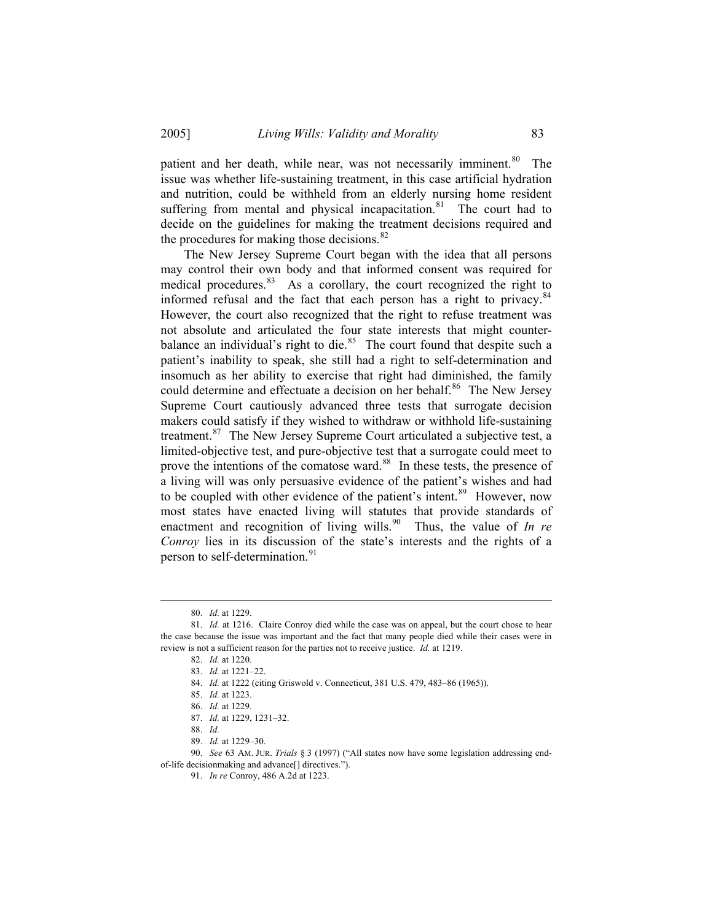patient and her death, while near, was not necessarily imminent.<sup>[80](#page-12-0)</sup> The issue was whether life-sustaining treatment, in this case artificial hydration and nutrition, could be withheld from an elderly nursing home resident suffering from mental and physical incapacitation. $81$  The court had to decide on the guidelines for making the treatment decisions required and the procedures for making those decisions. $82$ 

 The New Jersey Supreme Court began with the idea that all persons may control their own body and that informed consent was required for medical procedures.<sup>[83](#page-12-3)</sup> As a corollary, the court recognized the right to informed refusal and the fact that each person has a right to privacy.<sup>[84](#page-12-4)</sup> However, the court also recognized that the right to refuse treatment was not absolute and articulated the four state interests that might counterbalance an individual's right to die. $85$  The court found that despite such a patient's inability to speak, she still had a right to self-determination and insomuch as her ability to exercise that right had diminished, the family could determine and effectuate a decision on her behalf.<sup>[86](#page-12-6)</sup> The New Jersey Supreme Court cautiously advanced three tests that surrogate decision makers could satisfy if they wished to withdraw or withhold life-sustaining treatment.<sup>[87](#page-12-7)</sup> The New Jersey Supreme Court articulated a subjective test, a limited-objective test, and pure-objective test that a surrogate could meet to prove the intentions of the comatose ward.<sup>[88](#page-12-8)</sup> In these tests, the presence of a living will was only persuasive evidence of the patient's wishes and had to be coupled with other evidence of the patient's intent.<sup>[89](#page-12-9)</sup> However, now most states have enacted living will statutes that provide standards of enactment and recognition of living wills.<sup>[90](#page-12-10)</sup> Thus, the value of *In re Conroy* lies in its discussion of the state's interests and the rights of a person to self-determination.<sup>[91](#page-12-11)</sup>

 $\overline{a}$ 

88. *Id.*

<sup>80.</sup> *Id.* at 1229.

<span id="page-12-4"></span><span id="page-12-3"></span><span id="page-12-2"></span><span id="page-12-1"></span><span id="page-12-0"></span><sup>81.</sup> *Id.* at 1216. Claire Conroy died while the case was on appeal, but the court chose to hear the case because the issue was important and the fact that many people died while their cases were in review is not a sufficient reason for the parties not to receive justice. *Id.* at 1219.

<sup>82.</sup> *Id.* at 1220.

<sup>83.</sup> *Id.* at 1221–22.

<sup>84.</sup> *Id.* at 1222 (citing Griswold v. Connecticut, 381 U.S. 479, 483–86 (1965)).

<sup>85.</sup> *Id.* at 1223.

<sup>86.</sup> *Id.* at 1229.

<sup>87.</sup> *Id.* at 1229, 1231–32.

<sup>89.</sup> *Id.* at 1229–30.

<span id="page-12-11"></span><span id="page-12-10"></span><span id="page-12-9"></span><span id="page-12-8"></span><span id="page-12-7"></span><span id="page-12-6"></span><span id="page-12-5"></span><sup>90.</sup> *See* 63 AM. JUR. *Trials* § 3 (1997) ("All states now have some legislation addressing endof-life decisionmaking and advance[] directives.").

<sup>91.</sup> *In re* Conroy, 486 A.2d at 1223.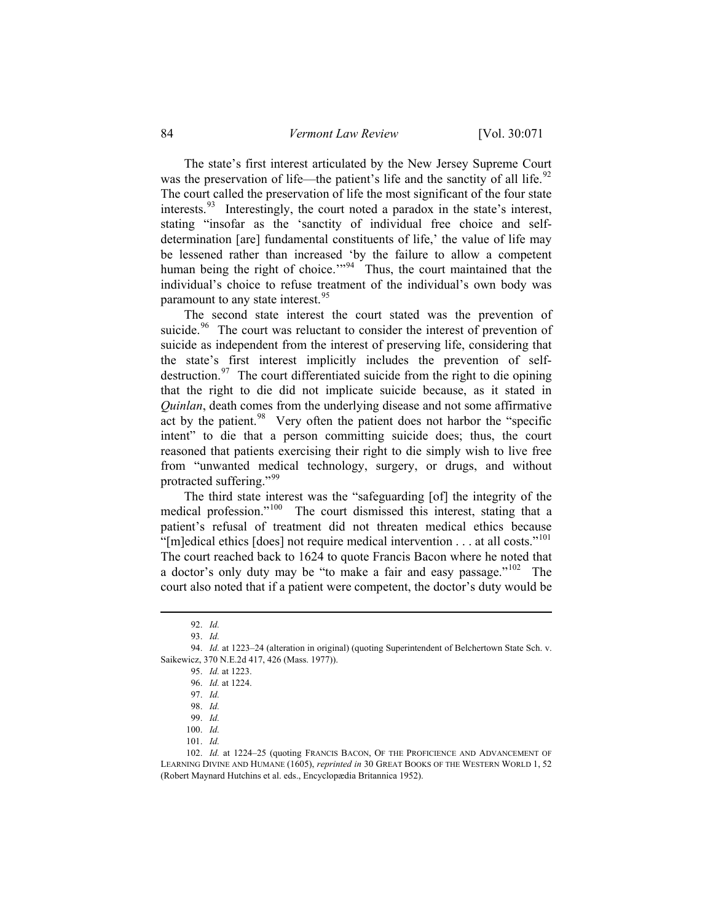The state's first interest articulated by the New Jersey Supreme Court was the preservation of life—the patient's life and the sanctity of all life.<sup>[92](#page-13-0)</sup> The court called the preservation of life the most significant of the four state interests.  $93$  Interestingly, the court noted a paradox in the state's interest, stating "insofar as the 'sanctity of individual free choice and selfdetermination [are] fundamental constituents of life,' the value of life may be lessened rather than increased 'by the failure to allow a competent human being the right of choice."<sup>[94](#page-13-2)</sup> Thus, the court maintained that the individual's choice to refuse treatment of the individual's own body was paramount to any state interest.<sup>[95](#page-13-3)</sup>

 The second state interest the court stated was the prevention of suicide.<sup>[96](#page-13-4)</sup> The court was reluctant to consider the interest of prevention of suicide as independent from the interest of preserving life, considering that the state's first interest implicitly includes the prevention of self-destruction.<sup>[97](#page-13-5)</sup> The court differentiated suicide from the right to die opining that the right to die did not implicate suicide because, as it stated in *Quinlan*, death comes from the underlying disease and not some affirmative act by the patient.<sup>[98](#page-13-6)</sup> Very often the patient does not harbor the "specific intent" to die that a person committing suicide does; thus, the court reasoned that patients exercising their right to die simply wish to live free from "unwanted medical technology, surgery, or drugs, and without protracted suffering."<sup>[99](#page-13-7)</sup>

 The third state interest was the "safeguarding [of] the integrity of the medical profession."<sup>[100](#page-13-8)</sup> The court dismissed this interest, stating that a patient's refusal of treatment did not threaten medical ethics because "[m]edical ethics [does] not require medical intervention . . . at all costs."<sup>[101](#page-13-9)</sup> The court reached back to 1624 to quote Francis Bacon where he noted that a doctor's only duty may be "to make a fair and easy passage."<sup>[102](#page-13-10)</sup> The court also noted that if a patient were competent, the doctor's duty would be

<sup>92.</sup> *Id.*

<sup>93.</sup> *Id.*

<span id="page-13-5"></span><span id="page-13-4"></span><span id="page-13-3"></span><span id="page-13-2"></span><span id="page-13-1"></span><span id="page-13-0"></span><sup>94.</sup> *Id.* at 1223–24 (alteration in original) (quoting Superintendent of Belchertown State Sch. v. Saikewicz, 370 N.E.2d 417, 426 (Mass. 1977)).

<sup>95.</sup> *Id.* at 1223.

<sup>96.</sup> *Id.* at 1224.

<sup>97.</sup> *Id.*

<sup>98.</sup> *Id.*

<sup>99.</sup> *Id.*

<sup>100.</sup> *Id.*

<sup>101.</sup> *Id.*

<span id="page-13-10"></span><span id="page-13-9"></span><span id="page-13-8"></span><span id="page-13-7"></span><span id="page-13-6"></span><sup>102.</sup> *Id.* at 1224–25 (quoting FRANCIS BACON, OF THE PROFICIENCE AND ADVANCEMENT OF LEARNING DIVINE AND HUMANE (1605), *reprinted in* 30 GREAT BOOKS OF THE WESTERN WORLD 1, 52 (Robert Maynard Hutchins et al. eds., Encyclopædia Britannica 1952).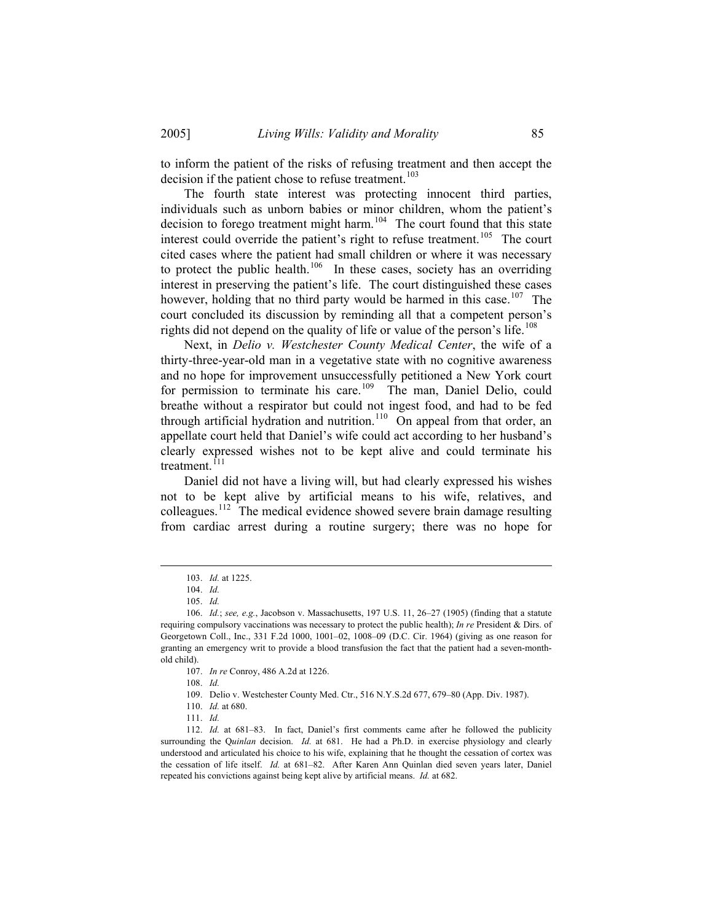to inform the patient of the risks of refusing treatment and then accept the decision if the patient chose to refuse treatment.<sup>[103](#page-14-0)</sup>

 The fourth state interest was protecting innocent third parties, individuals such as unborn babies or minor children, whom the patient's decision to forego treatment might harm.<sup>[104](#page-14-1)</sup> The court found that this state interest could override the patient's right to refuse treatment.<sup>[105](#page-14-2)</sup> The court cited cases where the patient had small children or where it was necessary to protect the public health.<sup>[106](#page-14-3)</sup> In these cases, society has an overriding interest in preserving the patient's life. The court distinguished these cases however, holding that no third party would be harmed in this case.<sup>[107](#page-14-4)</sup> The court concluded its discussion by reminding all that a competent person's rights did not depend on the quality of life or value of the person's life.<sup>[108](#page-14-5)</sup>

 Next, in *Delio v. Westchester County Medical Center*, the wife of a thirty-three-year-old man in a vegetative state with no cognitive awareness and no hope for improvement unsuccessfully petitioned a New York court for permission to terminate his care.<sup>[109](#page-14-6)</sup> The man, Daniel Delio, could breathe without a respirator but could not ingest food, and had to be fed through artificial hydration and nutrition.<sup>[110](#page-14-7)</sup> On appeal from that order, an appellate court held that Daniel's wife could act according to her husband's clearly expressed wishes not to be kept alive and could terminate his treatment. $111$ 

 Daniel did not have a living will, but had clearly expressed his wishes not to be kept alive by artificial means to his wife, relatives, and colleagues.<sup>[112](#page-14-9)</sup> The medical evidence showed severe brain damage resulting from cardiac arrest during a routine surgery; there was no hope for

<sup>103.</sup> *Id.* at 1225.

<sup>104.</sup> *Id.*

<sup>105.</sup> *Id.*

<span id="page-14-4"></span><span id="page-14-3"></span><span id="page-14-2"></span><span id="page-14-1"></span><span id="page-14-0"></span><sup>106.</sup> *Id.*; *see, e.g.*, Jacobson v. Massachusetts, 197 U.S. 11, 26–27 (1905) (finding that a statute requiring compulsory vaccinations was necessary to protect the public health); *In re* President & Dirs. of Georgetown Coll., Inc., 331 F.2d 1000, 1001–02, 1008–09 (D.C. Cir. 1964) (giving as one reason for granting an emergency writ to provide a blood transfusion the fact that the patient had a seven-monthold child).

<sup>107.</sup> *In re* Conroy, 486 A.2d at 1226.

<sup>108.</sup> *Id.*

<sup>109.</sup> Delio v. Westchester County Med. Ctr., 516 N.Y.S.2d 677, 679–80 (App. Div. 1987).

<sup>110.</sup> *Id.* at 680.

<sup>111.</sup> *Id.*

<span id="page-14-9"></span><span id="page-14-8"></span><span id="page-14-7"></span><span id="page-14-6"></span><span id="page-14-5"></span><sup>112.</sup> *Id.* at 681–83. In fact, Daniel's first comments came after he followed the publicity surrounding the Q*uinlan* decision. *Id.* at 681. He had a Ph.D. in exercise physiology and clearly understood and articulated his choice to his wife, explaining that he thought the cessation of cortex was the cessation of life itself. *Id.* at 681–82. After Karen Ann Quinlan died seven years later, Daniel repeated his convictions against being kept alive by artificial means. *Id.* at 682.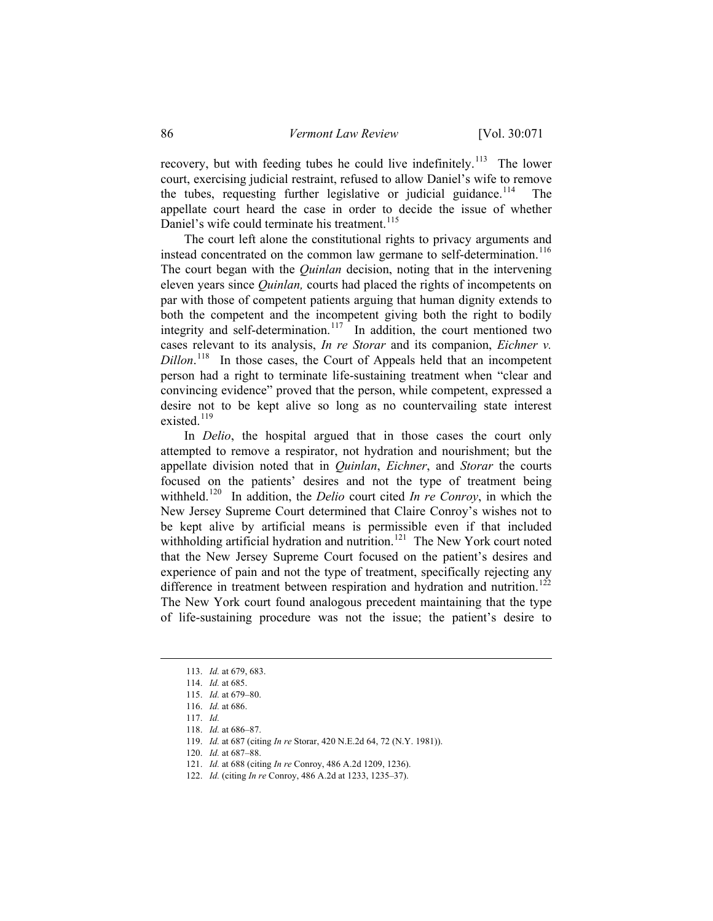recovery, but with feeding tubes he could live indefinitely.<sup>[113](#page-15-0)</sup> The lower court, exercising judicial restraint, refused to allow Daniel's wife to remove the tubes, requesting further legislative or judicial guidance.<sup>[114](#page-15-1)</sup> appellate court heard the case in order to decide the issue of whether Daniel's wife could terminate his treatment.<sup>[115](#page-15-2)</sup>

 The court left alone the constitutional rights to privacy arguments and instead concentrated on the common law germane to self-determination.<sup>[116](#page-15-3)</sup> The court began with the *Quinlan* decision, noting that in the intervening eleven years since *Quinlan,* courts had placed the rights of incompetents on par with those of competent patients arguing that human dignity extends to both the competent and the incompetent giving both the right to bodily integrity and self-determination.<sup>[117](#page-15-4)</sup> In addition, the court mentioned two cases relevant to its analysis, *In re Storar* and its companion, *Eichner v. Dillon*.<sup>[118](#page-15-5)</sup> In those cases, the Court of Appeals held that an incompetent person had a right to terminate life-sustaining treatment when "clear and convincing evidence" proved that the person, while competent, expressed a desire not to be kept alive so long as no countervailing state interest existed.<sup>[119](#page-15-6)</sup>

 In *Delio*, the hospital argued that in those cases the court only attempted to remove a respirator, not hydration and nourishment; but the appellate division noted that in *Quinlan*, *Eichner*, and *Storar* the courts focused on the patients' desires and not the type of treatment being withheld.<sup>[120](#page-15-7)</sup> In addition, the *Delio* court cited *In re Conroy*, in which the New Jersey Supreme Court determined that Claire Conroy's wishes not to be kept alive by artificial means is permissible even if that included withholding artificial hydration and nutrition.<sup>[121](#page-15-8)</sup> The New York court noted that the New Jersey Supreme Court focused on the patient's desires and experience of pain and not the type of treatment, specifically rejecting any difference in treatment between respiration and hydration and nutrition.<sup>[122](#page-15-9)</sup> The New York court found analogous precedent maintaining that the type of life-sustaining procedure was not the issue; the patient's desire to

<span id="page-15-6"></span><span id="page-15-5"></span><span id="page-15-4"></span><span id="page-15-3"></span><span id="page-15-2"></span><span id="page-15-1"></span><span id="page-15-0"></span> $\overline{a}$ 

<span id="page-15-8"></span>120. *Id.* at 687–88.

<span id="page-15-9"></span>122. *Id.* (citing *In re* Conroy, 486 A.2d at 1233, 1235–37).

<sup>113.</sup> *Id.* at 679, 683.

<sup>114.</sup> *Id.* at 685.

<sup>115.</sup> *Id.* at 679–80.

<sup>116.</sup> *Id.* at 686.

<sup>117.</sup> *Id.*

<sup>118.</sup> *Id.* at 686–87.

<span id="page-15-7"></span><sup>119.</sup> *Id.* at 687 (citing *In re* Storar, 420 N.E.2d 64, 72 (N.Y. 1981)).

<sup>121.</sup> *Id.* at 688 (citing *In re* Conroy, 486 A.2d 1209, 1236).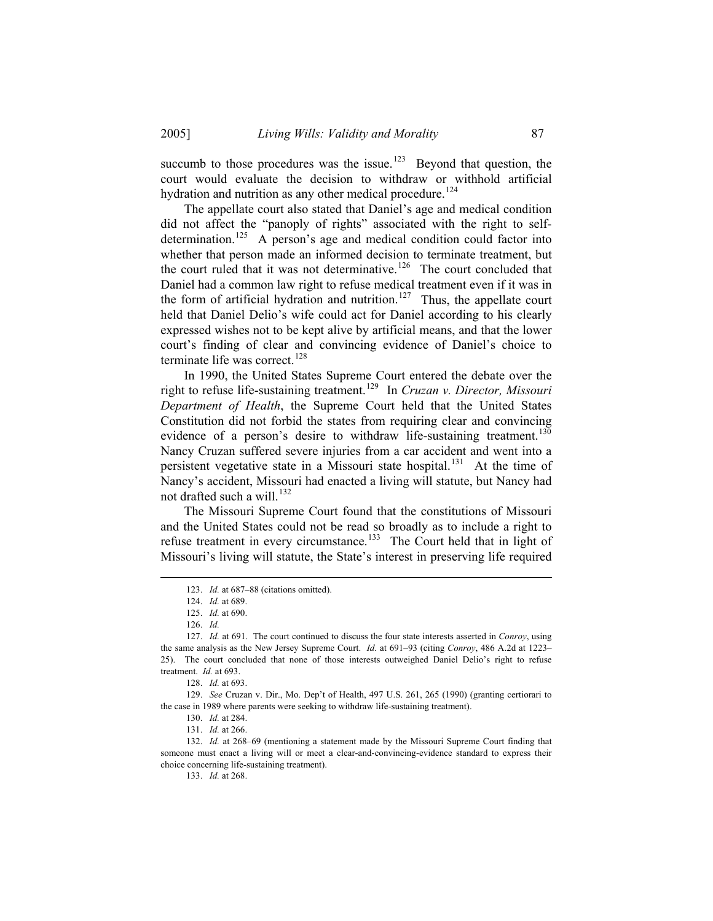succumb to those procedures was the issue.<sup>[123](#page-16-0)</sup> Beyond that question, the court would evaluate the decision to withdraw or withhold artificial hydration and nutrition as any other medical procedure.<sup>[124](#page-16-1)</sup>

 The appellate court also stated that Daniel's age and medical condition did not affect the "panoply of rights" associated with the right to self-determination.<sup>[125](#page-16-2)</sup> A person's age and medical condition could factor into whether that person made an informed decision to terminate treatment, but the court ruled that it was not determinative.<sup>[126](#page-16-3)</sup> The court concluded that Daniel had a common law right to refuse medical treatment even if it was in the form of artificial hydration and nutrition.<sup>[127](#page-16-4)</sup> Thus, the appellate court held that Daniel Delio's wife could act for Daniel according to his clearly expressed wishes not to be kept alive by artificial means, and that the lower court's finding of clear and convincing evidence of Daniel's choice to terminate life was correct.<sup>[128](#page-16-5)</sup>

 In 1990, the United States Supreme Court entered the debate over the right to refuse life-sustaining treatment.[129](#page-16-6) In *Cruzan v. Director, Missouri Department of Health*, the Supreme Court held that the United States Constitution did not forbid the states from requiring clear and convincing evidence of a person's desire to withdraw life-sustaining treatment.<sup>[130](#page-16-7)</sup> Nancy Cruzan suffered severe injuries from a car accident and went into a persistent vegetative state in a Missouri state hospital.<sup>[131](#page-16-8)</sup> At the time of Nancy's accident, Missouri had enacted a living will statute, but Nancy had not drafted such a will.<sup>[132](#page-16-9)</sup>

 The Missouri Supreme Court found that the constitutions of Missouri and the United States could not be read so broadly as to include a right to refuse treatment in every circumstance.<sup>[133](#page-16-10)</sup> The Court held that in light of Missouri's living will statute, the State's interest in preserving life required

<span id="page-16-0"></span> $\overline{a}$ 

<span id="page-16-10"></span><span id="page-16-9"></span><span id="page-16-8"></span>132. *Id.* at 268–69 (mentioning a statement made by the Missouri Supreme Court finding that someone must enact a living will or meet a clear-and-convincing-evidence standard to express their choice concerning life-sustaining treatment).

<sup>123.</sup> *Id.* at 687–88 (citations omitted).

<sup>124.</sup> *Id.* at 689.

<sup>125.</sup> *Id.* at 690.

<sup>126.</sup> *Id.*

<span id="page-16-4"></span><span id="page-16-3"></span><span id="page-16-2"></span><span id="page-16-1"></span><sup>127.</sup> *Id.* at 691. The court continued to discuss the four state interests asserted in *Conroy*, using the same analysis as the New Jersey Supreme Court. *Id.* at 691–93 (citing *Conroy*, 486 A.2d at 1223– 25). The court concluded that none of those interests outweighed Daniel Delio's right to refuse treatment. *Id.* at 693.

<sup>128.</sup> *Id.* at 693.

<span id="page-16-7"></span><span id="page-16-6"></span><span id="page-16-5"></span><sup>129.</sup> *See* Cruzan v. Dir., Mo. Dep't of Health, 497 U.S. 261, 265 (1990) (granting certiorari to the case in 1989 where parents were seeking to withdraw life-sustaining treatment).

<sup>130.</sup> *Id.* at 284.

<sup>131.</sup> *Id.* at 266.

<sup>133.</sup> *Id.* at 268.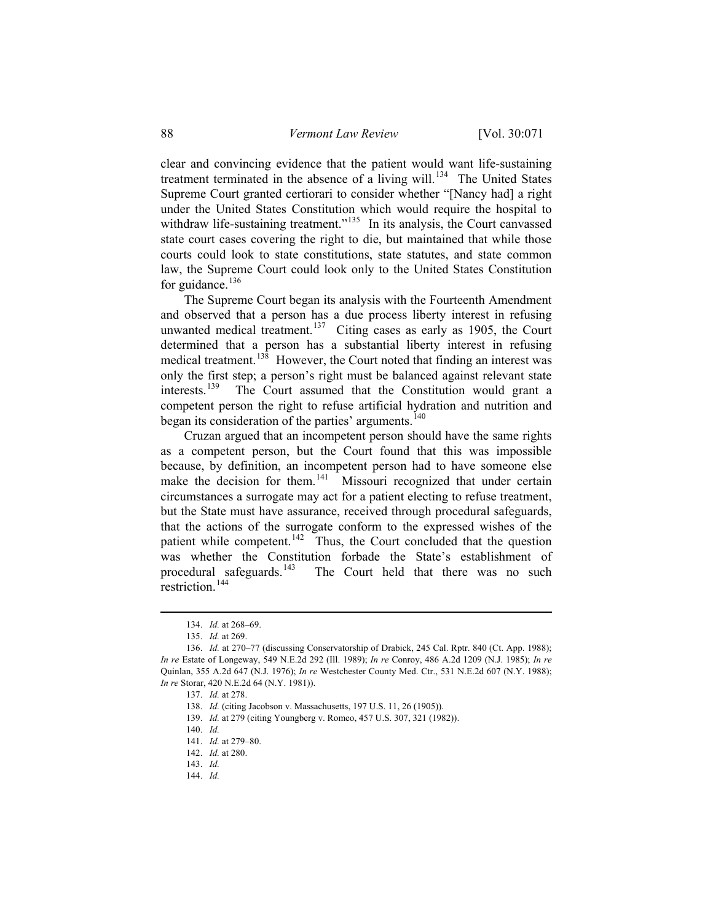clear and convincing evidence that the patient would want life-sustaining treatment terminated in the absence of a living will.<sup>[134](#page-17-0)</sup> The United States Supreme Court granted certiorari to consider whether "[Nancy had] a right under the United States Constitution which would require the hospital to withdraw life-sustaining treatment."<sup>[135](#page-17-1)</sup> In its analysis, the Court canvassed state court cases covering the right to die, but maintained that while those courts could look to state constitutions, state statutes, and state common law, the Supreme Court could look only to the United States Constitution for guidance. $136$ 

 The Supreme Court began its analysis with the Fourteenth Amendment and observed that a person has a due process liberty interest in refusing unwanted medical treatment.<sup>[137](#page-17-3)</sup> Citing cases as early as 1905, the Court determined that a person has a substantial liberty interest in refusing medical treatment.<sup>[138](#page-17-4)</sup> However, the Court noted that finding an interest was only the first step; a person's right must be balanced against relevant state interests.<sup>[139](#page-17-5)</sup> The Court assumed that the Constitution would grant a competent person the right to refuse artificial hydration and nutrition and began its consideration of the parties' arguments.<sup>[140](#page-17-6)</sup>

 Cruzan argued that an incompetent person should have the same rights as a competent person, but the Court found that this was impossible because, by definition, an incompetent person had to have someone else make the decision for them.<sup>[141](#page-17-7)</sup> Missouri recognized that under certain circumstances a surrogate may act for a patient electing to refuse treatment, but the State must have assurance, received through procedural safeguards, that the actions of the surrogate conform to the expressed wishes of the patient while competent.<sup>[142](#page-17-8)</sup> Thus, the Court concluded that the question was whether the Constitution forbade the State's establishment of procedural safeguards.<sup>143</sup> The Court held that there was no such The Court held that there was no such  $rest$ restriction<sup>[144](#page-17-10)</sup>

<sup>134.</sup> *Id.* at 268–69.

<sup>135.</sup> *Id.* at 269.

<span id="page-17-7"></span><span id="page-17-6"></span><span id="page-17-5"></span><span id="page-17-4"></span><span id="page-17-3"></span><span id="page-17-2"></span><span id="page-17-1"></span><span id="page-17-0"></span><sup>136.</sup> *Id.* at 270–77 (discussing Conservatorship of Drabick, 245 Cal. Rptr. 840 (Ct. App. 1988); *In re* Estate of Longeway, 549 N.E.2d 292 (Ill. 1989); *In re* Conroy, 486 A.2d 1209 (N.J. 1985); *In re* Quinlan, 355 A.2d 647 (N.J. 1976); *In re* Westchester County Med. Ctr., 531 N.E.2d 607 (N.Y. 1988); *In re* Storar, 420 N.E.2d 64 (N.Y. 1981)).

<sup>137.</sup> *Id.* at 278.

<sup>138.</sup> *Id.* (citing Jacobson v. Massachusetts, 197 U.S. 11, 26 (1905)).

<sup>139.</sup> *Id.* at 279 (citing Youngberg v. Romeo, 457 U.S. 307, 321 (1982)).

<sup>140.</sup> *Id.*

<sup>141.</sup> *Id.* at 279–80.

<span id="page-17-9"></span><span id="page-17-8"></span><sup>142.</sup> *Id.* at 280.

<span id="page-17-10"></span><sup>143.</sup> *Id.*

<sup>144.</sup> *Id.*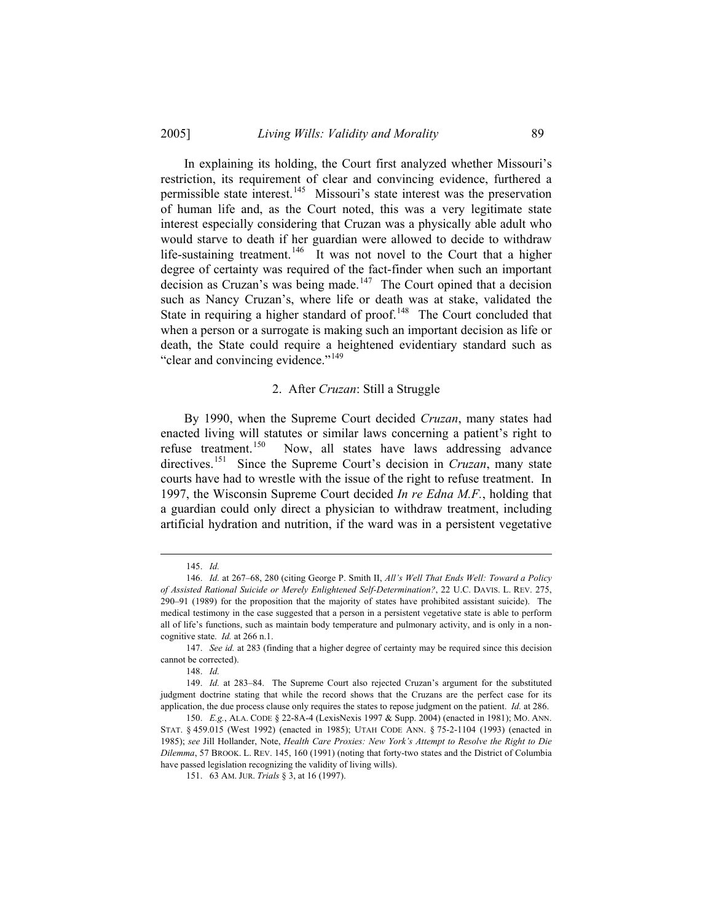In explaining its holding, the Court first analyzed whether Missouri's restriction, its requirement of clear and convincing evidence, furthered a permissible state interest.[145](#page-18-0) Missouri's state interest was the preservation of human life and, as the Court noted, this was a very legitimate state interest especially considering that Cruzan was a physically able adult who would starve to death if her guardian were allowed to decide to withdraw life-sustaining treatment.<sup>[146](#page-18-1)</sup> It was not novel to the Court that a higher degree of certainty was required of the fact-finder when such an important decision as Cruzan's was being made.<sup>[147](#page-18-2)</sup> The Court opined that a decision such as Nancy Cruzan's, where life or death was at stake, validated the State in requiring a higher standard of proof.<sup>[148](#page-18-3)</sup> The Court concluded that when a person or a surrogate is making such an important decision as life or death, the State could require a heightened evidentiary standard such as "clear and convincing evidence."<sup>[149](#page-18-4)</sup>

#### 2. After *Cruzan*: Still a Struggle

 By 1990, when the Supreme Court decided *Cruzan*, many states had enacted living will statutes or similar laws concerning a patient's right to refuse treatment.[150](#page-18-5) Now, all states have laws addressing advance directives.<sup>[151](#page-18-6)</sup> Since the Supreme Court's decision in *Cruzan*, many state courts have had to wrestle with the issue of the right to refuse treatment. In 1997, the Wisconsin Supreme Court decided *In re Edna M.F.*, holding that a guardian could only direct a physician to withdraw treatment, including artificial hydration and nutrition, if the ward was in a persistent vegetative

 $\overline{a}$ 

148. *Id.*

<sup>145.</sup> *Id.*

<span id="page-18-1"></span><span id="page-18-0"></span><sup>146.</sup> *Id.* at 267–68, 280 (citing George P. Smith II, *All's Well That Ends Well: Toward a Policy of Assisted Rational Suicide or Merely Enlightened Self-Determination?*, 22 U.C. DAVIS. L. REV. 275, 290–91 (1989) for the proposition that the majority of states have prohibited assistant suicide). The medical testimony in the case suggested that a person in a persistent vegetative state is able to perform all of life's functions, such as maintain body temperature and pulmonary activity, and is only in a noncognitive state. *Id.* at 266 n.1.

<span id="page-18-2"></span><sup>147.</sup> *See id.* at 283 (finding that a higher degree of certainty may be required since this decision cannot be corrected).

<span id="page-18-4"></span><span id="page-18-3"></span> <sup>149.</sup> *Id.* at 283–84. The Supreme Court also rejected Cruzan's argument for the substituted judgment doctrine stating that while the record shows that the Cruzans are the perfect case for its application, the due process clause only requires the states to repose judgment on the patient. *Id.* at 286.

<span id="page-18-6"></span><span id="page-18-5"></span><sup>150.</sup> *E.g.*, ALA. CODE § 22-8A-4 (LexisNexis 1997 & Supp. 2004) (enacted in 1981); MO. ANN. STAT. § 459.015 (West 1992) (enacted in 1985); UTAH CODE ANN. § 75-2-1104 (1993) (enacted in 1985); *see* Jill Hollander, Note, *Health Care Proxies: New York's Attempt to Resolve the Right to Die Dilemma*, 57 BROOK. L. REV. 145, 160 (1991) (noting that forty-two states and the District of Columbia have passed legislation recognizing the validity of living wills).

<sup>151. 63</sup> AM. JUR. *Trials* § 3, at 16 (1997).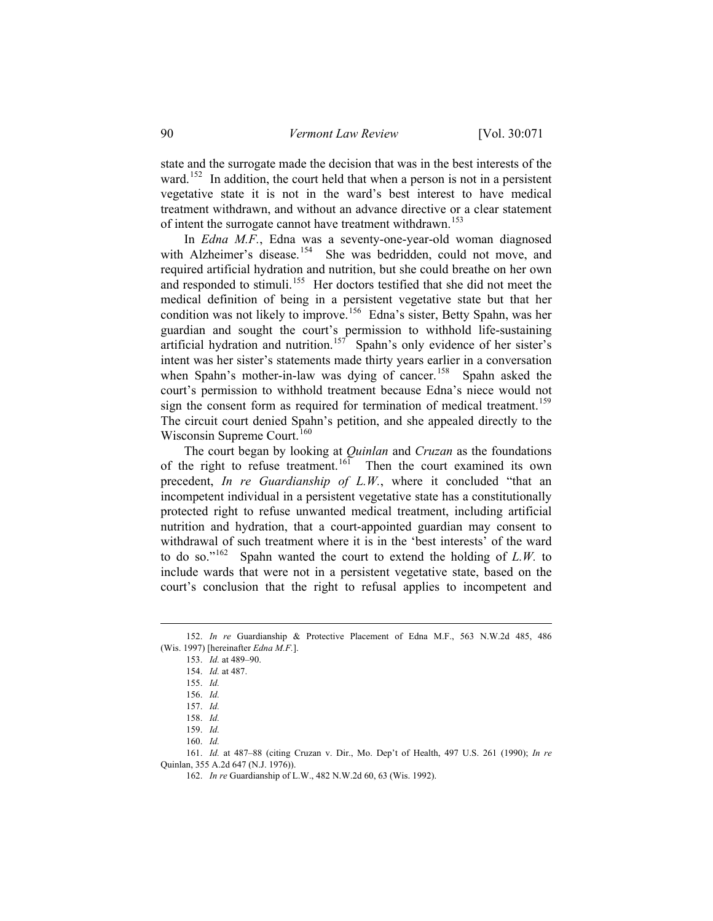state and the surrogate made the decision that was in the best interests of the ward.<sup>[152](#page-19-0)</sup> In addition, the court held that when a person is not in a persistent vegetative state it is not in the ward's best interest to have medical treatment withdrawn, and without an advance directive or a clear statement of intent the surrogate cannot have treatment withdrawn.<sup>[153](#page-19-1)</sup>

 In *Edna M.F.*, Edna was a seventy-one-year-old woman diagnosed with Alzheimer's disease.<sup>[154](#page-19-2)</sup> She was bedridden, could not move, and required artificial hydration and nutrition, but she could breathe on her own and responded to stimuli.<sup>[155](#page-19-3)</sup> Her doctors testified that she did not meet the medical definition of being in a persistent vegetative state but that her condition was not likely to improve.<sup>[156](#page-19-4)</sup> Edna's sister, Betty Spahn, was her guardian and sought the court's permission to withhold life-sustaining artificial hydration and nutrition.<sup>[157](#page-19-5)</sup> Spahn's only evidence of her sister's intent was her sister's statements made thirty years earlier in a conversation when Spahn's mother-in-law was dying of cancer.<sup>[158](#page-19-6)</sup> Spahn asked the court's permission to withhold treatment because Edna's niece would not sign the consent form as required for termination of medical treatment.<sup>[159](#page-19-7)</sup> The circuit court denied Spahn's petition, and she appealed directly to the Wisconsin Supreme Court.<sup>[160](#page-19-8)</sup>

 The court began by looking at *Quinlan* and *Cruzan* as the foundations of the right to refuse treatment.<sup>[161](#page-19-9)</sup> Then the court examined its own precedent, *In re Guardianship of L.W.*, where it concluded "that an incompetent individual in a persistent vegetative state has a constitutionally protected right to refuse unwanted medical treatment, including artificial nutrition and hydration, that a court-appointed guardian may consent to withdrawal of such treatment where it is in the 'best interests' of the ward to do so."[162](#page-19-10) Spahn wanted the court to extend the holding of *L.W.* to include wards that were not in a persistent vegetative state, based on the court's conclusion that the right to refusal applies to incompetent and

 $\overline{a}$ 

<span id="page-19-10"></span><span id="page-19-9"></span><span id="page-19-8"></span><span id="page-19-7"></span><span id="page-19-6"></span><span id="page-19-5"></span>161. *Id.* at 487–88 (citing Cruzan v. Dir., Mo. Dep't of Health, 497 U.S. 261 (1990); *In re* Quinlan, 355 A.2d 647 (N.J. 1976)).

<span id="page-19-4"></span><span id="page-19-3"></span><span id="page-19-2"></span><span id="page-19-1"></span><span id="page-19-0"></span><sup>152.</sup> *In re* Guardianship & Protective Placement of Edna M.F., 563 N.W.2d 485, 486 (Wis. 1997) [hereinafter *Edna M.F.*].

<sup>153.</sup> *Id.* at 489–90.

<sup>154.</sup> *Id.* at 487.

<sup>155.</sup> *Id.*

<sup>156.</sup> *Id.*

<sup>157.</sup> *Id.*

<sup>158.</sup> *Id.*

<sup>159.</sup> *Id.*

<sup>160.</sup> *Id.*

<sup>162.</sup> *In re* Guardianship of L.W., 482 N.W.2d 60, 63 (Wis. 1992).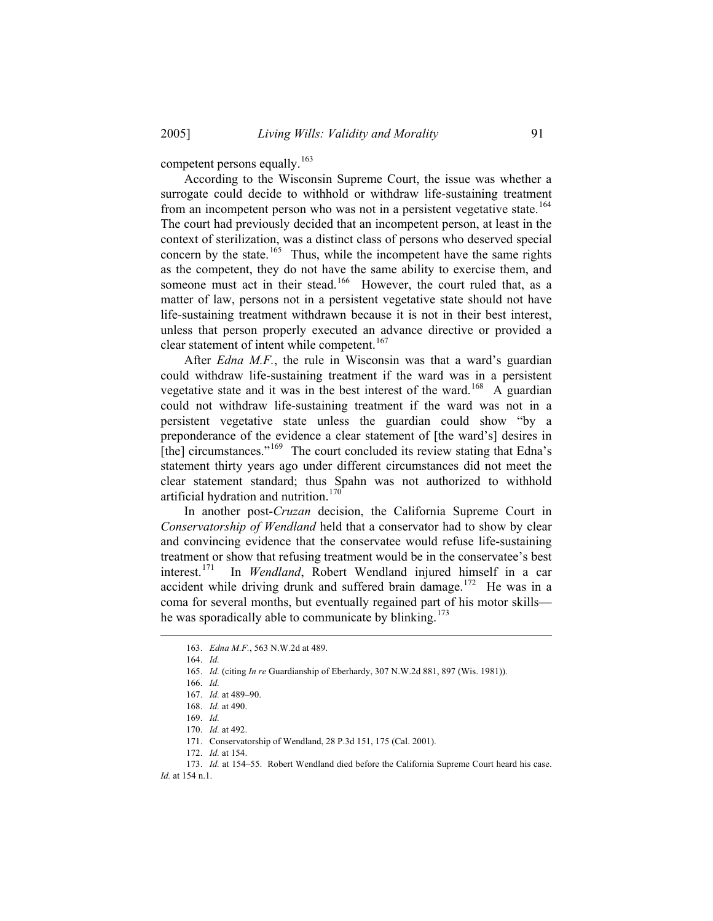competent persons equally.<sup>[163](#page-20-0)</sup>

 According to the Wisconsin Supreme Court, the issue was whether a surrogate could decide to withhold or withdraw life-sustaining treatment from an incompetent person who was not in a persistent vegetative state.<sup>[164](#page-20-1)</sup> The court had previously decided that an incompetent person, at least in the context of sterilization, was a distinct class of persons who deserved special concern by the state.<sup>[165](#page-20-2)</sup> Thus, while the incompetent have the same rights as the competent, they do not have the same ability to exercise them, and someone must act in their stead.<sup>[166](#page-20-3)</sup> However, the court ruled that, as a matter of law, persons not in a persistent vegetative state should not have life-sustaining treatment withdrawn because it is not in their best interest, unless that person properly executed an advance directive or provided a clear statement of intent while competent.<sup>[167](#page-20-4)</sup>

 After *Edna M.F.*, the rule in Wisconsin was that a ward's guardian could withdraw life-sustaining treatment if the ward was in a persistent vegetative state and it was in the best interest of the ward.<sup>[168](#page-20-5)</sup> A guardian could not withdraw life-sustaining treatment if the ward was not in a persistent vegetative state unless the guardian could show "by a preponderance of the evidence a clear statement of [the ward's] desires in [the] circumstances."[169](#page-20-6) The court concluded its review stating that Edna's statement thirty years ago under different circumstances did not meet the clear statement standard; thus Spahn was not authorized to withhold artificial hydration and nutrition.<sup>[170](#page-20-7)</sup>

 In another post-*Cruzan* decision, the California Supreme Court in *Conservatorship of Wendland* held that a conservator had to show by clear and convincing evidence that the conservatee would refuse life-sustaining treatment or show that refusing treatment would be in the conservatee's best<br>interest.<sup>171</sup> In *Wendland*. Robert Wendland injured himself in a car In *Wendland*, Robert Wendland injured himself in a car accident while driving drunk and suffered brain damage.<sup>[172](#page-20-9)</sup> He was in a coma for several months, but eventually regained part of his motor skills— he was sporadically able to communicate by blinking.<sup>[173](#page-20-10)</sup>

<span id="page-20-4"></span><span id="page-20-3"></span><span id="page-20-2"></span><span id="page-20-1"></span><span id="page-20-0"></span> $\overline{a}$ 

172. *Id.* at 154.

<sup>163.</sup> *Edna M.F.*, 563 N.W.2d at 489.

<sup>164.</sup> *Id.*

<sup>165.</sup> *Id.* (citing *In re* Guardianship of Eberhardy, 307 N.W.2d 881, 897 (Wis. 1981)).

<sup>166.</sup> *Id.*

<sup>167.</sup> *Id.* at 489–90.

<sup>168.</sup> *Id.* at 490.

<sup>169.</sup> *Id.*

<sup>170.</sup> *Id.* at 492.

<sup>171.</sup> Conservatorship of Wendland, 28 P.3d 151, 175 (Cal. 2001).

<span id="page-20-10"></span><span id="page-20-9"></span><span id="page-20-8"></span><span id="page-20-7"></span><span id="page-20-6"></span><span id="page-20-5"></span><sup>173.</sup> *Id.* at 154–55. Robert Wendland died before the California Supreme Court heard his case. *Id.* at 154 n.1.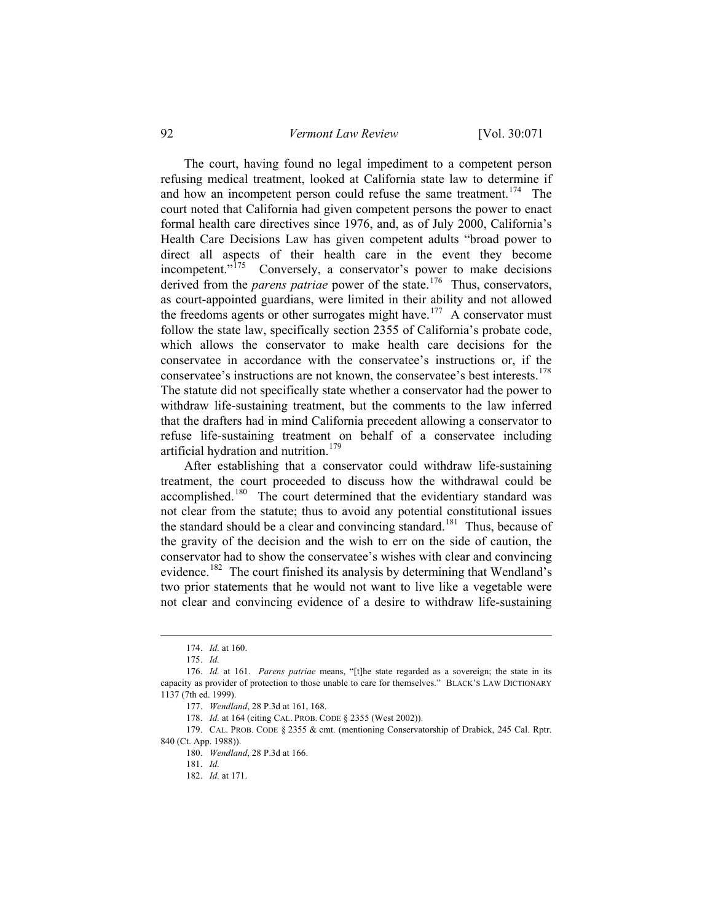92 *Vermont Law Review* [Vol. 30:071

 The court, having found no legal impediment to a competent person refusing medical treatment, looked at California state law to determine if and how an incompetent person could refuse the same treatment.<sup>[174](#page-21-0)</sup> The court noted that California had given competent persons the power to enact formal health care directives since 1976, and, as of July 2000, California's Health Care Decisions Law has given competent adults "broad power to direct all aspects of their health care in the event they become incompetent."<sup>[175](#page-21-1)</sup> Conversely, a conservator's power to make decisions derived from the *parens patriae* power of the state.<sup>[176](#page-21-2)</sup> Thus, conservators, as court-appointed guardians, were limited in their ability and not allowed the freedoms agents or other surrogates might have.<sup>[177](#page-21-3)</sup> A conservator must follow the state law, specifically section 2355 of California's probate code, which allows the conservator to make health care decisions for the conservatee in accordance with the conservatee's instructions or, if the conservatee's instructions are not known, the conservatee's best interests.<sup>[178](#page-21-4)</sup> The statute did not specifically state whether a conservator had the power to withdraw life-sustaining treatment, but the comments to the law inferred that the drafters had in mind California precedent allowing a conservator to refuse life-sustaining treatment on behalf of a conservatee including artificial hydration and nutrition.<sup>[179](#page-21-5)</sup>

 After establishing that a conservator could withdraw life-sustaining treatment, the court proceeded to discuss how the withdrawal could be accomplished.<sup>[180](#page-21-6)</sup> The court determined that the evidentiary standard was not clear from the statute; thus to avoid any potential constitutional issues the standard should be a clear and convincing standard.<sup>[181](#page-21-7)</sup> Thus, because of the gravity of the decision and the wish to err on the side of caution, the conservator had to show the conservatee's wishes with clear and convincing evidence.<sup>[182](#page-21-8)</sup> The court finished its analysis by determining that Wendland's two prior statements that he would not want to live like a vegetable were not clear and convincing evidence of a desire to withdraw life-sustaining

<sup>174.</sup> *Id.* at 160.

<sup>175.</sup> *Id.*

<span id="page-21-2"></span><span id="page-21-1"></span><span id="page-21-0"></span><sup>176.</sup> *Id.* at 161. *Parens patriae* means, "[t]he state regarded as a sovereign; the state in its capacity as provider of protection to those unable to care for themselves." BLACK'S LAW DICTIONARY 1137 (7th ed. 1999).

<sup>177.</sup> *Wendland*, 28 P.3d at 161, 168.

<sup>178.</sup> *Id.* at 164 (citing CAL. PROB. CODE § 2355 (West 2002)).

<span id="page-21-8"></span><span id="page-21-7"></span><span id="page-21-6"></span><span id="page-21-5"></span><span id="page-21-4"></span><span id="page-21-3"></span><sup>179.</sup> CAL. PROB. CODE § 2355 & cmt. (mentioning Conservatorship of Drabick, 245 Cal. Rptr. 840 (Ct. App. 1988)).

<sup>180.</sup> *Wendland*, 28 P.3d at 166.

<sup>181.</sup> *Id.*

<sup>182.</sup> *Id.* at 171.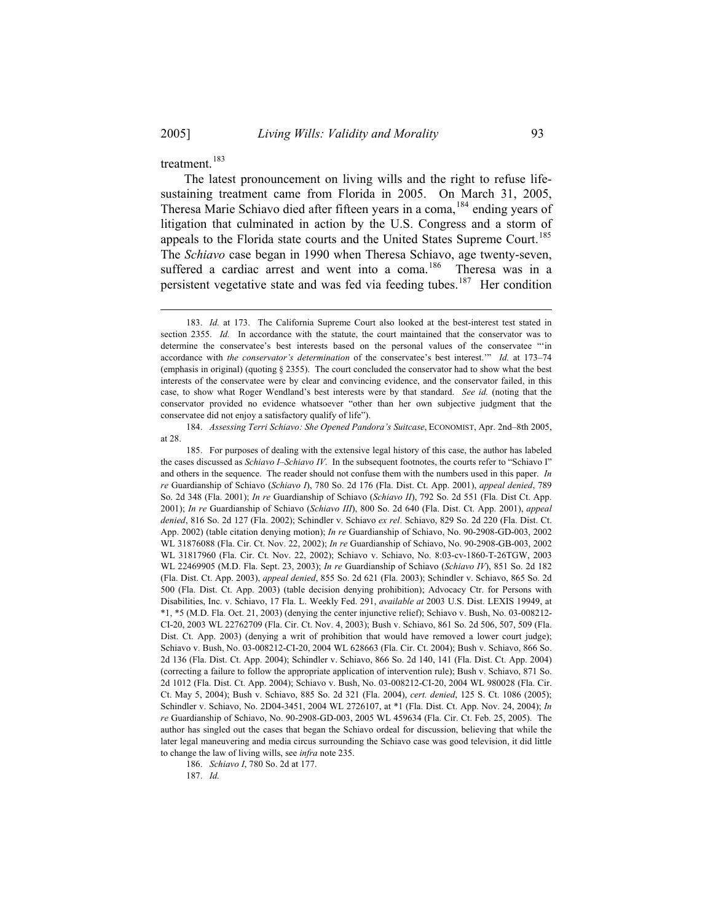$\overline{a}$ 

treatment.<sup>[183](#page-22-0)</sup>

 The latest pronouncement on living wills and the right to refuse lifesustaining treatment came from Florida in 2005. On March 31, 2005, Theresa Marie Schiavo died after fifteen years in a coma,<sup>[184](#page-22-1)</sup> ending years of litigation that culminated in action by the U.S. Congress and a storm of appeals to the Florida state courts and the United States Supreme Court.<sup>[185](#page-22-2)</sup> The *Schiavo* case began in 1990 when Theresa Schiavo, age twenty-seven, suffered a cardiac arrest and went into a coma.<sup>[186](#page-22-3)</sup> Theresa was in a persistent vegetative state and was fed via feeding tubes.<sup>[187](#page-22-4)</sup> Her condition

<span id="page-22-1"></span>184. *Assessing Terri Schiavo: She Opened Pandora's Suitcase*, ECONOMIST, Apr. 2nd–8th 2005, at 28.

<span id="page-22-2"></span>185. For purposes of dealing with the extensive legal history of this case, the author has labeled the cases discussed as *Schiavo I*–*Schiavo IV*. In the subsequent footnotes, the courts refer to "Schiavo I" and others in the sequence. The reader should not confuse them with the numbers used in this paper. *In re* Guardianship of Schiavo (*Schiavo I*), 780 So. 2d 176 (Fla. Dist. Ct. App. 2001), *appeal denied*, 789 So. 2d 348 (Fla. 2001); *In re* Guardianship of Schiavo (*Schiavo II*), 792 So. 2d 551 (Fla. Dist Ct. App. 2001); *In re* Guardianship of Schiavo (*Schiavo III*), 800 So. 2d 640 (Fla. Dist. Ct. App. 2001), *appeal denied*, 816 So. 2d 127 (Fla. 2002); Schindler v. Schiavo *ex rel*. Schiavo, 829 So. 2d 220 (Fla. Dist. Ct. App. 2002) (table citation denying motion); *In re* Guardianship of Schiavo, No. 90-2908-GD-003, 2002 WL 31876088 (Fla. Cir. Ct. Nov. 22, 2002); *In re* Guardianship of Schiavo, No. 90-2908-GB-003, 2002 WL 31817960 (Fla. Cir. Ct. Nov. 22, 2002); Schiavo v. Schiavo, No. 8:03-cv-1860-T-26TGW, 2003 WL 22469905 (M.D. Fla. Sept. 23, 2003); *In re* Guardianship of Schiavo (*Schiavo IV*), 851 So. 2d 182 (Fla. Dist. Ct. App. 2003), *appeal denied*, 855 So. 2d 621 (Fla. 2003); Schindler v. Schiavo, 865 So. 2d 500 (Fla. Dist. Ct. App. 2003) (table decision denying prohibition); Advocacy Ctr. for Persons with Disabilities, Inc. v. Schiavo, 17 Fla. L. Weekly Fed. 291, *available at* 2003 U.S. Dist. LEXIS 19949, at \*1, \*5 (M.D. Fla. Oct. 21, 2003) (denying the center injunctive relief); Schiavo v. Bush, No. 03-008212- CI-20, 2003 WL 22762709 (Fla. Cir. Ct. Nov. 4, 2003); Bush v. Schiavo, 861 So. 2d 506, 507, 509 (Fla. Dist. Ct. App. 2003) (denying a writ of prohibition that would have removed a lower court judge); Schiavo v. Bush, No. 03-008212-CI-20, 2004 WL 628663 (Fla. Cir. Ct. 2004); Bush v. Schiavo, 866 So. 2d 136 (Fla. Dist. Ct. App. 2004); Schindler v. Schiavo, 866 So. 2d 140, 141 (Fla. Dist. Ct. App. 2004) (correcting a failure to follow the appropriate application of intervention rule); Bush v. Schiavo, 871 So. 2d 1012 (Fla. Dist. Ct. App. 2004); Schiavo v. Bush, No. 03-008212-CI-20, 2004 WL 980028 (Fla. Cir. Ct. May 5, 2004); Bush v. Schiavo, 885 So. 2d 321 (Fla. 2004), *cert. denied*, 125 S. Ct. 1086 (2005); Schindler v. Schiavo, No. 2D04-3451, 2004 WL 2726107, at \*1 (Fla. Dist. Ct. App. Nov. 24, 2004); *In re* Guardianship of Schiavo, No. 90-2908-GD-003, 2005 WL 459634 (Fla. Cir. Ct. Feb. 25, 2005).The author has singled out the cases that began the Schiavo ordeal for discussion, believing that while the later legal maneuvering and media circus surrounding the Schiavo case was good television, it did little to change the law of living wills, see *infra* note 235.

<span id="page-22-4"></span><span id="page-22-3"></span>186. *Schiavo I*, 780 So. 2d at 177.

187. *Id.*

<span id="page-22-0"></span><sup>183.</sup> *Id.* at 173. The California Supreme Court also looked at the best-interest test stated in section 2355. *Id.* In accordance with the statute, the court maintained that the conservator was to determine the conservatee's best interests based on the personal values of the conservatee "'in accordance with *the conservator's determination* of the conservatee's best interest.'" *Id.* at 173–74 (emphasis in original) (quoting § 2355). The court concluded the conservator had to show what the best interests of the conservatee were by clear and convincing evidence, and the conservator failed, in this case, to show what Roger Wendland's best interests were by that standard. *See id.* (noting that the conservator provided no evidence whatsoever "other than her own subjective judgment that the conservatee did not enjoy a satisfactory qualify of life").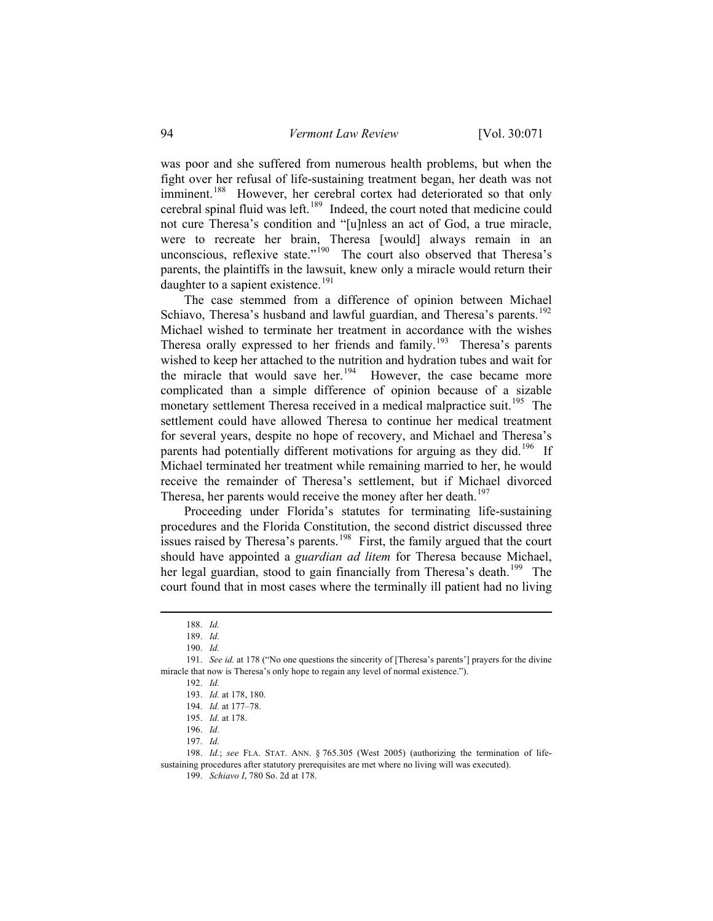was poor and she suffered from numerous health problems, but when the fight over her refusal of life-sustaining treatment began, her death was not imminent.<sup>[188](#page-23-0)</sup> However, her cerebral cortex had deteriorated so that only cerebral spinal fluid was left.<sup>[189](#page-23-1)</sup> Indeed, the court noted that medicine could not cure Theresa's condition and "[u]nless an act of God, a true miracle, were to recreate her brain, Theresa [would] always remain in an unconscious, reflexive state."<sup>[190](#page-23-2)</sup> The court also observed that Theresa's parents, the plaintiffs in the lawsuit, knew only a miracle would return their daughter to a sapient existence.<sup>[191](#page-23-3)</sup>

 The case stemmed from a difference of opinion between Michael Schiavo, Theresa's husband and lawful guardian, and Theresa's parents.<sup>[192](#page-23-4)</sup> Michael wished to terminate her treatment in accordance with the wishes Theresa orally expressed to her friends and family.<sup>[193](#page-23-5)</sup> Theresa's parents wished to keep her attached to the nutrition and hydration tubes and wait for the miracle that would save her.<sup>[194](#page-23-6)</sup> However, the case became more complicated than a simple difference of opinion because of a sizable monetary settlement Theresa received in a medical malpractice suit.<sup>[195](#page-23-7)</sup> The settlement could have allowed Theresa to continue her medical treatment for several years, despite no hope of recovery, and Michael and Theresa's parents had potentially different motivations for arguing as they did.<sup>[196](#page-23-8)</sup> If Michael terminated her treatment while remaining married to her, he would receive the remainder of Theresa's settlement, but if Michael divorced Theresa, her parents would receive the money after her death.<sup>[197](#page-23-9)</sup>

 Proceeding under Florida's statutes for terminating life-sustaining procedures and the Florida Constitution, the second district discussed three issues raised by Theresa's parents.<sup>[198](#page-23-10)</sup> First, the family argued that the court should have appointed a *guardian ad litem* for Theresa because Michael, her legal guardian, stood to gain financially from Theresa's death.<sup>[199](#page-23-11)</sup> The court found that in most cases where the terminally ill patient had no living

<sup>188.</sup> *Id.*

<sup>189.</sup> *Id.*

<sup>190.</sup> *Id.*

<span id="page-23-6"></span><span id="page-23-5"></span><span id="page-23-4"></span><span id="page-23-3"></span><span id="page-23-2"></span><span id="page-23-1"></span><span id="page-23-0"></span><sup>191.</sup> *See id.* at 178 ("No one questions the sincerity of [Theresa's parents'] prayers for the divine miracle that now is Theresa's only hope to regain any level of normal existence.").

<sup>192.</sup> *Id.* 

<sup>193.</sup> *Id.* at 178, 180.

<sup>194.</sup> *Id.* at 177–78.

<sup>195.</sup> *Id.* at 178.

<sup>196.</sup> *Id.*

<sup>197.</sup> *Id.*

<span id="page-23-11"></span><span id="page-23-10"></span><span id="page-23-9"></span><span id="page-23-8"></span><span id="page-23-7"></span><sup>198.</sup> *Id.*; *see* FLA. STAT. ANN. § 765.305 (West 2005) (authorizing the termination of lifesustaining procedures after statutory prerequisites are met where no living will was executed).

<sup>199.</sup> *Schiavo I*, 780 So. 2d at 178.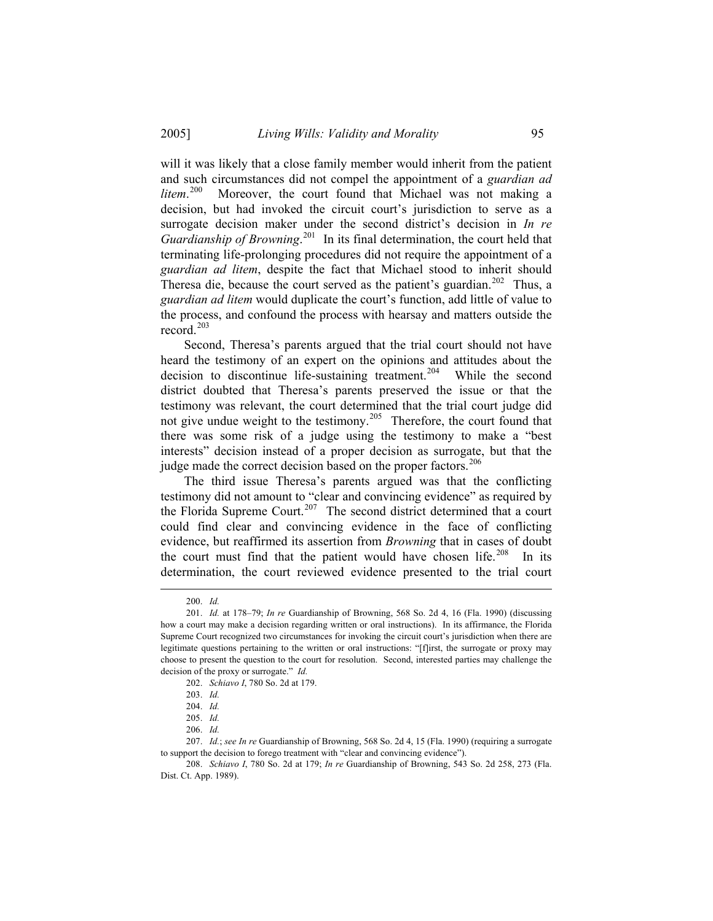will it was likely that a close family member would inherit from the patient and such circumstances did not compel the appointment of a *guardian ad litem*. Moreover, the court found that Michael was not making a decision, but had invoked the circuit court's jurisdiction to serve as a surrogate decision maker under the second district's decision in *In re Guardianship of Browning*. [201](#page-24-1) In its final determination, the court held that terminating life-prolonging procedures did not require the appointment of a *guardian ad litem*, despite the fact that Michael stood to inherit should Theresa die, because the court served as the patient's guardian.<sup>[202](#page-24-2)</sup> Thus, a *guardian ad litem* would duplicate the court's function, add little of value to the process, and confound the process with hearsay and matters outside the record $^{203}$  $^{203}$  $^{203}$ 

 Second, Theresa's parents argued that the trial court should not have heard the testimony of an expert on the opinions and attitudes about the decision to discontinue life-sustaining treatment.<sup>[204](#page-24-4)</sup> While the second district doubted that Theresa's parents preserved the issue or that the testimony was relevant, the court determined that the trial court judge did not give undue weight to the testimony.<sup>[205](#page-24-5)</sup> Therefore, the court found that there was some risk of a judge using the testimony to make a "best interests" decision instead of a proper decision as surrogate, but that the judge made the correct decision based on the proper factors.<sup>[206](#page-24-6)</sup>

 The third issue Theresa's parents argued was that the conflicting testimony did not amount to "clear and convincing evidence" as required by the Florida Supreme Court.<sup>[207](#page-24-7)</sup> The second district determined that a court could find clear and convincing evidence in the face of conflicting evidence, but reaffirmed its assertion from *Browning* that in cases of doubt the court must find that the patient would have chosen life.<sup>[208](#page-24-8)</sup> In its determination, the court reviewed evidence presented to the trial court

<sup>200.</sup> *Id.*

<span id="page-24-1"></span><span id="page-24-0"></span><sup>201.</sup> *Id.* at 178–79; *In re* Guardianship of Browning, 568 So. 2d 4, 16 (Fla. 1990) (discussing how a court may make a decision regarding written or oral instructions). In its affirmance, the Florida Supreme Court recognized two circumstances for invoking the circuit court's jurisdiction when there are legitimate questions pertaining to the written or oral instructions: "[f]irst, the surrogate or proxy may choose to present the question to the court for resolution. Second, interested parties may challenge the decision of the proxy or surrogate." *Id.*

<sup>202.</sup> *Schiavo I*, 780 So. 2d at 179.

<sup>203.</sup> *Id.* 

<sup>204.</sup> *Id.*

<sup>205.</sup> *Id.*

<sup>206.</sup> *Id.*

<span id="page-24-6"></span><span id="page-24-5"></span><span id="page-24-4"></span><span id="page-24-3"></span><span id="page-24-2"></span><sup>207.</sup> *Id.*; *see In re* Guardianship of Browning, 568 So. 2d 4, 15 (Fla. 1990) (requiring a surrogate to support the decision to forego treatment with "clear and convincing evidence").

<span id="page-24-8"></span><span id="page-24-7"></span><sup>208.</sup> *Schiavo I*, 780 So. 2d at 179; *In re* Guardianship of Browning, 543 So. 2d 258, 273 (Fla. Dist. Ct. App. 1989).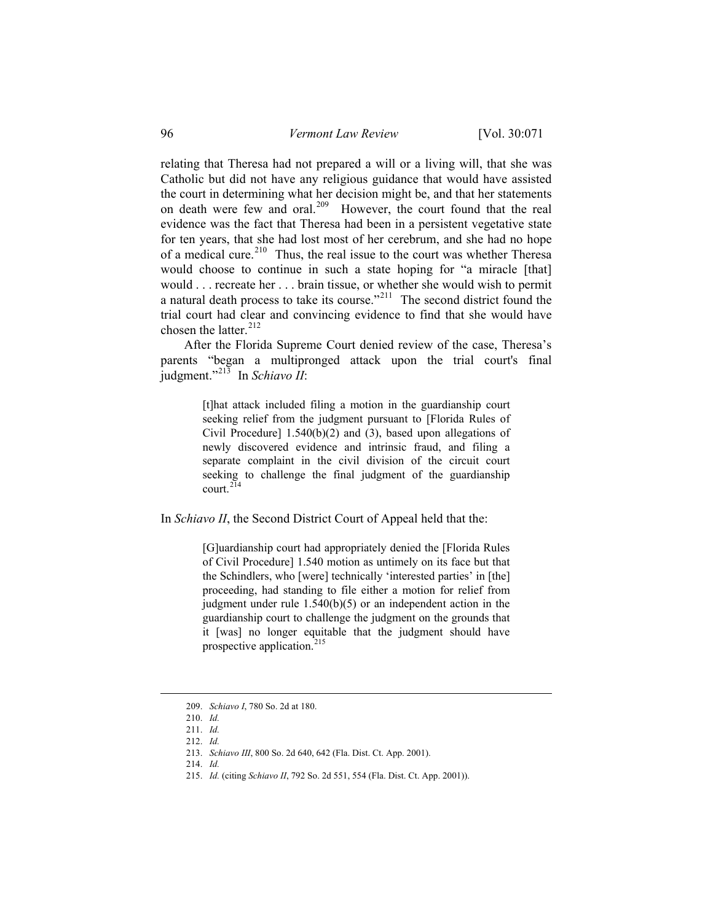relating that Theresa had not prepared a will or a living will, that she was Catholic but did not have any religious guidance that would have assisted the court in determining what her decision might be, and that her statements on death were few and oral.<sup>[209](#page-25-0)</sup> However, the court found that the real evidence was the fact that Theresa had been in a persistent vegetative state for ten years, that she had lost most of her cerebrum, and she had no hope of a medical cure.<sup>[210](#page-25-1)</sup> Thus, the real issue to the court was whether Theresa would choose to continue in such a state hoping for "a miracle [that] would . . . recreate her . . . brain tissue, or whether she would wish to permit a natural death process to take its course."[211](#page-25-2) The second district found the trial court had clear and convincing evidence to find that she would have chosen the latter.<sup>[212](#page-25-3)</sup>

 After the Florida Supreme Court denied review of the case, Theresa's parents "began a multipronged attack upon the trial court's final judgment."[213](#page-25-4) In *Schiavo II*:

> [t]hat attack included filing a motion in the guardianship court seeking relief from the judgment pursuant to [Florida Rules of Civil Procedure] 1.540(b)(2) and (3), based upon allegations of newly discovered evidence and intrinsic fraud, and filing a separate complaint in the civil division of the circuit court seeking to challenge the final judgment of the guardianship court $214$

In *Schiavo II*, the Second District Court of Appeal held that the:

[G]uardianship court had appropriately denied the [Florida Rules of Civil Procedure] 1.540 motion as untimely on its face but that the Schindlers, who [were] technically 'interested parties' in [the] proceeding, had standing to file either a motion for relief from judgment under rule 1.540(b)(5) or an independent action in the guardianship court to challenge the judgment on the grounds that it [was] no longer equitable that the judgment should have prospective application. $215$ 

<span id="page-25-0"></span><sup>209.</sup> *Schiavo I*, 780 So. 2d at 180.

<sup>210.</sup> *Id.*

<span id="page-25-3"></span><span id="page-25-2"></span><span id="page-25-1"></span><sup>211.</sup> *Id.*

<sup>212.</sup> *Id.*

<sup>213.</sup> *Schiavo III*, 800 So. 2d 640, 642 (Fla. Dist. Ct. App. 2001).

<sup>214.</sup> *Id.*

<span id="page-25-6"></span><span id="page-25-5"></span><span id="page-25-4"></span><sup>215.</sup> *Id.* (citing *Schiavo II*, 792 So. 2d 551, 554 (Fla. Dist. Ct. App. 2001)).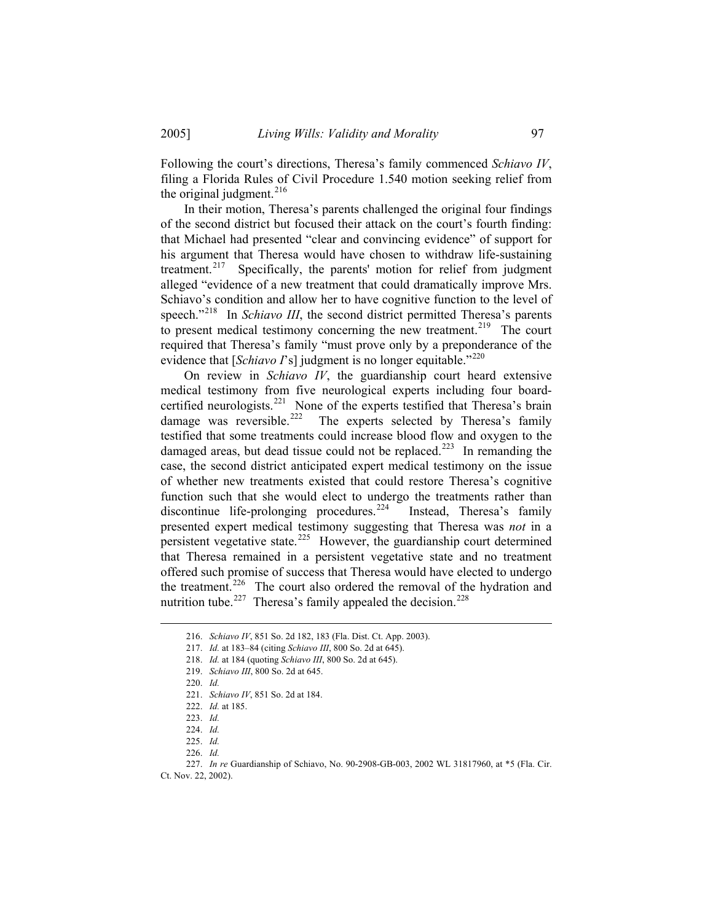Following the court's directions, Theresa's family commenced *Schiavo IV*, filing a Florida Rules of Civil Procedure 1.540 motion seeking relief from the original judgment. $216$ 

 In their motion, Theresa's parents challenged the original four findings of the second district but focused their attack on the court's fourth finding: that Michael had presented "clear and convincing evidence" of support for his argument that Theresa would have chosen to withdraw life-sustaining treatment.<sup>[217](#page-26-1)</sup> Specifically, the parents' motion for relief from judgment alleged "evidence of a new treatment that could dramatically improve Mrs. Schiavo's condition and allow her to have cognitive function to the level of speech."<sup>[218](#page-26-2)</sup> In *Schiavo III*, the second district permitted Theresa's parents to present medical testimony concerning the new treatment.<sup>219</sup> The court required that Theresa's family "must prove only by a preponderance of the evidence that [*Schiavo I*'s] judgment is no longer equitable."<sup>[220](#page-26-4)</sup>

 On review in *Schiavo IV*, the guardianship court heard extensive medical testimony from five neurological experts including four board-certified neurologists.<sup>[221](#page-26-5)</sup> None of the experts testified that Theresa's brain damage was reversible.<sup>222</sup> The experts selected by Theresa's family The experts selected by Theresa's family testified that some treatments could increase blood flow and oxygen to the damaged areas, but dead tissue could not be replaced.<sup>[223](#page-26-7)</sup> In remanding the case, the second district anticipated expert medical testimony on the issue of whether new treatments existed that could restore Theresa's cognitive function such that she would elect to undergo the treatments rather than discontinue life-prolonging procedures.<sup>[224](#page-26-8)</sup> Instead, Theresa's family presented expert medical testimony suggesting that Theresa was *not* in a persistent vegetative state.<sup>[225](#page-26-9)</sup> However, the guardianship court determined that Theresa remained in a persistent vegetative state and no treatment offered such promise of success that Theresa would have elected to undergo the treatment.<sup>[226](#page-26-10)</sup> The court also ordered the removal of the hydration and nutrition tube.<sup>[227](#page-26-11)</sup> Theresa's family appealed the decision.<sup>[228](#page-26-3)</sup>

<sup>216.</sup> *Schiavo IV*, 851 So. 2d 182, 183 (Fla. Dist. Ct. App. 2003).

<span id="page-26-2"></span><span id="page-26-1"></span><span id="page-26-0"></span><sup>217.</sup> *Id.* at 183–84 (citing *Schiavo III*, 800 So. 2d at 645).

<span id="page-26-3"></span><sup>218.</sup> *Id.* at 184 (quoting *Schiavo III*, 800 So. 2d at 645).

<span id="page-26-4"></span><sup>219.</sup> *Schiavo III*, 800 So. 2d at 645.

<sup>220.</sup> *Id.*

<sup>221.</sup> *Schiavo IV*, 851 So. 2d at 184.

<sup>222.</sup> *Id.* at 185.

<sup>223.</sup> *Id.*

<sup>224.</sup> *Id.*

<sup>225.</sup> *Id.*

<sup>226.</sup> *Id.*

<sup>227.</sup> *In re* Guardianship of Schiavo, No. 90-2908-GB-003, 2002 WL 31817960, at \*5 (Fla. Cir.

<span id="page-26-11"></span><span id="page-26-10"></span><span id="page-26-9"></span><span id="page-26-8"></span><span id="page-26-7"></span><span id="page-26-6"></span><span id="page-26-5"></span>Ct. Nov. 22, 2002).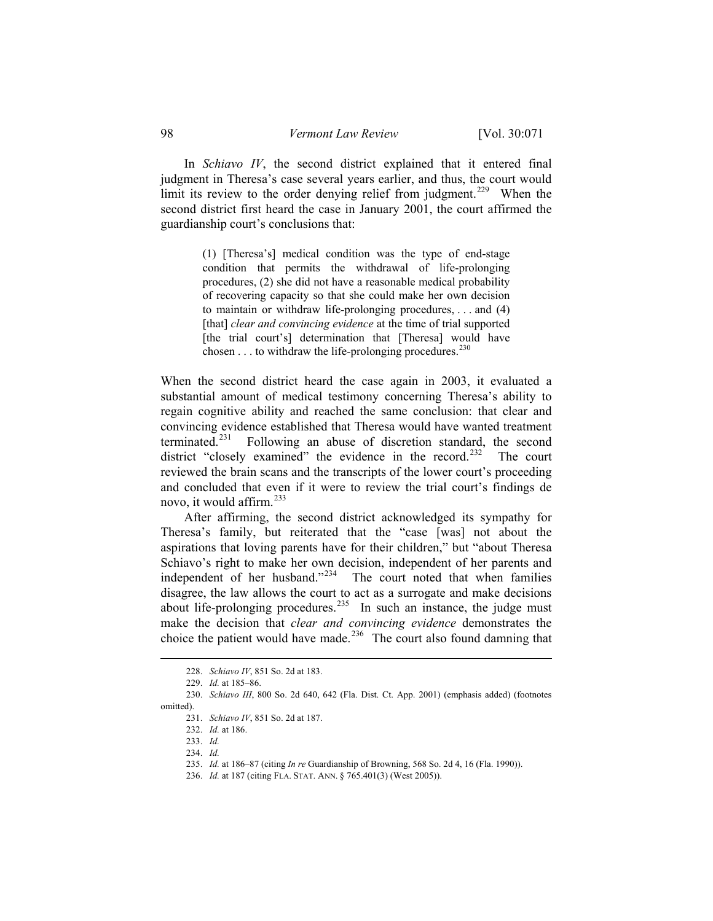In *Schiavo IV*, the second district explained that it entered final judgment in Theresa's case several years earlier, and thus, the court would limit its review to the order denying relief from judgment.<sup>[229](#page-27-0)</sup> When the second district first heard the case in January 2001, the court affirmed the guardianship court's conclusions that:

> (1) [Theresa's] medical condition was the type of end-stage condition that permits the withdrawal of life-prolonging procedures, (2) she did not have a reasonable medical probability of recovering capacity so that she could make her own decision to maintain or withdraw life-prolonging procedures, . . . and (4) [that] *clear and convincing evidence* at the time of trial supported [the trial court's] determination that [Theresa] would have chosen  $\ldots$  to withdraw the life-prolonging procedures.<sup>[230](#page-27-1)</sup>

When the second district heard the case again in 2003, it evaluated a substantial amount of medical testimony concerning Theresa's ability to regain cognitive ability and reached the same conclusion: that clear and convincing evidence established that Theresa would have wanted treatment terminated.<sup>[231](#page-27-2)</sup> Following an abuse of discretion standard, the second district "closely examined" the evidence in the record.<sup>[232](#page-27-3)</sup> The court reviewed the brain scans and the transcripts of the lower court's proceeding and concluded that even if it were to review the trial court's findings de novo, it would affirm.[233](#page-27-4)

 After affirming, the second district acknowledged its sympathy for Theresa's family, but reiterated that the "case [was] not about the aspirations that loving parents have for their children," but "about Theresa Schiavo's right to make her own decision, independent of her parents and independent of her husband."<sup>[234](#page-27-5)</sup> The court noted that when families disagree, the law allows the court to act as a surrogate and make decisions about life-prolonging procedures.<sup>[235](#page-27-6)</sup> In such an instance, the judge must make the decision that *clear and convincing evidence* demonstrates the choice the patient would have made.<sup>[236](#page-27-7)</sup> The court also found damning that

<sup>228.</sup> *Schiavo IV*, 851 So. 2d at 183.

<sup>229.</sup> *Id.* at 185–86.

<span id="page-27-7"></span><span id="page-27-6"></span><span id="page-27-5"></span><span id="page-27-4"></span><span id="page-27-3"></span><span id="page-27-2"></span><span id="page-27-1"></span><span id="page-27-0"></span><sup>230.</sup> *Schiavo III*, 800 So. 2d 640, 642 (Fla. Dist. Ct. App. 2001) (emphasis added) (footnotes omitted).

<sup>231.</sup> *Schiavo IV*, 851 So. 2d at 187.

<sup>232.</sup> *Id.* at 186.

<sup>233.</sup> *Id.*

<sup>234.</sup> *Id.*

<sup>235.</sup> *Id.* at 186–87 (citing *In re* Guardianship of Browning, 568 So. 2d 4, 16 (Fla. 1990)).

<sup>236.</sup> *Id.* at 187 (citing FLA. STAT. ANN. § 765.401(3) (West 2005)).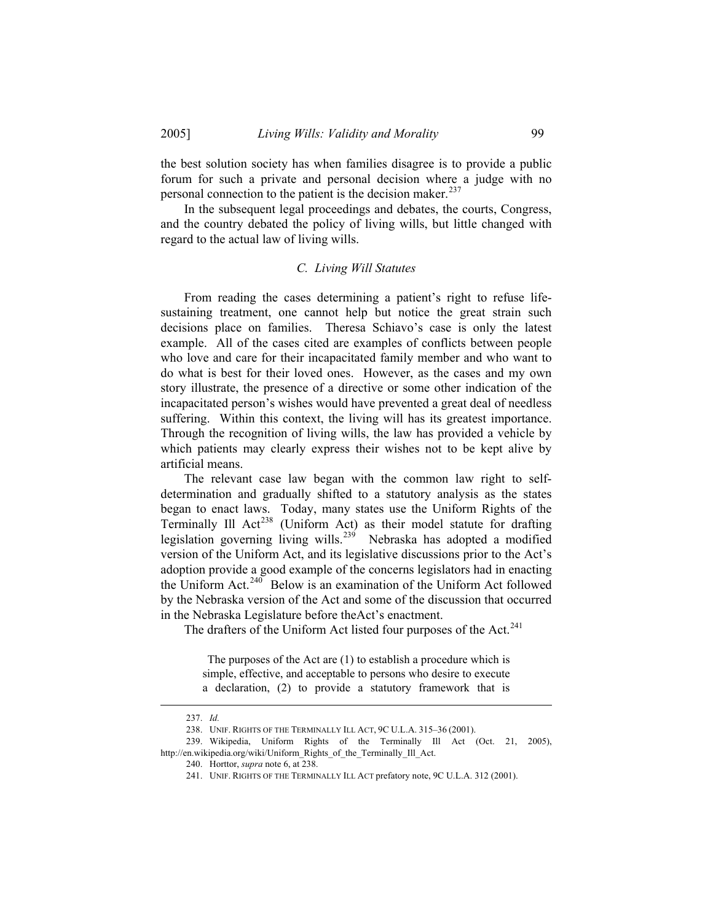the best solution society has when families disagree is to provide a public forum for such a private and personal decision where a judge with no personal connection to the patient is the decision maker.<sup>[237](#page-28-0)</sup>

 In the subsequent legal proceedings and debates, the courts, Congress, and the country debated the policy of living wills, but little changed with regard to the actual law of living wills.

## *C. Living Will Statutes*

 From reading the cases determining a patient's right to refuse lifesustaining treatment, one cannot help but notice the great strain such decisions place on families. Theresa Schiavo's case is only the latest example. All of the cases cited are examples of conflicts between people who love and care for their incapacitated family member and who want to do what is best for their loved ones. However, as the cases and my own story illustrate, the presence of a directive or some other indication of the incapacitated person's wishes would have prevented a great deal of needless suffering. Within this context, the living will has its greatest importance. Through the recognition of living wills, the law has provided a vehicle by which patients may clearly express their wishes not to be kept alive by artificial means.

 The relevant case law began with the common law right to selfdetermination and gradually shifted to a statutory analysis as the states began to enact laws. Today, many states use the Uniform Rights of the Terminally Ill Act<sup>[238](#page-28-1)</sup> (Uniform Act) as their model statute for drafting legislation governing living wills.<sup>[239](#page-28-2)</sup> Nebraska has adopted a modified version of the Uniform Act, and its legislative discussions prior to the Act's adoption provide a good example of the concerns legislators had in enacting the Uniform Act.<sup>[240](#page-28-3)</sup> Below is an examination of the Uniform Act followed by the Nebraska version of the Act and some of the discussion that occurred in the Nebraska Legislature before theAct's enactment.

The drafters of the Uniform Act listed four purposes of the Act.<sup>[241](#page-28-4)</sup>

 The purposes of the Act are (1) to establish a procedure which is simple, effective, and acceptable to persons who desire to execute a declaration, (2) to provide a statutory framework that is

<sup>237.</sup> *Id.*

<sup>238.</sup> UNIF. RIGHTS OF THE TERMINALLY ILL ACT, 9C U.L.A. 315–36 (2001).

<sup>239.</sup> Wikipedia, Uniform Rights of the Terminally Ill Act (Oct. 21, 2005),

<span id="page-28-4"></span><span id="page-28-3"></span><span id="page-28-2"></span><span id="page-28-1"></span><span id="page-28-0"></span>http://en.wikipedia.org/wiki/Uniform\_Rights\_of\_the\_Terminally\_Ill\_Act.

<sup>240.</sup> Horttor, *supra* note 6, at 238.

<sup>241.</sup> UNIF. RIGHTS OF THE TERMINALLY ILL ACT prefatory note, 9C U.L.A. 312 (2001).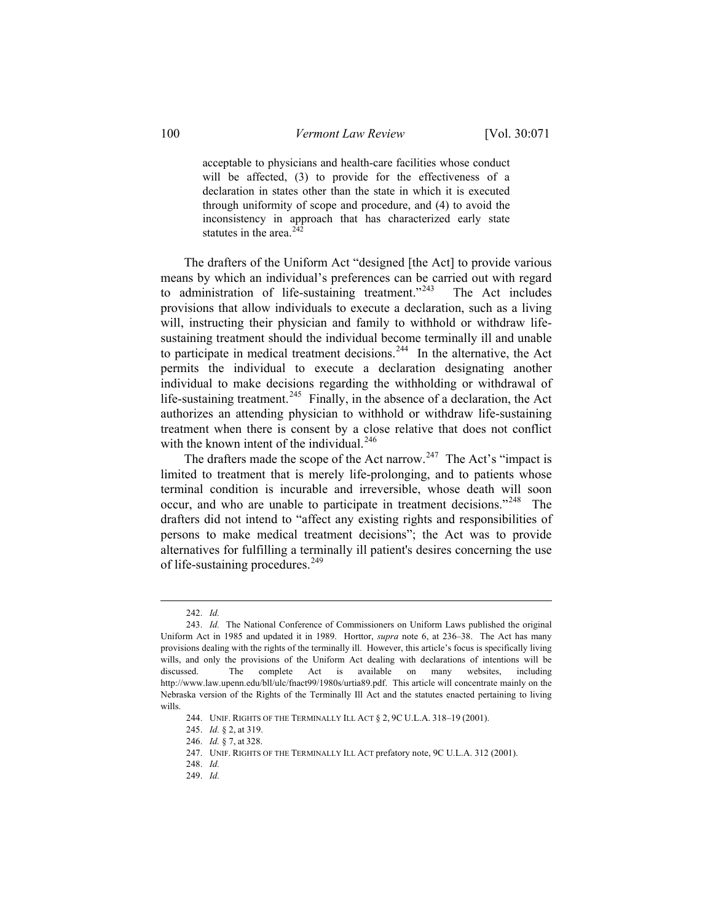acceptable to physicians and health-care facilities whose conduct will be affected, (3) to provide for the effectiveness of a declaration in states other than the state in which it is executed through uniformity of scope and procedure, and (4) to avoid the inconsistency in approach that has characterized early state statutes in the area. $242$ 

 The drafters of the Uniform Act "designed [the Act] to provide various means by which an individual's preferences can be carried out with regard to administration of life-sustaining treatment."<sup>[243](#page-29-1)</sup> The Act includes provisions that allow individuals to execute a declaration, such as a living will, instructing their physician and family to withhold or withdraw lifesustaining treatment should the individual become terminally ill and unable to participate in medical treatment decisions.<sup>[244](#page-29-2)</sup> In the alternative, the Act permits the individual to execute a declaration designating another individual to make decisions regarding the withholding or withdrawal of life-sustaining treatment.<sup>[245](#page-29-3)</sup> Finally, in the absence of a declaration, the Act authorizes an attending physician to withhold or withdraw life-sustaining treatment when there is consent by a close relative that does not conflict with the known intent of the individual.<sup>[246](#page-29-4)</sup>

The drafters made the scope of the Act narrow.<sup>[247](#page-29-5)</sup> The Act's "impact is limited to treatment that is merely life-prolonging, and to patients whose terminal condition is incurable and irreversible, whose death will soon occur, and who are unable to participate in treatment decisions."<sup>[248](#page-29-6)</sup> The drafters did not intend to "affect any existing rights and responsibilities of persons to make medical treatment decisions"; the Act was to provide alternatives for fulfilling a terminally ill patient's desires concerning the use of life-sustaining procedures.<sup>[249](#page-29-7)</sup>

<sup>242.</sup> *Id.*

<span id="page-29-2"></span><span id="page-29-1"></span><span id="page-29-0"></span><sup>243.</sup> *Id.* The National Conference of Commissioners on Uniform Laws published the original Uniform Act in 1985 and updated it in 1989. Horttor, *supra* note 6, at 236–38. The Act has many provisions dealing with the rights of the terminally ill. However, this article's focus is specifically living wills, and only the provisions of the Uniform Act dealing with declarations of intentions will be discussed. The complete Act is available on many websites, including http://www.law.upenn.edu/bll/ulc/fnact99/1980s/urtia89.pdf. This article will concentrate mainly on the Nebraska version of the Rights of the Terminally Ill Act and the statutes enacted pertaining to living wills.

<sup>244.</sup> UNIF. RIGHTS OF THE TERMINALLY ILL ACT § 2, 9C U.L.A. 318–19 (2001).

<sup>245.</sup> *Id.* § 2, at 319.

<span id="page-29-5"></span><span id="page-29-4"></span><span id="page-29-3"></span><sup>246.</sup> *Id.* § 7, at 328.

<sup>247.</sup> UNIF. RIGHTS OF THE TERMINALLY ILL ACT prefatory note, 9C U.L.A. 312 (2001).

<sup>248.</sup> *Id.*

<span id="page-29-7"></span><span id="page-29-6"></span><sup>249.</sup> *Id.*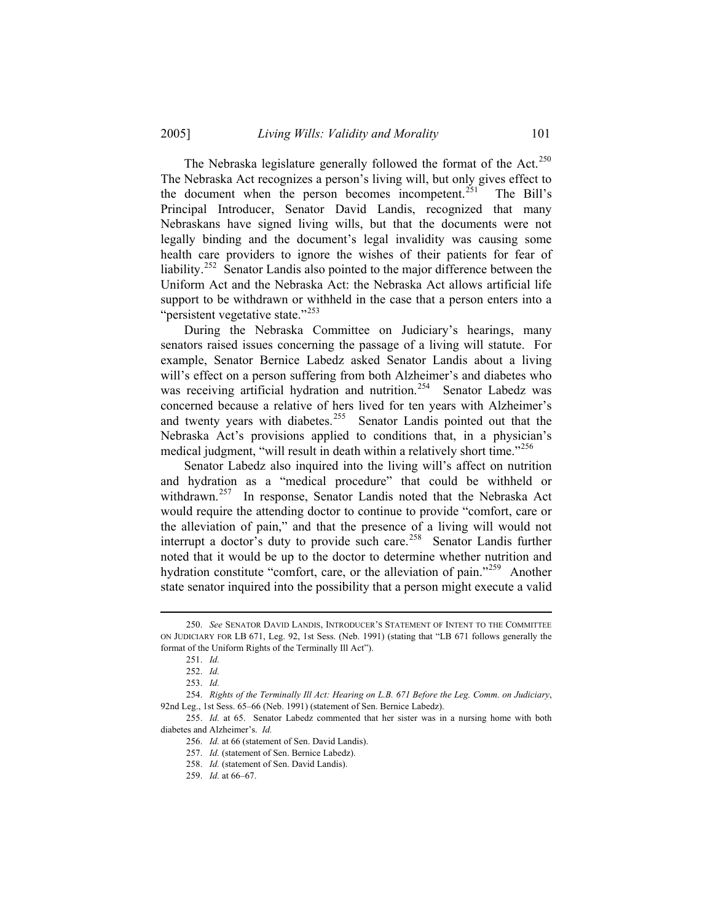The Nebraska legislature generally followed the format of the Act.<sup>[250](#page-30-0)</sup> The Nebraska Act recognizes a person's living will, but only gives effect to the document when the person becomes incompetent.<sup>[251](#page-30-1)</sup> The Bill's Principal Introducer, Senator David Landis, recognized that many Nebraskans have signed living wills, but that the documents were not legally binding and the document's legal invalidity was causing some health care providers to ignore the wishes of their patients for fear of liability.<sup>[252](#page-30-2)</sup> Senator Landis also pointed to the major difference between the Uniform Act and the Nebraska Act: the Nebraska Act allows artificial life support to be withdrawn or withheld in the case that a person enters into a "persistent vegetative state."<sup>[253](#page-30-3)</sup>

 During the Nebraska Committee on Judiciary's hearings, many senators raised issues concerning the passage of a living will statute. For example, Senator Bernice Labedz asked Senator Landis about a living will's effect on a person suffering from both Alzheimer's and diabetes who was receiving artificial hydration and nutrition.<sup>[254](#page-30-4)</sup> Senator Labedz was concerned because a relative of hers lived for ten years with Alzheimer's and twenty years with diabetes.<sup>[255](#page-30-5)</sup> Senator Landis pointed out that the Nebraska Act's provisions applied to conditions that, in a physician's medical judgment, "will result in death within a relatively short time."<sup>[256](#page-30-6)</sup>

 Senator Labedz also inquired into the living will's affect on nutrition and hydration as a "medical procedure" that could be withheld or withdrawn.<sup>[257](#page-30-7)</sup> In response, Senator Landis noted that the Nebraska Act would require the attending doctor to continue to provide "comfort, care or the alleviation of pain," and that the presence of a living will would not interrupt a doctor's duty to provide such care.<sup>[258](#page-30-8)</sup> Senator Landis further noted that it would be up to the doctor to determine whether nutrition and hydration constitute "comfort, care, or the alleviation of pain."<sup>[259](#page-30-9)</sup> Another state senator inquired into the possibility that a person might execute a valid

<span id="page-30-1"></span><span id="page-30-0"></span><sup>250.</sup> *See* SENATOR DAVID LANDIS, INTRODUCER'S STATEMENT OF INTENT TO THE COMMITTEE ON JUDICIARY FOR LB 671, Leg. 92, 1st Sess. (Neb. 1991) (stating that "LB 671 follows generally the format of the Uniform Rights of the Terminally Ill Act").

<sup>251.</sup> *Id.*

<sup>252.</sup> *Id.*

<sup>253.</sup> *Id.*

<span id="page-30-4"></span><span id="page-30-3"></span><span id="page-30-2"></span><sup>254.</sup> *Rights of the Terminally Ill Act: Hearing on L.B. 671 Before the Leg. Comm. on Judiciary*, 92nd Leg., 1st Sess. 65–66 (Neb. 1991) (statement of Sen. Bernice Labedz).

<span id="page-30-9"></span><span id="page-30-8"></span><span id="page-30-7"></span><span id="page-30-6"></span><span id="page-30-5"></span><sup>255.</sup> *Id.* at 65. Senator Labedz commented that her sister was in a nursing home with both diabetes and Alzheimer's. *Id.*

<sup>256.</sup> *Id.* at 66 (statement of Sen. David Landis).

<sup>257.</sup> *Id.* (statement of Sen. Bernice Labedz).

<sup>258.</sup> *Id.* (statement of Sen. David Landis).

<sup>259.</sup> *Id.* at 66–67.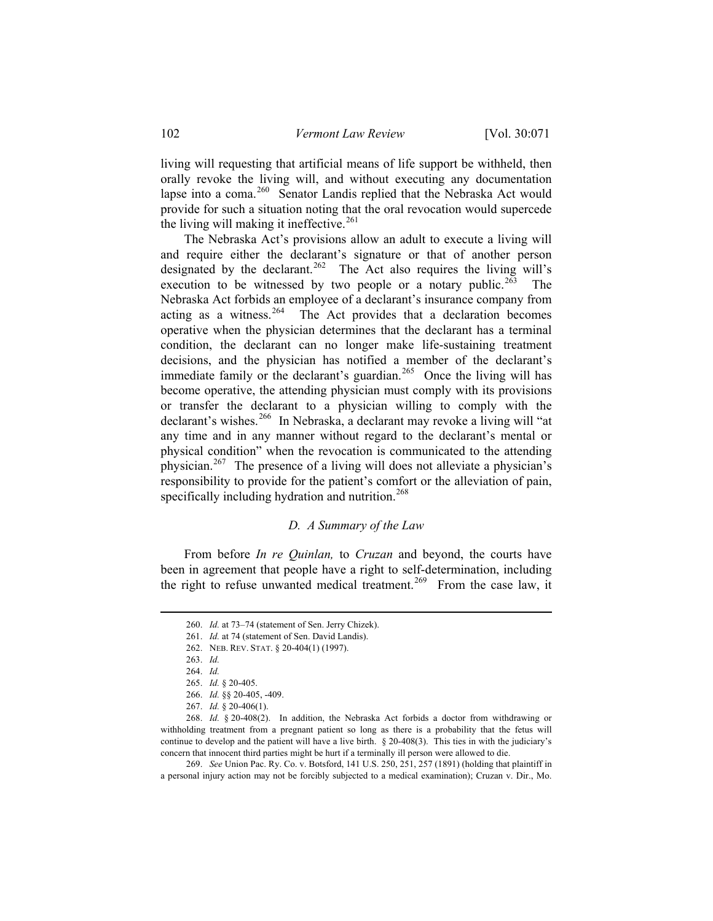living will requesting that artificial means of life support be withheld, then orally revoke the living will, and without executing any documentation lapse into a coma.<sup>[260](#page-31-0)</sup> Senator Landis replied that the Nebraska Act would provide for such a situation noting that the oral revocation would supercede the living will making it ineffective. $261$ 

 The Nebraska Act's provisions allow an adult to execute a living will and require either the declarant's signature or that of another person designated by the declarant.<sup>[262](#page-31-2)</sup> The Act also requires the living will's execution to be witnessed by two people or a notary public.<sup>[263](#page-31-3)</sup> The Nebraska Act forbids an employee of a declarant's insurance company from acting as a witness.<sup>[264](#page-31-4)</sup> The Act provides that a declaration becomes operative when the physician determines that the declarant has a terminal condition, the declarant can no longer make life-sustaining treatment decisions, and the physician has notified a member of the declarant's immediate family or the declarant's guardian.<sup>[265](#page-31-5)</sup> Once the living will has become operative, the attending physician must comply with its provisions or transfer the declarant to a physician willing to comply with the declarant's wishes.<sup>[266](#page-31-6)</sup> In Nebraska, a declarant may revoke a living will "at any time and in any manner without regard to the declarant's mental or physical condition" when the revocation is communicated to the attending physician.<sup>[267](#page-31-7)</sup> The presence of a living will does not alleviate a physician's responsibility to provide for the patient's comfort or the alleviation of pain, specifically including hydration and nutrition.<sup>[268](#page-31-8)</sup>

### *D. A Summary of the Law*

<span id="page-31-0"></span> From before *In re Quinlan,* to *Cruzan* and beyond, the courts have been in agreement that people have a right to self-determination, including the right to refuse unwanted medical treatment.<sup>[269](#page-31-9)</sup> From the case law, it

<sup>260.</sup> *Id.* at 73–74 (statement of Sen. Jerry Chizek).

<sup>261.</sup> *Id.* at 74 (statement of Sen. David Landis).

<sup>262.</sup> NEB. REV. STAT. § 20-404(1) (1997).

<sup>263.</sup> *Id.*

<sup>264.</sup> *Id.*

<sup>265.</sup> *Id.* § 20-405.

<sup>266.</sup> *Id.* §§ 20-405, -409.

<sup>267.</sup> *Id.* § 20-406(1).

<span id="page-31-8"></span><span id="page-31-7"></span><span id="page-31-6"></span><span id="page-31-5"></span><span id="page-31-4"></span><span id="page-31-3"></span><span id="page-31-2"></span><span id="page-31-1"></span><sup>268.</sup> *Id.* § 20-408(2). In addition, the Nebraska Act forbids a doctor from withdrawing or withholding treatment from a pregnant patient so long as there is a probability that the fetus will continue to develop and the patient will have a live birth. § 20-408(3). This ties in with the judiciary's concern that innocent third parties might be hurt if a terminally ill person were allowed to die.

<span id="page-31-9"></span><sup>269.</sup> *See* Union Pac. Ry. Co. v. Botsford, 141 U.S. 250, 251, 257 (1891) (holding that plaintiff in a personal injury action may not be forcibly subjected to a medical examination); Cruzan v. Dir., Mo.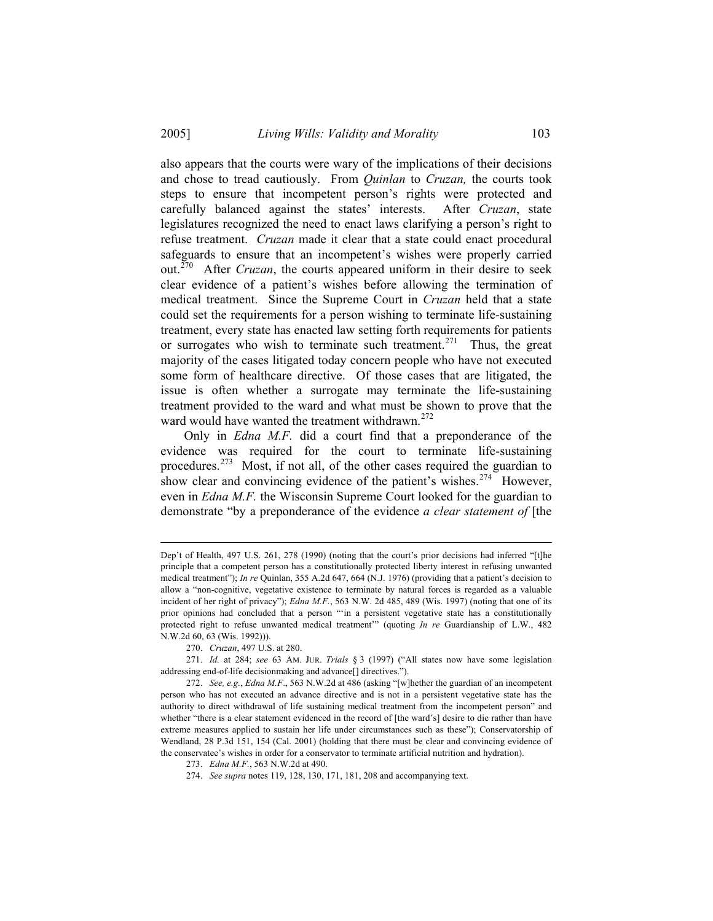also appears that the courts were wary of the implications of their decisions and chose to tread cautiously. From *Quinlan* to *Cruzan,* the courts took steps to ensure that incompetent person's rights were protected and carefully balanced against the states' interests. After *Cruzan*, state legislatures recognized the need to enact laws clarifying a person's right to refuse treatment. *Cruzan* made it clear that a state could enact procedural safeguards to ensure that an incompetent's wishes were properly carried out.<sup> $270$ </sup> After *Cruzan*, the courts appeared uniform in their desire to seek clear evidence of a patient's wishes before allowing the termination of medical treatment. Since the Supreme Court in *Cruzan* held that a state could set the requirements for a person wishing to terminate life-sustaining treatment, every state has enacted law setting forth requirements for patients or surrogates who wish to terminate such treatment.<sup>[271](#page-32-1)</sup> Thus, the great majority of the cases litigated today concern people who have not executed some form of healthcare directive. Of those cases that are litigated, the issue is often whether a surrogate may terminate the life-sustaining treatment provided to the ward and what must be shown to prove that the ward would have wanted the treatment withdrawn.<sup>[272](#page-32-2)</sup>

 Only in *Edna M.F.* did a court find that a preponderance of the evidence was required for the court to terminate life-sustaining procedures.<sup>[273](#page-32-3)</sup> Most, if not all, of the other cases required the guardian to show clear and convincing evidence of the patient's wishes.<sup>[274](#page-32-4)</sup> However, even in *Edna M.F.* the Wisconsin Supreme Court looked for the guardian to demonstrate "by a preponderance of the evidence *a clear statement of* [the

Dep't of Health, 497 U.S. 261, 278 (1990) (noting that the court's prior decisions had inferred "[t]he principle that a competent person has a constitutionally protected liberty interest in refusing unwanted medical treatment"); *In re* Quinlan, 355 A.2d 647, 664 (N.J. 1976) (providing that a patient's decision to allow a "non-cognitive, vegetative existence to terminate by natural forces is regarded as a valuable incident of her right of privacy"); *Edna M.F.*, 563 N.W. 2d 485, 489 (Wis. 1997) (noting that one of its prior opinions had concluded that a person "'in a persistent vegetative state has a constitutionally protected right to refuse unwanted medical treatment'" (quoting *In re* Guardianship of L.W., 482 N.W.2d 60, 63 (Wis. 1992))).

<sup>270.</sup> *Cruzan*, 497 U.S. at 280.

<span id="page-32-1"></span><span id="page-32-0"></span><sup>271.</sup> *Id.* at 284; *see* 63 AM. JUR. *Trials* § 3 (1997) ("All states now have some legislation addressing end-of-life decisionmaking and advance[] directives.").

<span id="page-32-3"></span><span id="page-32-2"></span><sup>272.</sup> *See, e.g.*, *Edna M.F*., 563 N.W.2d at 486 (asking "[w]hether the guardian of an incompetent person who has not executed an advance directive and is not in a persistent vegetative state has the authority to direct withdrawal of life sustaining medical treatment from the incompetent person" and whether "there is a clear statement evidenced in the record of [the ward's] desire to die rather than have extreme measures applied to sustain her life under circumstances such as these"); Conservatorship of Wendland, 28 P.3d 151, 154 (Cal. 2001) (holding that there must be clear and convincing evidence of the conservatee's wishes in order for a conservator to terminate artificial nutrition and hydration).

<span id="page-32-4"></span><sup>273.</sup> *Edna M.F.*, 563 N.W.2d at 490.

<sup>274.</sup> *See supra* notes 119, 128, 130, 171, 181, 208 and accompanying text.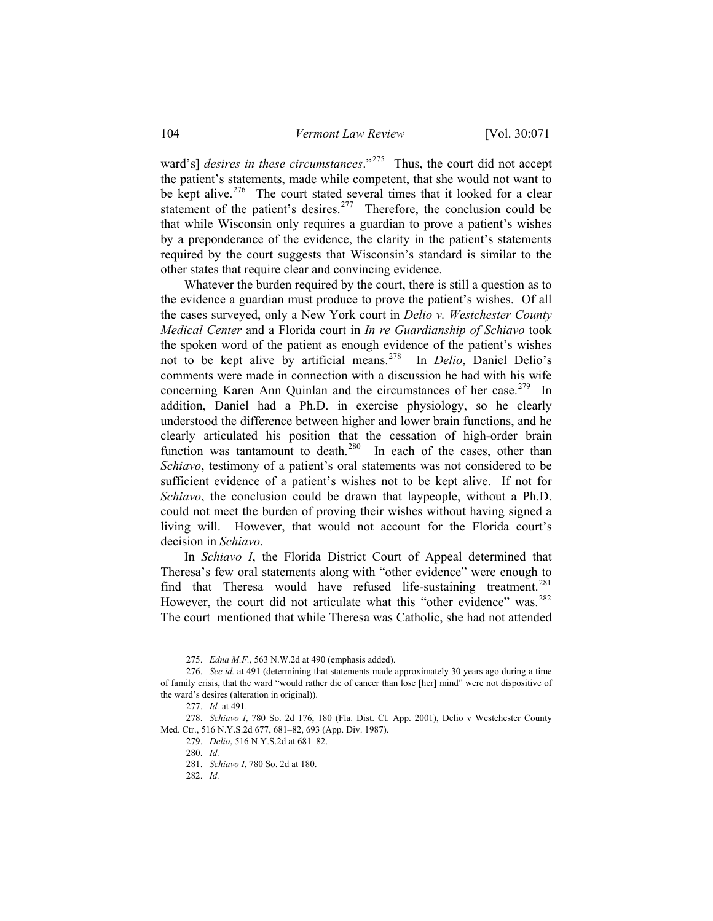ward's] *desires in these circumstances*."<sup>[275](#page-33-0)</sup> Thus, the court did not accept the patient's statements, made while competent, that she would not want to be kept alive.<sup>[276](#page-33-1)</sup> The court stated several times that it looked for a clear statement of the patient's desires.<sup>[277](#page-33-2)</sup> Therefore, the conclusion could be that while Wisconsin only requires a guardian to prove a patient's wishes by a preponderance of the evidence, the clarity in the patient's statements required by the court suggests that Wisconsin's standard is similar to the other states that require clear and convincing evidence.

 Whatever the burden required by the court, there is still a question as to the evidence a guardian must produce to prove the patient's wishes. Of all the cases surveyed, only a New York court in *Delio v. Westchester County Medical Center* and a Florida court in *In re Guardianship of Schiavo* took the spoken word of the patient as enough evidence of the patient's wishes not to be kept alive by artificial means.[278](#page-33-3) In *Delio*, Daniel Delio's comments were made in connection with a discussion he had with his wife concerning Karen Ann Quinlan and the circumstances of her case.<sup>[279](#page-33-4)</sup> In addition, Daniel had a Ph.D. in exercise physiology, so he clearly understood the difference between higher and lower brain functions, and he clearly articulated his position that the cessation of high-order brain function was tantamount to death. $280$  In each of the cases, other than *Schiavo*, testimony of a patient's oral statements was not considered to be sufficient evidence of a patient's wishes not to be kept alive. If not for *Schiavo*, the conclusion could be drawn that laypeople, without a Ph.D. could not meet the burden of proving their wishes without having signed a living will. However, that would not account for the Florida court's decision in *Schiavo*.

 In *Schiavo I*, the Florida District Court of Appeal determined that Theresa's few oral statements along with "other evidence" were enough to find that Theresa would have refused life-sustaining treatment.<sup>[281](#page-33-6)</sup> However, the court did not articulate what this "other evidence" was.<sup>[282](#page-33-7)</sup> The court mentioned that while Theresa was Catholic, she had not attended

<sup>275.</sup> *Edna M.F.*, 563 N.W.2d at 490 (emphasis added).

<span id="page-33-1"></span><span id="page-33-0"></span><sup>276.</sup> *See id.* at 491 (determining that statements made approximately 30 years ago during a time of family crisis, that the ward "would rather die of cancer than lose [her] mind" were not dispositive of the ward's desires (alteration in original)).

<sup>277.</sup> *Id.* at 491.

<span id="page-33-7"></span><span id="page-33-6"></span><span id="page-33-5"></span><span id="page-33-4"></span><span id="page-33-3"></span><span id="page-33-2"></span><sup>278.</sup> *Schiavo I*, 780 So. 2d 176, 180 (Fla. Dist. Ct. App. 2001), Delio v Westchester County Med. Ctr., 516 N.Y.S.2d 677, 681–82, 693 (App. Div. 1987).

<sup>279.</sup> *Delio*, 516 N.Y.S.2d at 681–82.

<sup>280.</sup> *Id.* 

<sup>281.</sup> *Schiavo I*, 780 So. 2d at 180.

<sup>282.</sup> *Id.*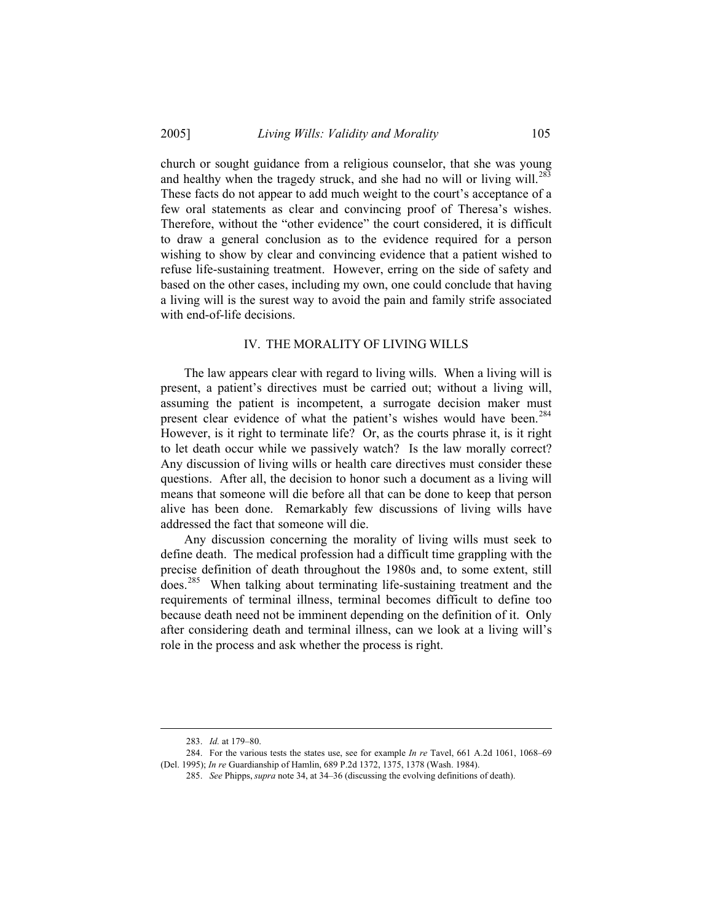church or sought guidance from a religious counselor, that she was young and healthy when the tragedy struck, and she had no will or living will.<sup>[283](#page-34-0)</sup> These facts do not appear to add much weight to the court's acceptance of a few oral statements as clear and convincing proof of Theresa's wishes. Therefore, without the "other evidence" the court considered, it is difficult to draw a general conclusion as to the evidence required for a person wishing to show by clear and convincing evidence that a patient wished to refuse life-sustaining treatment. However, erring on the side of safety and based on the other cases, including my own, one could conclude that having a living will is the surest way to avoid the pain and family strife associated with end-of-life decisions.

### IV. THE MORALITY OF LIVING WILLS

 The law appears clear with regard to living wills. When a living will is present, a patient's directives must be carried out; without a living will, assuming the patient is incompetent, a surrogate decision maker must present clear evidence of what the patient's wishes would have been.<sup>[284](#page-34-1)</sup> However, is it right to terminate life? Or, as the courts phrase it, is it right to let death occur while we passively watch? Is the law morally correct? Any discussion of living wills or health care directives must consider these questions. After all, the decision to honor such a document as a living will means that someone will die before all that can be done to keep that person alive has been done. Remarkably few discussions of living wills have addressed the fact that someone will die.

 Any discussion concerning the morality of living wills must seek to define death. The medical profession had a difficult time grappling with the precise definition of death throughout the 1980s and, to some extent, still does.[285](#page-34-2) When talking about terminating life-sustaining treatment and the requirements of terminal illness, terminal becomes difficult to define too because death need not be imminent depending on the definition of it. Only after considering death and terminal illness, can we look at a living will's role in the process and ask whether the process is right.

<sup>283.</sup> *Id.* at 179–80.

<span id="page-34-2"></span><span id="page-34-1"></span><span id="page-34-0"></span><sup>284.</sup> For the various tests the states use, see for example *In re* Tavel, 661 A.2d 1061, 1068–69 (Del. 1995); *In re* Guardianship of Hamlin, 689 P.2d 1372, 1375, 1378 (Wash. 1984).

<sup>285.</sup> *See* Phipps, *supra* note 34, at 34–36 (discussing the evolving definitions of death).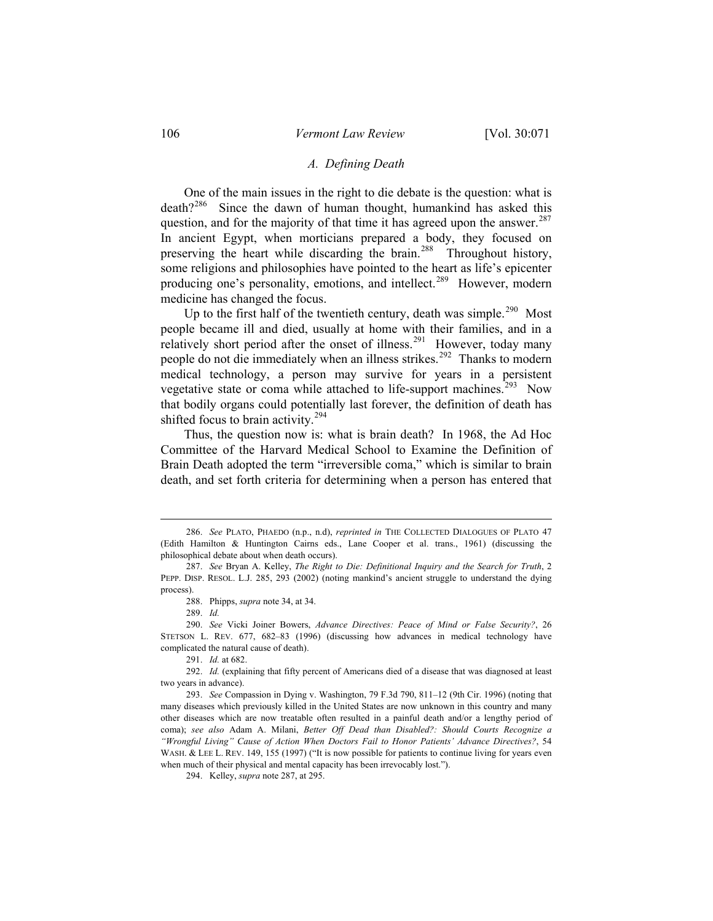#### *A. Defining Death*

 One of the main issues in the right to die debate is the question: what is death?<sup>[286](#page-35-0)</sup> Since the dawn of human thought, humankind has asked this question, and for the majority of that time it has agreed upon the answer.<sup>[287](#page-35-1)</sup> In ancient Egypt, when morticians prepared a body, they focused on preserving the heart while discarding the brain.<sup>[288](#page-35-2)</sup> Throughout history, some religions and philosophies have pointed to the heart as life's epicenter producing one's personality, emotions, and intellect.<sup>[289](#page-35-3)</sup> However, modern medicine has changed the focus.

Up to the first half of the twentieth century, death was simple.<sup>[290](#page-35-4)</sup> Most people became ill and died, usually at home with their families, and in a relatively short period after the onset of illness.<sup>[291](#page-35-5)</sup> However, today many people do not die immediately when an illness strikes.<sup>[292](#page-35-6)</sup> Thanks to modern medical technology, a person may survive for years in a persistent vegetative state or coma while attached to life-support machines.<sup>[293](#page-35-7)</sup> Now that bodily organs could potentially last forever, the definition of death has shifted focus to brain activity.<sup>[294](#page-35-8)</sup>

 Thus, the question now is: what is brain death? In 1968, the Ad Hoc Committee of the Harvard Medical School to Examine the Definition of Brain Death adopted the term "irreversible coma," which is similar to brain death, and set forth criteria for determining when a person has entered that

289. *Id.* 

 $\overline{a}$ 

294. Kelley, *supra* note 287, at 295.

<span id="page-35-0"></span><sup>286.</sup> *See* PLATO, PHAEDO (n.p., n.d), *reprinted in* THE COLLECTED DIALOGUES OF PLATO 47 (Edith Hamilton & Huntington Cairns eds., Lane Cooper et al. trans., 1961) (discussing the philosophical debate about when death occurs).

<span id="page-35-1"></span><sup>287.</sup> *See* Bryan A. Kelley, *The Right to Die: Definitional Inquiry and the Search for Truth*, 2 PEPP. DISP. RESOL. L.J. 285, 293 (2002) (noting mankind's ancient struggle to understand the dying process).

<sup>288.</sup> Phipps, *supra* note 34, at 34.

<span id="page-35-4"></span><span id="page-35-3"></span><span id="page-35-2"></span><sup>290.</sup> *See* Vicki Joiner Bowers, *Advance Directives: Peace of Mind or False Security?*, 26 STETSON L. REV. 677, 682–83 (1996) (discussing how advances in medical technology have complicated the natural cause of death).

<sup>291.</sup> *Id.* at 682.

<span id="page-35-6"></span><span id="page-35-5"></span><sup>292.</sup> *Id.* (explaining that fifty percent of Americans died of a disease that was diagnosed at least two years in advance).

<span id="page-35-8"></span><span id="page-35-7"></span><sup>293.</sup> *See* Compassion in Dying v. Washington, 79 F.3d 790, 811–12 (9th Cir. 1996) (noting that many diseases which previously killed in the United States are now unknown in this country and many other diseases which are now treatable often resulted in a painful death and/or a lengthy period of coma); *see also* Adam A. Milani, *Better Off Dead than Disabled?: Should Courts Recognize a "Wrongful Living" Cause of Action When Doctors Fail to Honor Patients' Advance Directives?*, 54 WASH. & LEE L. REV. 149, 155 (1997) ("It is now possible for patients to continue living for years even when much of their physical and mental capacity has been irrevocably lost.").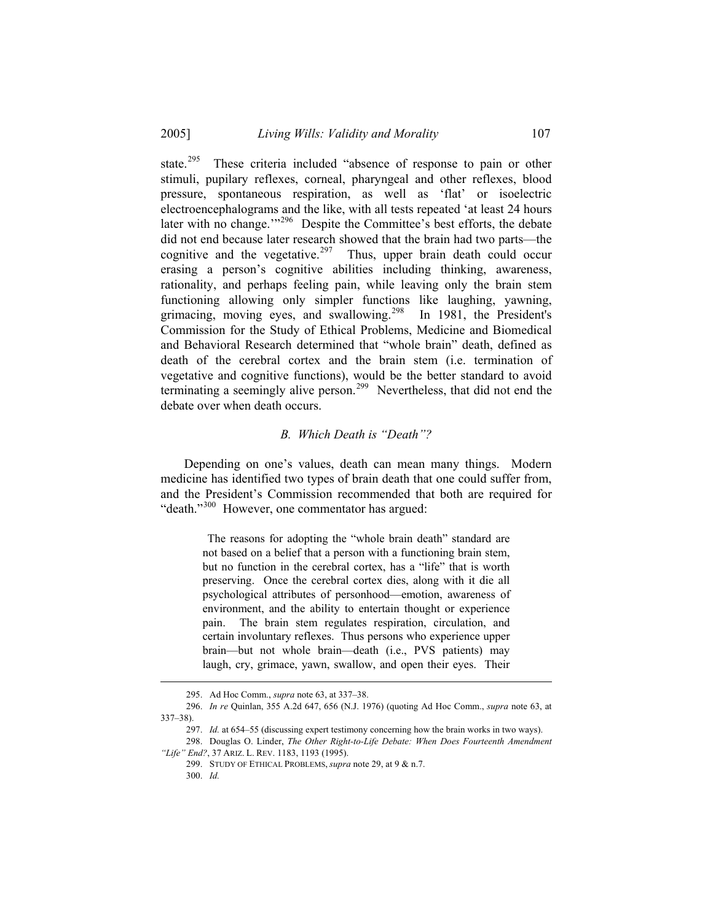state.<sup>[295](#page-36-0)</sup> These criteria included "absence of response to pain or other stimuli, pupilary reflexes, corneal, pharyngeal and other reflexes, blood pressure, spontaneous respiration, as well as 'flat' or isoelectric electroencephalograms and the like, with all tests repeated 'at least 24 hours later with no change."<sup>[296](#page-36-1)</sup> Despite the Committee's best efforts, the debate did not end because later research showed that the brain had two parts—the cognitive and the vegetative.<sup>[297](#page-36-2)</sup> Thus, upper brain death could occur erasing a person's cognitive abilities including thinking, awareness, rationality, and perhaps feeling pain, while leaving only the brain stem functioning allowing only simpler functions like laughing, yawning, grimacing, moving eyes, and swallowing.<sup>[298](#page-36-3)</sup> In 1981, the President's Commission for the Study of Ethical Problems, Medicine and Biomedical and Behavioral Research determined that "whole brain" death, defined as death of the cerebral cortex and the brain stem (i.e. termination of vegetative and cognitive functions), would be the better standard to avoid terminating a seemingly alive person.<sup>[299](#page-36-4)</sup> Nevertheless, that did not end the debate over when death occurs.

## *B. Which Death is "Death"?*

 Depending on one's values, death can mean many things. Modern medicine has identified two types of brain death that one could suffer from, and the President's Commission recommended that both are required for "death."[300](#page-36-5) However, one commentator has argued:

> The reasons for adopting the "whole brain death" standard are not based on a belief that a person with a functioning brain stem, but no function in the cerebral cortex, has a "life" that is worth preserving. Once the cerebral cortex dies, along with it die all psychological attributes of personhood—emotion, awareness of environment, and the ability to entertain thought or experience pain. The brain stem regulates respiration, circulation, and certain involuntary reflexes. Thus persons who experience upper brain—but not whole brain—death (i.e., PVS patients) may laugh, cry, grimace, yawn, swallow, and open their eyes. Their

<sup>295.</sup> Ad Hoc Comm., *supra* note 63, at 337–38.

<span id="page-36-1"></span><span id="page-36-0"></span><sup>296.</sup> *In re* Quinlan, 355 A.2d 647, 656 (N.J. 1976) (quoting Ad Hoc Comm., *supra* note 63, at 337–38).

<sup>297.</sup> *Id.* at 654–55 (discussing expert testimony concerning how the brain works in two ways).

<span id="page-36-5"></span><span id="page-36-4"></span><span id="page-36-3"></span><span id="page-36-2"></span><sup>298.</sup> Douglas O. Linder, *The Other Right-to-Life Debate: When Does Fourteenth Amendment "Life" End?*, 37 ARIZ. L. REV. 1183, 1193 (1995).

<sup>299.</sup> STUDY OF ETHICAL PROBLEMS, *supra* note 29, at 9 & n.7.

<sup>300.</sup> *Id.*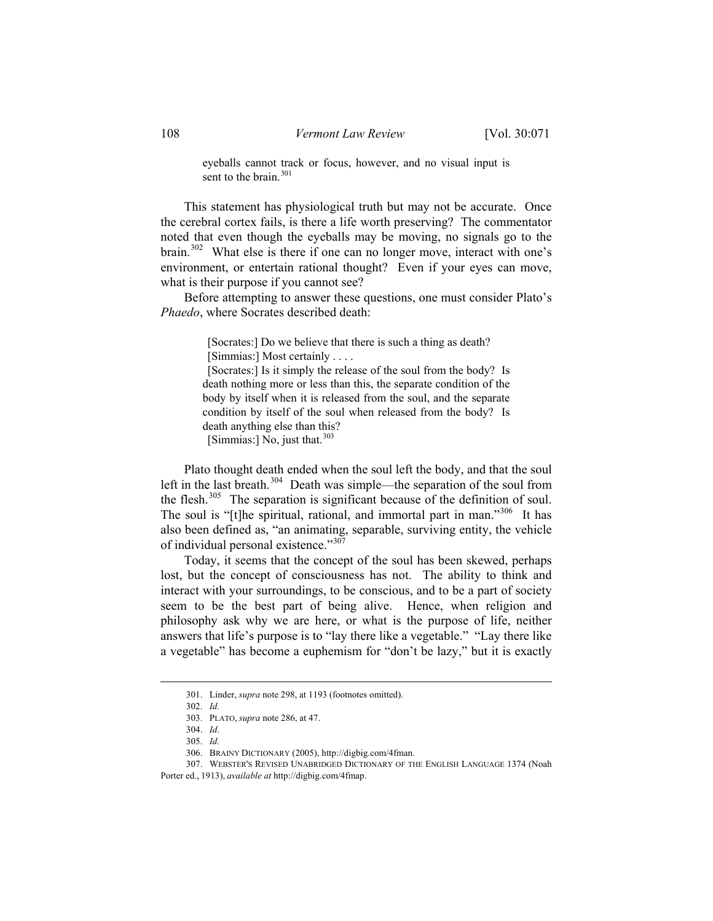eyeballs cannot track or focus, however, and no visual input is sent to the brain  $301$ 

 This statement has physiological truth but may not be accurate. Once the cerebral cortex fails, is there a life worth preserving? The commentator noted that even though the eyeballs may be moving, no signals go to the brain.[302](#page-37-1) What else is there if one can no longer move, interact with one's environment, or entertain rational thought? Even if your eyes can move, what is their purpose if you cannot see?

 Before attempting to answer these questions, one must consider Plato's *Phaedo*, where Socrates described death:

> [Socrates:] Do we believe that there is such a thing as death? [Simmias:] Most certainly . . . .

 [Socrates:] Is it simply the release of the soul from the body? Is death nothing more or less than this, the separate condition of the body by itself when it is released from the soul, and the separate condition by itself of the soul when released from the body? Is death anything else than this? [Simmias:] No, just that. $303$ 

 Plato thought death ended when the soul left the body, and that the soul left in the last breath.<sup>[304](#page-37-3)</sup> Death was simple—the separation of the soul from the flesh. $305$  The separation is significant because of the definition of soul. The soul is "[t]he spiritual, rational, and immortal part in man."<sup>[306](#page-37-5)</sup> It has also been defined as, "an animating, separable, surviving entity, the vehicle of individual personal existence."<sup>[307](#page-37-6)</sup>

 Today, it seems that the concept of the soul has been skewed, perhaps lost, but the concept of consciousness has not. The ability to think and interact with your surroundings, to be conscious, and to be a part of society seem to be the best part of being alive. Hence, when religion and philosophy ask why we are here, or what is the purpose of life, neither answers that life's purpose is to "lay there like a vegetable." "Lay there like a vegetable" has become a euphemism for "don't be lazy," but it is exactly

<sup>301.</sup> Linder, *supra* note 298, at 1193 (footnotes omitted).

<sup>302.</sup> *Id.* 

<sup>303.</sup> PLATO, *supra* note 286, at 47.

<sup>304.</sup> *Id.* 

<sup>305.</sup> *Id.*

<sup>306.</sup> BRAINY DICTIONARY (2005), http://digbig.com/4fman.

<span id="page-37-6"></span><span id="page-37-5"></span><span id="page-37-4"></span><span id="page-37-3"></span><span id="page-37-2"></span><span id="page-37-1"></span><span id="page-37-0"></span><sup>307.</sup> WEBSTER'S REVISED UNABRIDGED DICTIONARY OF THE ENGLISH LANGUAGE 1374 (Noah Porter ed., 1913), *available at* http://digbig.com/4fmap.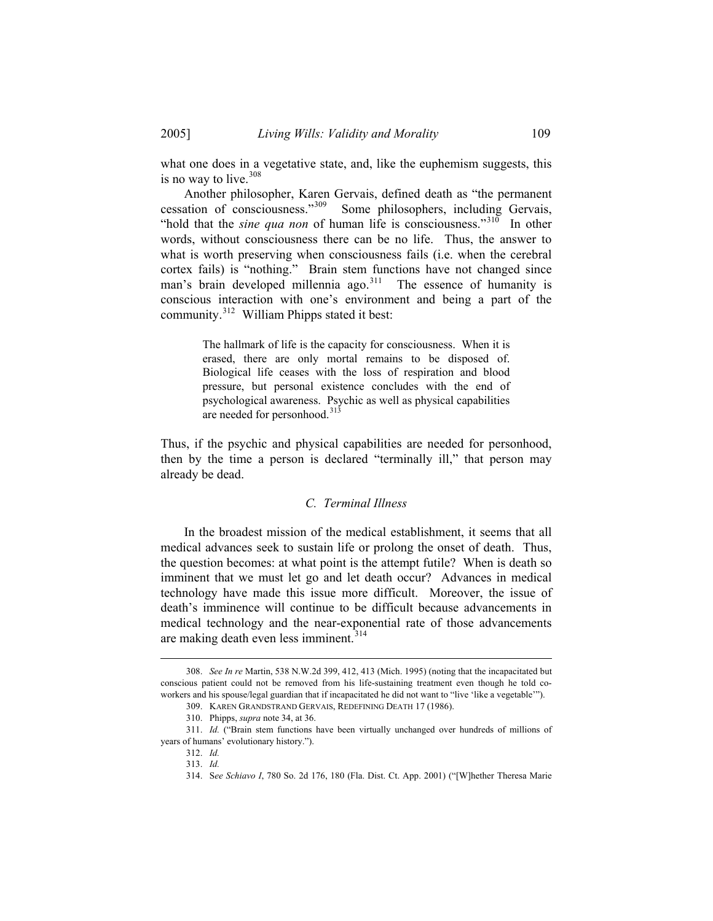what one does in a vegetative state, and, like the euphemism suggests, this is no way to live.<sup>[308](#page-38-0)</sup>

 Another philosopher, Karen Gervais, defined death as "the permanent cessation of consciousness."[309](#page-38-1) Some philosophers, including Gervais, "hold that the *sine qua non* of human life is consciousness."<sup>[310](#page-38-2)</sup> In other words, without consciousness there can be no life. Thus, the answer to what is worth preserving when consciousness fails (i.e. when the cerebral cortex fails) is "nothing." Brain stem functions have not changed since man's brain developed millennia ago.<sup>[311](#page-38-3)</sup> The essence of humanity is conscious interaction with one's environment and being a part of the community.[312](#page-38-4) William Phipps stated it best:

> The hallmark of life is the capacity for consciousness. When it is erased, there are only mortal remains to be disposed of. Biological life ceases with the loss of respiration and blood pressure, but personal existence concludes with the end of psychological awareness. Psychic as well as physical capabilities are needed for personhood.<sup>[313](#page-38-5)</sup>

Thus, if the psychic and physical capabilities are needed for personhood, then by the time a person is declared "terminally ill," that person may already be dead.

#### *C. Terminal Illness*

 In the broadest mission of the medical establishment, it seems that all medical advances seek to sustain life or prolong the onset of death. Thus, the question becomes: at what point is the attempt futile? When is death so imminent that we must let go and let death occur? Advances in medical technology have made this issue more difficult. Moreover, the issue of death's imminence will continue to be difficult because advancements in medical technology and the near-exponential rate of those advancements are making death even less imminent. $314$ 

<span id="page-38-0"></span><sup>308.</sup> *See In re* Martin, 538 N.W.2d 399, 412, 413 (Mich. 1995) (noting that the incapacitated but conscious patient could not be removed from his life-sustaining treatment even though he told coworkers and his spouse/legal guardian that if incapacitated he did not want to "live 'like a vegetable'").

<sup>309.</sup> KAREN GRANDSTRAND GERVAIS, REDEFINING DEATH 17 (1986).

<sup>310.</sup> Phipps, *supra* note 34, at 36.

<span id="page-38-6"></span><span id="page-38-5"></span><span id="page-38-4"></span><span id="page-38-3"></span><span id="page-38-2"></span><span id="page-38-1"></span><sup>311.</sup> *Id.* ("Brain stem functions have been virtually unchanged over hundreds of millions of years of humans' evolutionary history.").

<sup>312.</sup> *Id.*

<sup>313.</sup> *Id.*

<sup>314.</sup> S*ee Schiavo I*, 780 So. 2d 176, 180 (Fla. Dist. Ct. App. 2001) ("[W]hether Theresa Marie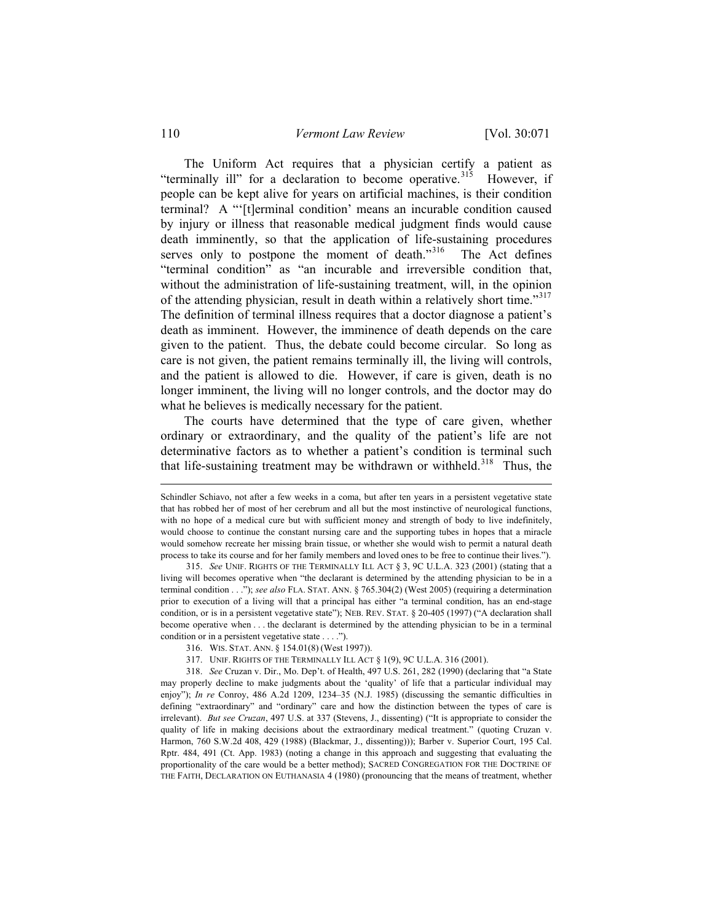The Uniform Act requires that a physician certify a patient as "terminally ill" for a declaration to become operative.<sup>[315](#page-39-0)</sup> However, if people can be kept alive for years on artificial machines, is their condition terminal? A "'[t]erminal condition' means an incurable condition caused by injury or illness that reasonable medical judgment finds would cause death imminently, so that the application of life-sustaining procedures serves only to postpone the moment of death."<sup>[316](#page-39-1)</sup> The Act defines "terminal condition" as "an incurable and irreversible condition that, without the administration of life-sustaining treatment, will, in the opinion of the attending physician, result in death within a relatively short time."<sup>[317](#page-39-2)</sup> The definition of terminal illness requires that a doctor diagnose a patient's death as imminent. However, the imminence of death depends on the care given to the patient. Thus, the debate could become circular. So long as care is not given, the patient remains terminally ill, the living will controls, and the patient is allowed to die. However, if care is given, death is no longer imminent, the living will no longer controls, and the doctor may do what he believes is medically necessary for the patient.

 The courts have determined that the type of care given, whether ordinary or extraordinary, and the quality of the patient's life are not determinative factors as to whether a patient's condition is terminal such that life-sustaining treatment may be withdrawn or withheld.<sup>[318](#page-39-3)</sup> Thus, the

- 316. WIS. STAT. ANN. § 154.01(8) (West 1997)).
- 317. UNIF. RIGHTS OF THE TERMINALLY ILL ACT § 1(9), 9C U.L.A. 316 (2001).

Schindler Schiavo, not after a few weeks in a coma, but after ten years in a persistent vegetative state that has robbed her of most of her cerebrum and all but the most instinctive of neurological functions, with no hope of a medical cure but with sufficient money and strength of body to live indefinitely, would choose to continue the constant nursing care and the supporting tubes in hopes that a miracle would somehow recreate her missing brain tissue, or whether she would wish to permit a natural death process to take its course and for her family members and loved ones to be free to continue their lives.").

<span id="page-39-0"></span><sup>315.</sup> *See* UNIF. RIGHTS OF THE TERMINALLY ILL ACT § 3, 9C U.L.A. 323 (2001) (stating that a living will becomes operative when "the declarant is determined by the attending physician to be in a terminal condition . . ."); *see also* FLA. STAT. ANN. § 765.304(2) (West 2005) (requiring a determination prior to execution of a living will that a principal has either "a terminal condition, has an end-stage condition, or is in a persistent vegetative state"); NEB. REV. STAT. § 20-405 (1997) ("A declaration shall become operative when . . . the declarant is determined by the attending physician to be in a terminal condition or in a persistent vegetative state . . . .").

<span id="page-39-3"></span><span id="page-39-2"></span><span id="page-39-1"></span><sup>318.</sup> *See* Cruzan v. Dir., Mo. Dep't. of Health, 497 U.S. 261, 282 (1990) (declaring that "a State may properly decline to make judgments about the 'quality' of life that a particular individual may enjoy"); *In re* Conroy, 486 A.2d 1209, 1234–35 (N.J. 1985) (discussing the semantic difficulties in defining "extraordinary" and "ordinary" care and how the distinction between the types of care is irrelevant). *But see Cruzan*, 497 U.S. at 337 (Stevens, J., dissenting) ("It is appropriate to consider the quality of life in making decisions about the extraordinary medical treatment." (quoting Cruzan v. Harmon, 760 S.W.2d 408, 429 (1988) (Blackmar, J., dissenting))); Barber v. Superior Court, 195 Cal. Rptr. 484, 491 (Ct. App. 1983) (noting a change in this approach and suggesting that evaluating the proportionality of the care would be a better method); SACRED CONGREGATION FOR THE DOCTRINE OF THE FAITH, DECLARATION ON EUTHANASIA 4 (1980) (pronouncing that the means of treatment, whether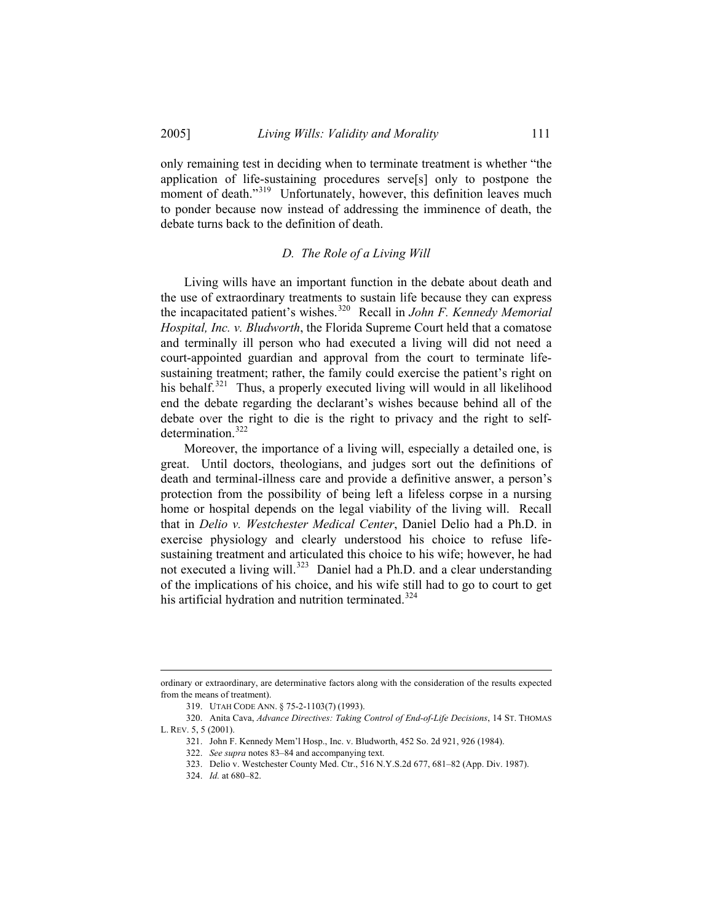only remaining test in deciding when to terminate treatment is whether "the application of life-sustaining procedures serve[s] only to postpone the moment of death."<sup>[319](#page-40-0)</sup> Unfortunately, however, this definition leaves much to ponder because now instead of addressing the imminence of death, the debate turns back to the definition of death.

### *D. The Role of a Living Will*

 Living wills have an important function in the debate about death and the use of extraordinary treatments to sustain life because they can express the incapacitated patient's wishes.[320](#page-40-1) Recall in *John F. Kennedy Memorial Hospital, Inc. v. Bludworth*, the Florida Supreme Court held that a comatose and terminally ill person who had executed a living will did not need a court-appointed guardian and approval from the court to terminate lifesustaining treatment; rather, the family could exercise the patient's right on his behalf.<sup>[321](#page-40-2)</sup> Thus, a properly executed living will would in all likelihood end the debate regarding the declarant's wishes because behind all of the debate over the right to die is the right to privacy and the right to self-determination.<sup>[322](#page-40-3)</sup>

 Moreover, the importance of a living will, especially a detailed one, is great. Until doctors, theologians, and judges sort out the definitions of death and terminal-illness care and provide a definitive answer, a person's protection from the possibility of being left a lifeless corpse in a nursing home or hospital depends on the legal viability of the living will. Recall that in *Delio v. Westchester Medical Center*, Daniel Delio had a Ph.D. in exercise physiology and clearly understood his choice to refuse lifesustaining treatment and articulated this choice to his wife; however, he had not executed a living will.<sup>[323](#page-40-4)</sup> Daniel had a Ph.D. and a clear understanding of the implications of his choice, and his wife still had to go to court to get his artificial hydration and nutrition terminated.<sup>[324](#page-40-5)</sup>

ordinary or extraordinary, are determinative factors along with the consideration of the results expected from the means of treatment).

<sup>319.</sup> UTAH CODE ANN. § 75-2-1103(7) (1993).

<span id="page-40-5"></span><span id="page-40-4"></span><span id="page-40-3"></span><span id="page-40-2"></span><span id="page-40-1"></span><span id="page-40-0"></span><sup>320.</sup> Anita Cava, *Advance Directives: Taking Control of End-of-Life Decisions*, 14 ST. THOMAS L. REV. 5, 5 (2001).

<sup>321.</sup> John F. Kennedy Mem'l Hosp., Inc. v. Bludworth, 452 So. 2d 921, 926 (1984).

<sup>322.</sup> *See supra* notes 83–84 and accompanying text.

<sup>323.</sup> Delio v. Westchester County Med. Ctr., 516 N.Y.S.2d 677, 681–82 (App. Div. 1987).

<sup>324.</sup> *Id.* at 680–82.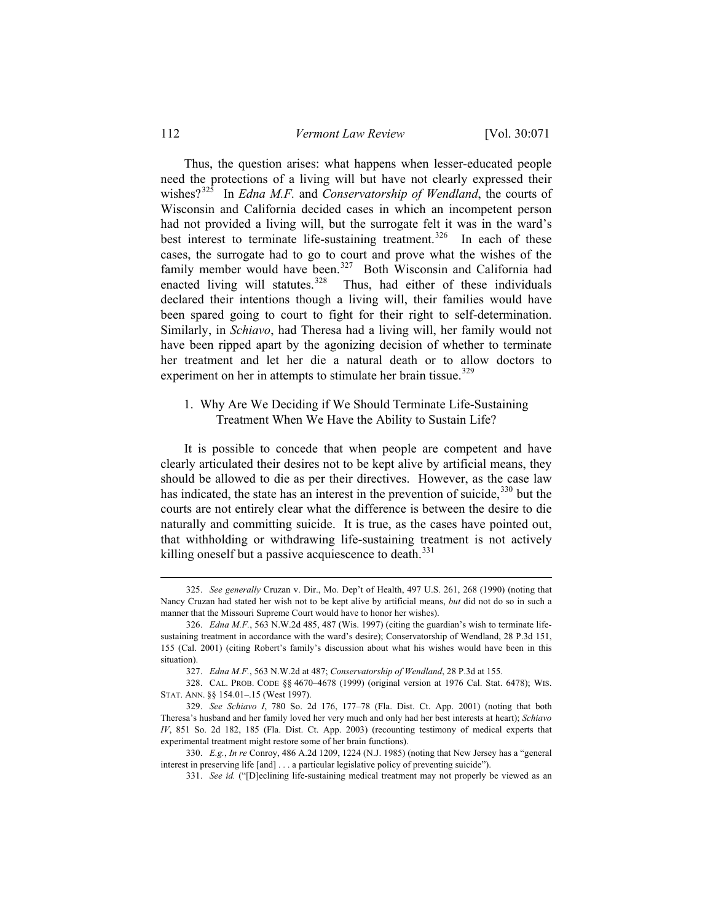112 *Vermont Law Review* [Vol. 30:071

 Thus, the question arises: what happens when lesser-educated people need the protections of a living will but have not clearly expressed their wishes?[325](#page-41-0) In *Edna M.F.* and *Conservatorship of Wendland*, the courts of Wisconsin and California decided cases in which an incompetent person had not provided a living will, but the surrogate felt it was in the ward's best interest to terminate life-sustaining treatment.<sup>[326](#page-41-1)</sup> In each of these cases, the surrogate had to go to court and prove what the wishes of the family member would have been.<sup>[327](#page-41-2)</sup> Both Wisconsin and California had enacted living will statutes.<sup>[328](#page-41-3)</sup> Thus, had either of these individuals declared their intentions though a living will, their families would have been spared going to court to fight for their right to self-determination. Similarly, in *Schiavo*, had Theresa had a living will, her family would not have been ripped apart by the agonizing decision of whether to terminate her treatment and let her die a natural death or to allow doctors to experiment on her in attempts to stimulate her brain tissue.<sup>[329](#page-41-4)</sup>

# 1. Why Are We Deciding if We Should Terminate Life-Sustaining Treatment When We Have the Ability to Sustain Life?

 It is possible to concede that when people are competent and have clearly articulated their desires not to be kept alive by artificial means, they should be allowed to die as per their directives. However, as the case law has indicated, the state has an interest in the prevention of suicide,  $330$  but the courts are not entirely clear what the difference is between the desire to die naturally and committing suicide. It is true, as the cases have pointed out, that withholding or withdrawing life-sustaining treatment is not actively killing oneself but a passive acquiescence to death.<sup>[331](#page-41-6)</sup>

<span id="page-41-0"></span><sup>325.</sup> *See generally* Cruzan v. Dir., Mo. Dep't of Health, 497 U.S. 261, 268 (1990) (noting that Nancy Cruzan had stated her wish not to be kept alive by artificial means, *but* did not do so in such a manner that the Missouri Supreme Court would have to honor her wishes).

<span id="page-41-1"></span><sup>326.</sup> *Edna M.F.*, 563 N.W.2d 485, 487 (Wis. 1997) (citing the guardian's wish to terminate lifesustaining treatment in accordance with the ward's desire); Conservatorship of Wendland, 28 P.3d 151, 155 (Cal. 2001) (citing Robert's family's discussion about what his wishes would have been in this situation).

<sup>327.</sup> *Edna M.F.*, 563 N.W.2d at 487; *Conservatorship of Wendland*, 28 P.3d at 155.

<span id="page-41-3"></span><span id="page-41-2"></span><sup>328.</sup> CAL. PROB. CODE §§ 4670–4678 (1999) (original version at 1976 Cal. Stat. 6478); WIS. STAT. ANN. §§ 154.01–.15 (West 1997).

<span id="page-41-4"></span><sup>329.</sup> *See Schiavo I*, 780 So. 2d 176, 177–78 (Fla. Dist. Ct. App. 2001) (noting that both Theresa's husband and her family loved her very much and only had her best interests at heart); *Schiavo IV*, 851 So. 2d 182, 185 (Fla. Dist. Ct. App. 2003) (recounting testimony of medical experts that experimental treatment might restore some of her brain functions).

<span id="page-41-6"></span><span id="page-41-5"></span><sup>330.</sup> *E.g.*, *In re* Conroy, 486 A.2d 1209, 1224 (N.J. 1985) (noting that New Jersey has a "general interest in preserving life [and] . . . a particular legislative policy of preventing suicide").

<sup>331.</sup> *See id.* ("[D]eclining life-sustaining medical treatment may not properly be viewed as an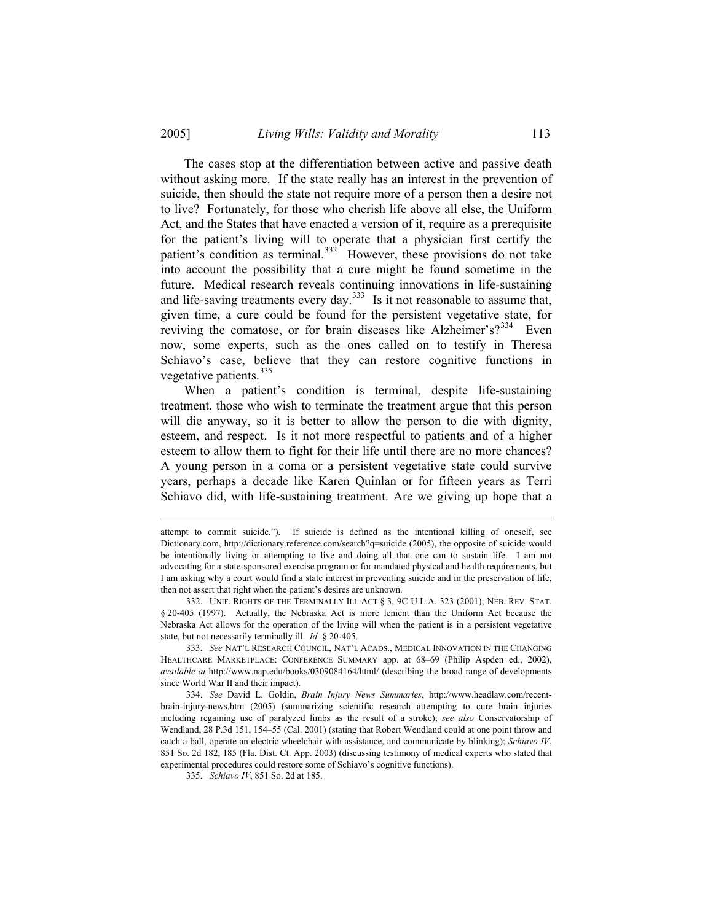The cases stop at the differentiation between active and passive death without asking more. If the state really has an interest in the prevention of suicide, then should the state not require more of a person then a desire not to live? Fortunately, for those who cherish life above all else, the Uniform Act, and the States that have enacted a version of it, require as a prerequisite for the patient's living will to operate that a physician first certify the patient's condition as terminal.<sup>[332](#page-42-0)</sup> However, these provisions do not take into account the possibility that a cure might be found sometime in the future. Medical research reveals continuing innovations in life-sustaining and life-saving treatments every day.<sup>[333](#page-42-1)</sup> Is it not reasonable to assume that, given time, a cure could be found for the persistent vegetative state, for reviving the comatose, or for brain diseases like Alzheimer's?<sup>[334](#page-42-2)</sup> Even now, some experts, such as the ones called on to testify in Theresa Schiavo's case, believe that they can restore cognitive functions in vegetative patients. $335$ 

When a patient's condition is terminal, despite life-sustaining treatment, those who wish to terminate the treatment argue that this person will die anyway, so it is better to allow the person to die with dignity, esteem, and respect. Is it not more respectful to patients and of a higher esteem to allow them to fight for their life until there are no more chances? A young person in a coma or a persistent vegetative state could survive years, perhaps a decade like Karen Quinlan or for fifteen years as Terri Schiavo did, with life-sustaining treatment. Are we giving up hope that a

<span id="page-42-1"></span>333. *See* NAT'L RESEARCH COUNCIL, NAT'L ACADS., MEDICAL INNOVATION IN THE CHANGING HEALTHCARE MARKETPLACE: CONFERENCE SUMMARY app. at 68–69 (Philip Aspden ed., 2002), *available at* http://www.nap.edu/books/0309084164/html/ (describing the broad range of developments since World War II and their impact).

<span id="page-42-3"></span><span id="page-42-2"></span>334. *See* David L. Goldin, *Brain Injury News Summaries*, http://www.headlaw.com/recentbrain-injury-news.htm (2005) (summarizing scientific research attempting to cure brain injuries including regaining use of paralyzed limbs as the result of a stroke); *see also* Conservatorship of Wendland, 28 P.3d 151, 154–55 (Cal. 2001) (stating that Robert Wendland could at one point throw and catch a ball, operate an electric wheelchair with assistance, and communicate by blinking); *Schiavo IV*, 851 So. 2d 182, 185 (Fla. Dist. Ct. App. 2003) (discussing testimony of medical experts who stated that experimental procedures could restore some of Schiavo's cognitive functions).

335. *Schiavo IV*, 851 So. 2d at 185.

attempt to commit suicide."). If suicide is defined as the intentional killing of oneself, see Dictionary.com, http://dictionary.reference.com/search?q=suicide (2005), the opposite of suicide would be intentionally living or attempting to live and doing all that one can to sustain life. I am not advocating for a state-sponsored exercise program or for mandated physical and health requirements, but I am asking why a court would find a state interest in preventing suicide and in the preservation of life, then not assert that right when the patient's desires are unknown.

<span id="page-42-0"></span><sup>332.</sup> UNIF. RIGHTS OF THE TERMINALLY ILL ACT § 3, 9C U.L.A. 323 (2001); NEB. REV. STAT. § 20-405 (1997). Actually, the Nebraska Act is more lenient than the Uniform Act because the Nebraska Act allows for the operation of the living will when the patient is in a persistent vegetative state, but not necessarily terminally ill. *Id.* § 20-405.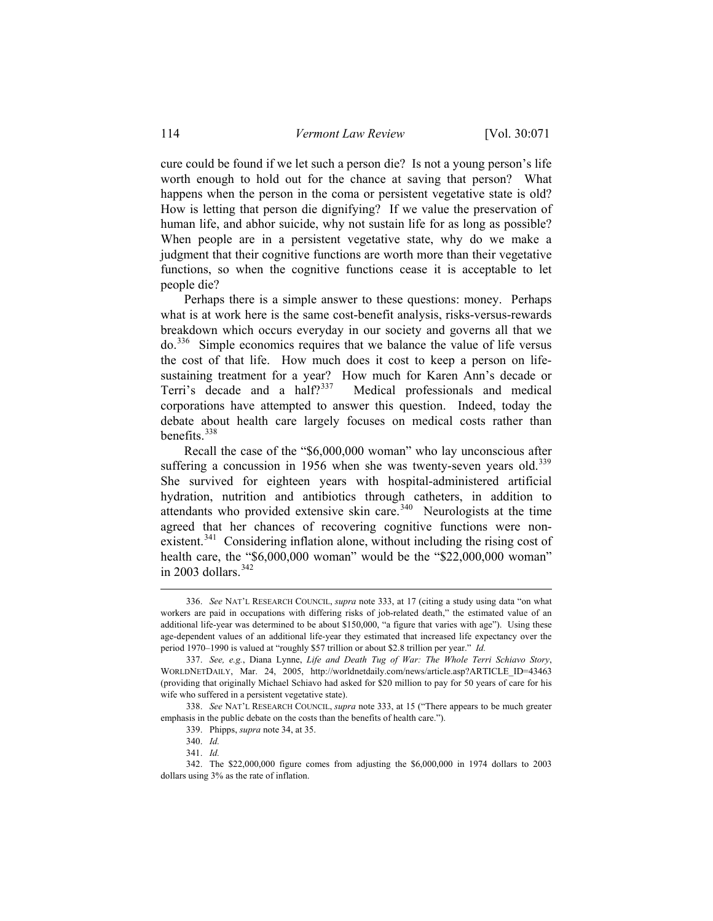cure could be found if we let such a person die? Is not a young person's life worth enough to hold out for the chance at saving that person? What happens when the person in the coma or persistent vegetative state is old? How is letting that person die dignifying? If we value the preservation of human life, and abhor suicide, why not sustain life for as long as possible? When people are in a persistent vegetative state, why do we make a judgment that their cognitive functions are worth more than their vegetative functions, so when the cognitive functions cease it is acceptable to let people die?

 Perhaps there is a simple answer to these questions: money. Perhaps what is at work here is the same cost-benefit analysis, risks-versus-rewards breakdown which occurs everyday in our society and governs all that we do.[336](#page-43-0) Simple economics requires that we balance the value of life versus the cost of that life. How much does it cost to keep a person on lifesustaining treatment for a year? How much for Karen Ann's decade or Terri's decade and a half?<sup>[337](#page-43-1)</sup> Medical professionals and medical corporations have attempted to answer this question. Indeed, today the debate about health care largely focuses on medical costs rather than benefits.[338](#page-43-2)

 Recall the case of the "\$6,000,000 woman" who lay unconscious after suffering a concussion in 1956 when she was twenty-seven years old.<sup>[339](#page-43-3)</sup> She survived for eighteen years with hospital-administered artificial hydration, nutrition and antibiotics through catheters, in addition to attendants who provided extensive skin care.<sup>[340](#page-43-4)</sup> Neurologists at the time agreed that her chances of recovering cognitive functions were non-existent.<sup>[341](#page-43-5)</sup> Considering inflation alone, without including the rising cost of health care, the "\$6,000,000 woman" would be the "\$22,000,000 woman" in 2003 dollars. $342$ 

<span id="page-43-0"></span><sup>336.</sup> *See* NAT'L RESEARCH COUNCIL, *supra* note 333, at 17 (citing a study using data "on what workers are paid in occupations with differing risks of job-related death," the estimated value of an additional life-year was determined to be about \$150,000, "a figure that varies with age"). Using these age-dependent values of an additional life-year they estimated that increased life expectancy over the period 1970–1990 is valued at "roughly \$57 trillion or about \$2.8 trillion per year." *Id.*

<span id="page-43-1"></span><sup>337.</sup> *See, e.g.*, Diana Lynne, *Life and Death Tug of War: The Whole Terri Schiavo Story*, WORLDNETDAILY, Mar. 24, 2005, http://worldnetdaily.com/news/article.asp?ARTICLE\_ID=43463 (providing that originally Michael Schiavo had asked for \$20 million to pay for 50 years of care for his wife who suffered in a persistent vegetative state).

<span id="page-43-3"></span><span id="page-43-2"></span><sup>338.</sup> *See* NAT'L RESEARCH COUNCIL, *supra* note 333, at 15 ("There appears to be much greater emphasis in the public debate on the costs than the benefits of health care.").

<sup>339.</sup> Phipps, *supra* note 34, at 35.

<sup>340.</sup> *Id.*

<sup>341.</sup> *Id.*

<span id="page-43-6"></span><span id="page-43-5"></span><span id="page-43-4"></span><sup>342.</sup> The \$22,000,000 figure comes from adjusting the \$6,000,000 in 1974 dollars to 2003 dollars using 3% as the rate of inflation.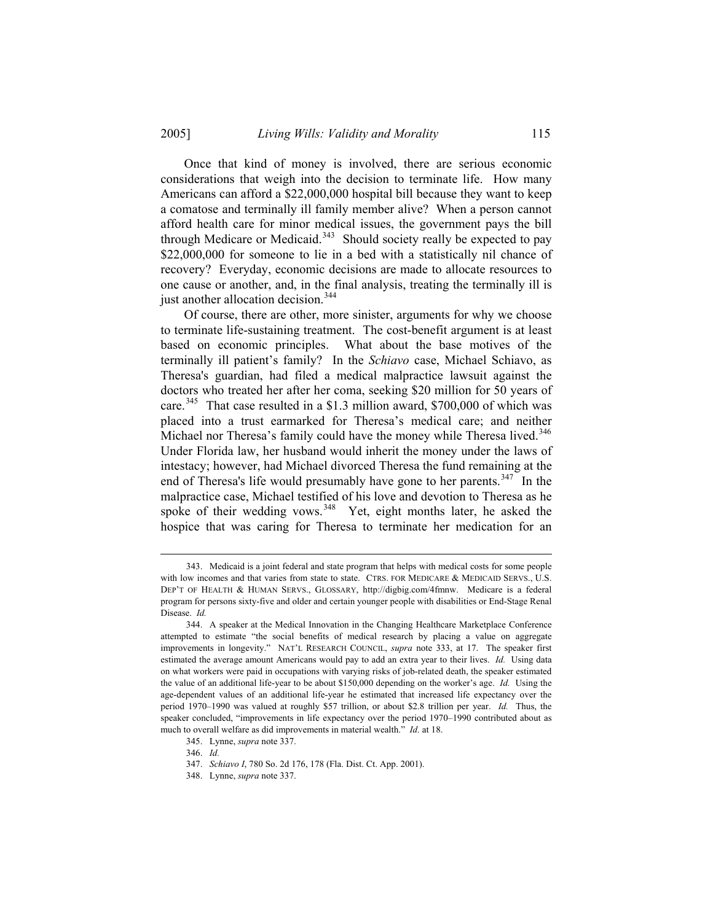Once that kind of money is involved, there are serious economic considerations that weigh into the decision to terminate life. How many Americans can afford a \$22,000,000 hospital bill because they want to keep a comatose and terminally ill family member alive? When a person cannot afford health care for minor medical issues, the government pays the bill through Medicare or Medicaid. $343$  Should society really be expected to pay \$22,000,000 for someone to lie in a bed with a statistically nil chance of recovery? Everyday, economic decisions are made to allocate resources to one cause or another, and, in the final analysis, treating the terminally ill is just another allocation decision.<sup>[344](#page-44-1)</sup>

 Of course, there are other, more sinister, arguments for why we choose to terminate life-sustaining treatment. The cost-benefit argument is at least based on economic principles. What about the base motives of the terminally ill patient's family? In the *Schiavo* case, Michael Schiavo, as Theresa's guardian, had filed a medical malpractice lawsuit against the doctors who treated her after her coma, seeking \$20 million for 50 years of care.<sup>[345](#page-44-2)</sup> That case resulted in a \$1.3 million award, \$700,000 of which was placed into a trust earmarked for Theresa's medical care; and neither Michael nor Theresa's family could have the money while Theresa lived.<sup>[346](#page-44-3)</sup> Under Florida law, her husband would inherit the money under the laws of intestacy; however, had Michael divorced Theresa the fund remaining at the end of Theresa's life would presumably have gone to her parents.<sup>[347](#page-44-4)</sup> In the malpractice case, Michael testified of his love and devotion to Theresa as he spoke of their wedding vows.<sup>[348](#page-44-5)</sup> Yet, eight months later, he asked the hospice that was caring for Theresa to terminate her medication for an

<span id="page-44-0"></span><sup>343.</sup> Medicaid is a joint federal and state program that helps with medical costs for some people with low incomes and that varies from state to state. CTRS. FOR MEDICARE & MEDICAID SERVS., U.S. DEP'T OF HEALTH & HUMAN SERVS., GLOSSARY, http://digbig.com/4fmnw. Medicare is a federal program for persons sixty-five and older and certain younger people with disabilities or End-Stage Renal Disease. *Id.*

<span id="page-44-1"></span><sup>344.</sup> A speaker at the Medical Innovation in the Changing Healthcare Marketplace Conference attempted to estimate "the social benefits of medical research by placing a value on aggregate improvements in longevity." NAT'L RESEARCH COUNCIL, *supra* note 333, at 17. The speaker first estimated the average amount Americans would pay to add an extra year to their lives. *Id.* Using data on what workers were paid in occupations with varying risks of job-related death, the speaker estimated the value of an additional life-year to be about \$150,000 depending on the worker's age. *Id.* Using the age-dependent values of an additional life-year he estimated that increased life expectancy over the period 1970–1990 was valued at roughly \$57 trillion, or about \$2.8 trillion per year. *Id.* Thus, the speaker concluded, "improvements in life expectancy over the period 1970–1990 contributed about as much to overall welfare as did improvements in material wealth." *Id.* at 18.

<span id="page-44-3"></span><span id="page-44-2"></span><sup>345.</sup> Lynne, *supra* note 337.

<sup>346.</sup> *Id.*

<span id="page-44-4"></span><sup>347.</sup> *Schiavo I*, 780 So. 2d 176, 178 (Fla. Dist. Ct. App. 2001).

<span id="page-44-5"></span><sup>348.</sup> Lynne, *supra* note 337.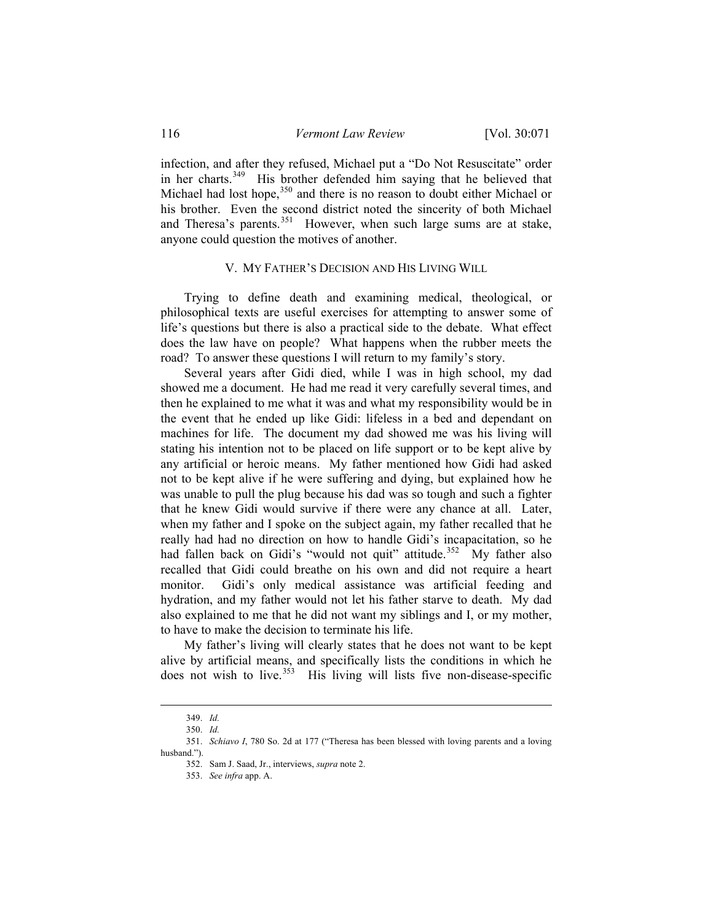infection, and after they refused, Michael put a "Do Not Resuscitate" order in her charts.<sup>[349](#page-45-0)</sup> His brother defended him saying that he believed that Michael had lost hope, $350$  and there is no reason to doubt either Michael or his brother. Even the second district noted the sincerity of both Michael and Theresa's parents. $351$  However, when such large sums are at stake, anyone could question the motives of another.

## V. MY FATHER'S DECISION AND HIS LIVING WILL

 Trying to define death and examining medical, theological, or philosophical texts are useful exercises for attempting to answer some of life's questions but there is also a practical side to the debate. What effect does the law have on people? What happens when the rubber meets the road? To answer these questions I will return to my family's story.

 Several years after Gidi died, while I was in high school, my dad showed me a document. He had me read it very carefully several times, and then he explained to me what it was and what my responsibility would be in the event that he ended up like Gidi: lifeless in a bed and dependant on machines for life. The document my dad showed me was his living will stating his intention not to be placed on life support or to be kept alive by any artificial or heroic means. My father mentioned how Gidi had asked not to be kept alive if he were suffering and dying, but explained how he was unable to pull the plug because his dad was so tough and such a fighter that he knew Gidi would survive if there were any chance at all. Later, when my father and I spoke on the subject again, my father recalled that he really had had no direction on how to handle Gidi's incapacitation, so he had fallen back on Gidi's "would not quit" attitude.<sup>[352](#page-45-3)</sup> My father also recalled that Gidi could breathe on his own and did not require a heart monitor. Gidi's only medical assistance was artificial feeding and hydration, and my father would not let his father starve to death. My dad also explained to me that he did not want my siblings and I, or my mother, to have to make the decision to terminate his life.

 My father's living will clearly states that he does not want to be kept alive by artificial means, and specifically lists the conditions in which he does not wish to live.<sup>[353](#page-45-4)</sup> His living will lists five non-disease-specific

<sup>349.</sup> *Id.*

<sup>350.</sup> *Id.* 

<span id="page-45-4"></span><span id="page-45-3"></span><span id="page-45-2"></span><span id="page-45-1"></span><span id="page-45-0"></span><sup>351.</sup> *Schiavo I*, 780 So. 2d at 177 ("Theresa has been blessed with loving parents and a loving husband.").

<sup>352.</sup> Sam J. Saad, Jr., interviews, *supra* note 2.

<sup>353.</sup> *See infra* app. A.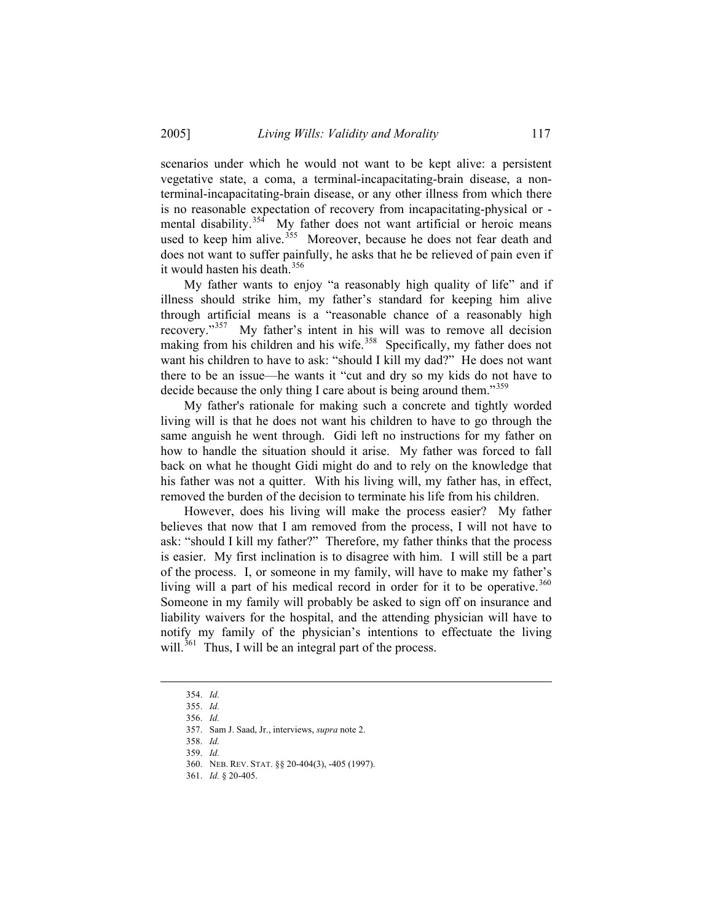scenarios under which he would not want to be kept alive: a persistent vegetative state, a coma, a terminal-incapacitating-brain disease, a nonterminal-incapacitating-brain disease, or any other illness from which there is no reasonable expectation of recovery from incapacitating-physical or - mental disability.<sup>[354](#page-46-0)</sup> My father does not want artificial or heroic means used to keep him alive.<sup>[355](#page-46-1)</sup> Moreover, because he does not fear death and does not want to suffer painfully, he asks that he be relieved of pain even if it would hasten his death. $356$ 

 My father wants to enjoy "a reasonably high quality of life" and if illness should strike him, my father's standard for keeping him alive through artificial means is a "reasonable chance of a reasonably high recovery."[357](#page-46-3) My father's intent in his will was to remove all decision making from his children and his wife.<sup>[358](#page-46-4)</sup> Specifically, my father does not want his children to have to ask: "should I kill my dad?" He does not want there to be an issue—he wants it "cut and dry so my kids do not have to decide because the only thing I care about is being around them."<sup>[359](#page-46-5)</sup>

 My father's rationale for making such a concrete and tightly worded living will is that he does not want his children to have to go through the same anguish he went through. Gidi left no instructions for my father on how to handle the situation should it arise. My father was forced to fall back on what he thought Gidi might do and to rely on the knowledge that his father was not a quitter. With his living will, my father has, in effect, removed the burden of the decision to terminate his life from his children.

 However, does his living will make the process easier? My father believes that now that I am removed from the process, I will not have to ask: "should I kill my father?" Therefore, my father thinks that the process is easier. My first inclination is to disagree with him. I will still be a part of the process. I, or someone in my family, will have to make my father's living will a part of his medical record in order for it to be operative.<sup>[360](#page-46-6)</sup> Someone in my family will probably be asked to sign off on insurance and liability waivers for the hospital, and the attending physician will have to notify my family of the physician's intentions to effectuate the living will. $361$  Thus, I will be an integral part of the process.

<span id="page-46-0"></span><sup>354.</sup> *Id.* 

<span id="page-46-1"></span><sup>355.</sup> *Id.*  356. *Id.* 

<span id="page-46-2"></span><sup>357.</sup> Sam J. Saad, Jr., interviews, *supra* note 2.

<span id="page-46-5"></span><span id="page-46-4"></span><span id="page-46-3"></span><sup>358.</sup> *Id.*

<sup>359.</sup> *Id.*

<span id="page-46-6"></span><sup>360.</sup> NEB. REV. STAT. §§ 20-404(3), -405 (1997).

<span id="page-46-7"></span><sup>361.</sup> *Id.* § 20-405.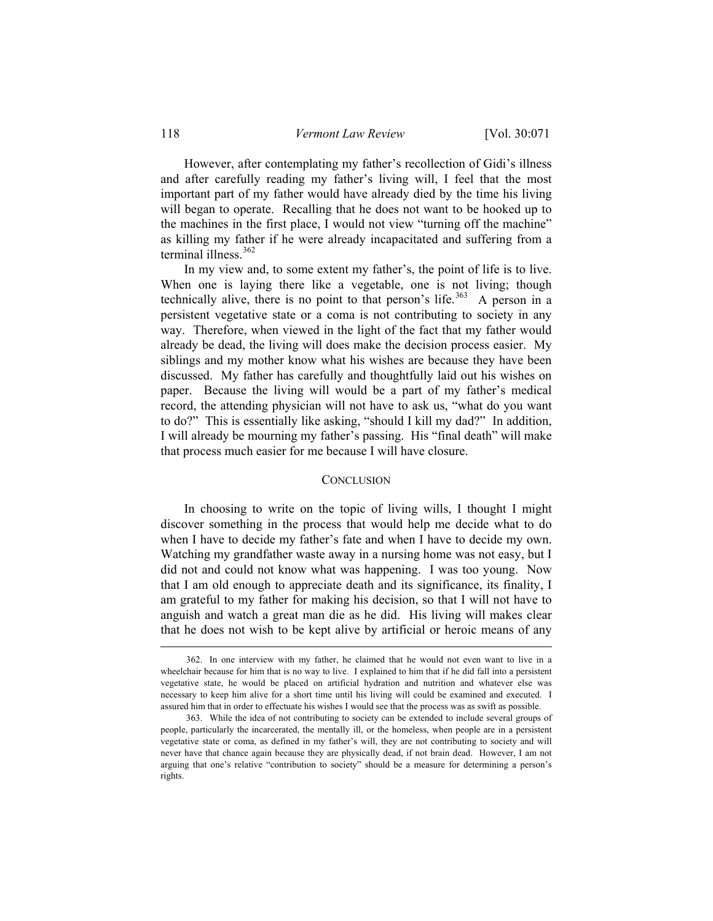However, after contemplating my father's recollection of Gidi's illness and after carefully reading my father's living will, I feel that the most important part of my father would have already died by the time his living will began to operate. Recalling that he does not want to be hooked up to the machines in the first place, I would not view "turning off the machine" as killing my father if he were already incapacitated and suffering from a terminal illness. $362$ 

 In my view and, to some extent my father's, the point of life is to live. When one is laying there like a vegetable, one is not living; though technically alive, there is no point to that person's life.<sup>[363](#page-47-1)</sup> A person in a persistent vegetative state or a coma is not contributing to society in any way. Therefore, when viewed in the light of the fact that my father would already be dead, the living will does make the decision process easier. My siblings and my mother know what his wishes are because they have been discussed. My father has carefully and thoughtfully laid out his wishes on paper. Because the living will would be a part of my father's medical record, the attending physician will not have to ask us, "what do you want to do?" This is essentially like asking, "should I kill my dad?" In addition, I will already be mourning my father's passing. His "final death" will make that process much easier for me because I will have closure.

#### **CONCLUSION**

 In choosing to write on the topic of living wills, I thought I might discover something in the process that would help me decide what to do when I have to decide my father's fate and when I have to decide my own. Watching my grandfather waste away in a nursing home was not easy, but I did not and could not know what was happening. I was too young. Now that I am old enough to appreciate death and its significance, its finality, I am grateful to my father for making his decision, so that I will not have to anguish and watch a great man die as he did. His living will makes clear that he does not wish to be kept alive by artificial or heroic means of any

<span id="page-47-0"></span><sup>362.</sup> In one interview with my father, he claimed that he would not even want to live in a wheelchair because for him that is no way to live. I explained to him that if he did fall into a persistent vegetative state, he would be placed on artificial hydration and nutrition and whatever else was necessary to keep him alive for a short time until his living will could be examined and executed. I assured him that in order to effectuate his wishes I would see that the process was as swift as possible.

<span id="page-47-1"></span><sup>363.</sup> While the idea of not contributing to society can be extended to include several groups of people, particularly the incarcerated, the mentally ill, or the homeless, when people are in a persistent vegetative state or coma, as defined in my father's will, they are not contributing to society and will never have that chance again because they are physically dead, if not brain dead. However, I am not arguing that one's relative "contribution to society" should be a measure for determining a person's rights.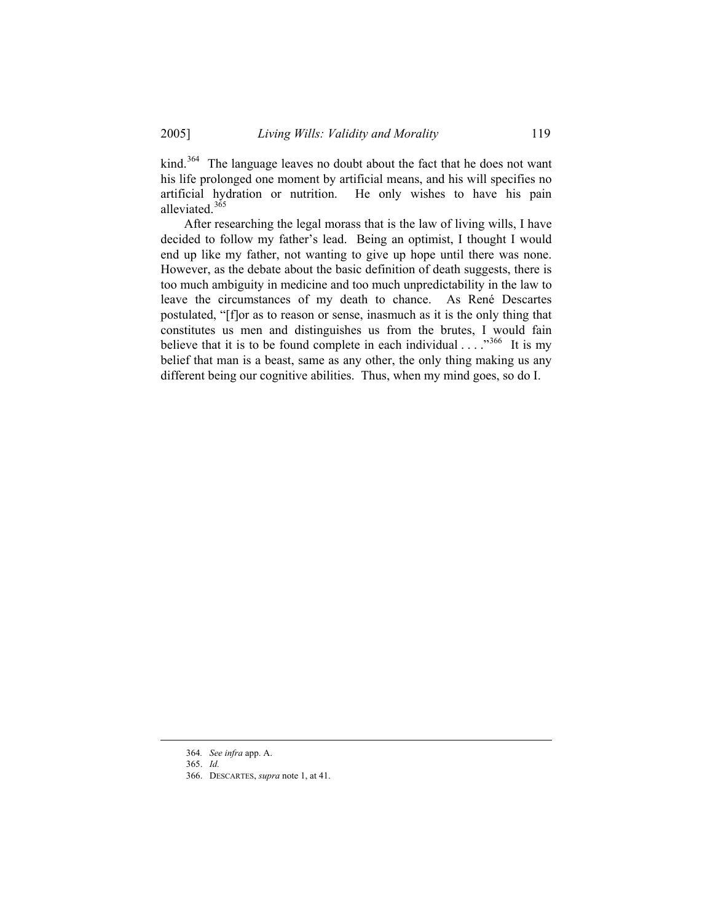kind.<sup>[364](#page-48-0)</sup> The language leaves no doubt about the fact that he does not want his life prolonged one moment by artificial means, and his will specifies no artificial hydration or nutrition. He only wishes to have his pain alleviated.<sup>[365](#page-48-1)</sup>

 After researching the legal morass that is the law of living wills, I have decided to follow my father's lead. Being an optimist, I thought I would end up like my father, not wanting to give up hope until there was none. However, as the debate about the basic definition of death suggests, there is too much ambiguity in medicine and too much unpredictability in the law to leave the circumstances of my death to chance. As René Descartes postulated, "[f]or as to reason or sense, inasmuch as it is the only thing that constitutes us men and distinguishes us from the brutes, I would fain believe that it is to be found complete in each individual  $\ldots$ .  $\ldots$ <sup>[366](#page-48-2)</sup> It is my belief that man is a beast, same as any other, the only thing making us any different being our cognitive abilities. Thus, when my mind goes, so do I.

<span id="page-48-0"></span><sup>364</sup>*. See infra* app. A.

<span id="page-48-1"></span><sup>365.</sup> *Id.*

<span id="page-48-2"></span><sup>366.</sup> DESCARTES, *supra* note 1, at 41.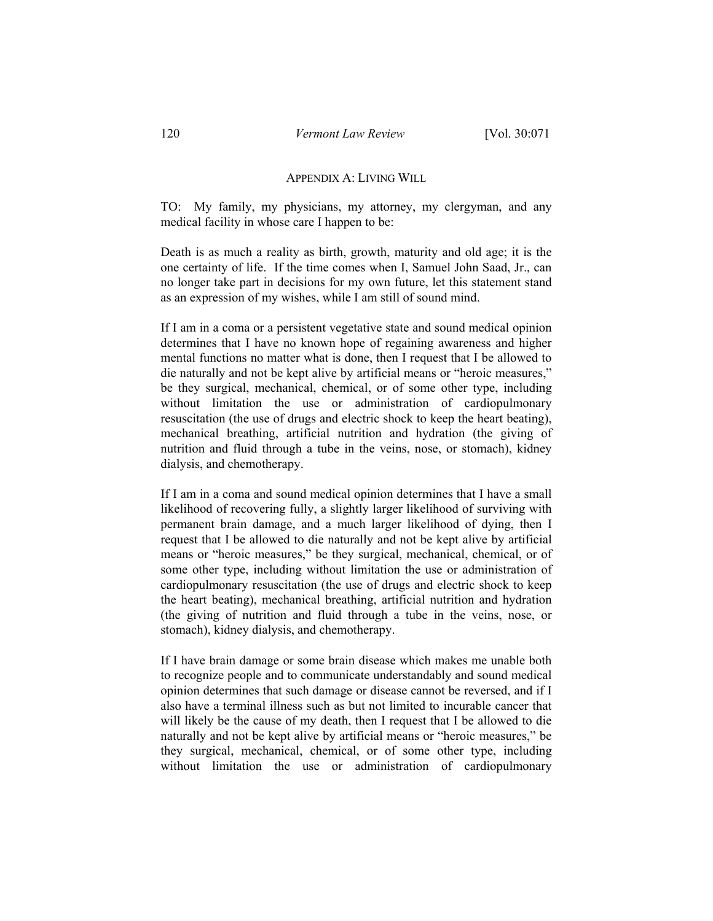#### APPENDIX A: LIVING WILL

TO: My family, my physicians, my attorney, my clergyman, and any medical facility in whose care I happen to be:

Death is as much a reality as birth, growth, maturity and old age; it is the one certainty of life. If the time comes when I, Samuel John Saad, Jr., can no longer take part in decisions for my own future, let this statement stand as an expression of my wishes, while I am still of sound mind.

If I am in a coma or a persistent vegetative state and sound medical opinion determines that I have no known hope of regaining awareness and higher mental functions no matter what is done, then I request that I be allowed to die naturally and not be kept alive by artificial means or "heroic measures," be they surgical, mechanical, chemical, or of some other type, including without limitation the use or administration of cardiopulmonary resuscitation (the use of drugs and electric shock to keep the heart beating), mechanical breathing, artificial nutrition and hydration (the giving of nutrition and fluid through a tube in the veins, nose, or stomach), kidney dialysis, and chemotherapy.

If I am in a coma and sound medical opinion determines that I have a small likelihood of recovering fully, a slightly larger likelihood of surviving with permanent brain damage, and a much larger likelihood of dying, then I request that I be allowed to die naturally and not be kept alive by artificial means or "heroic measures," be they surgical, mechanical, chemical, or of some other type, including without limitation the use or administration of cardiopulmonary resuscitation (the use of drugs and electric shock to keep the heart beating), mechanical breathing, artificial nutrition and hydration (the giving of nutrition and fluid through a tube in the veins, nose, or stomach), kidney dialysis, and chemotherapy.

If I have brain damage or some brain disease which makes me unable both to recognize people and to communicate understandably and sound medical opinion determines that such damage or disease cannot be reversed, and if I also have a terminal illness such as but not limited to incurable cancer that will likely be the cause of my death, then I request that I be allowed to die naturally and not be kept alive by artificial means or "heroic measures," be they surgical, mechanical, chemical, or of some other type, including without limitation the use or administration of cardiopulmonary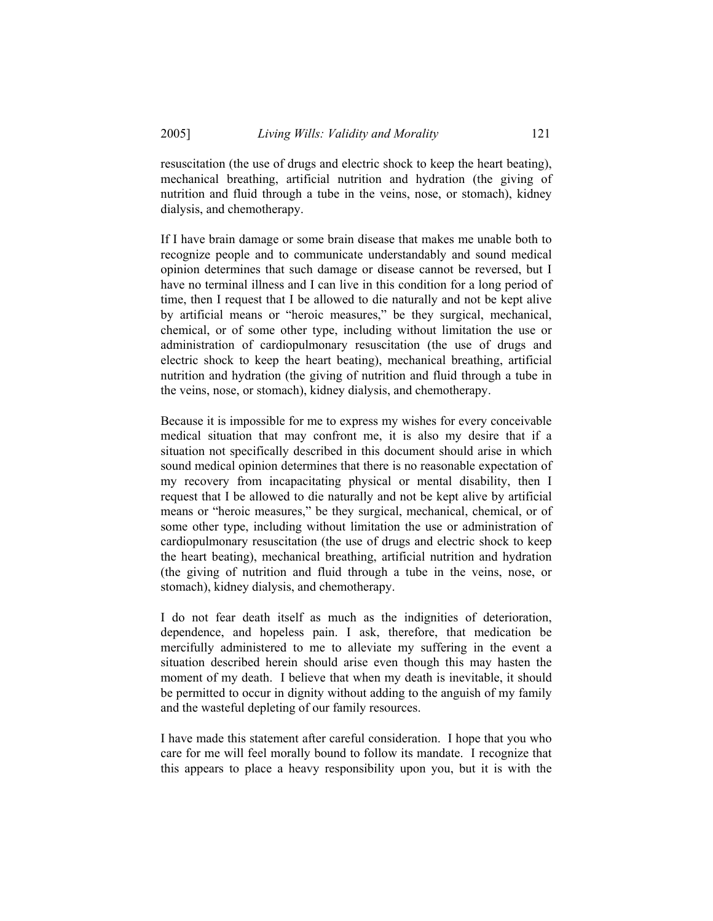resuscitation (the use of drugs and electric shock to keep the heart beating), mechanical breathing, artificial nutrition and hydration (the giving of nutrition and fluid through a tube in the veins, nose, or stomach), kidney dialysis, and chemotherapy.

If I have brain damage or some brain disease that makes me unable both to recognize people and to communicate understandably and sound medical opinion determines that such damage or disease cannot be reversed, but I have no terminal illness and I can live in this condition for a long period of time, then I request that I be allowed to die naturally and not be kept alive by artificial means or "heroic measures," be they surgical, mechanical, chemical, or of some other type, including without limitation the use or administration of cardiopulmonary resuscitation (the use of drugs and electric shock to keep the heart beating), mechanical breathing, artificial nutrition and hydration (the giving of nutrition and fluid through a tube in the veins, nose, or stomach), kidney dialysis, and chemotherapy.

Because it is impossible for me to express my wishes for every conceivable medical situation that may confront me, it is also my desire that if a situation not specifically described in this document should arise in which sound medical opinion determines that there is no reasonable expectation of my recovery from incapacitating physical or mental disability, then I request that I be allowed to die naturally and not be kept alive by artificial means or "heroic measures," be they surgical, mechanical, chemical, or of some other type, including without limitation the use or administration of cardiopulmonary resuscitation (the use of drugs and electric shock to keep the heart beating), mechanical breathing, artificial nutrition and hydration (the giving of nutrition and fluid through a tube in the veins, nose, or stomach), kidney dialysis, and chemotherapy.

I do not fear death itself as much as the indignities of deterioration, dependence, and hopeless pain. I ask, therefore, that medication be mercifully administered to me to alleviate my suffering in the event a situation described herein should arise even though this may hasten the moment of my death. I believe that when my death is inevitable, it should be permitted to occur in dignity without adding to the anguish of my family and the wasteful depleting of our family resources.

I have made this statement after careful consideration. I hope that you who care for me will feel morally bound to follow its mandate. I recognize that this appears to place a heavy responsibility upon you, but it is with the